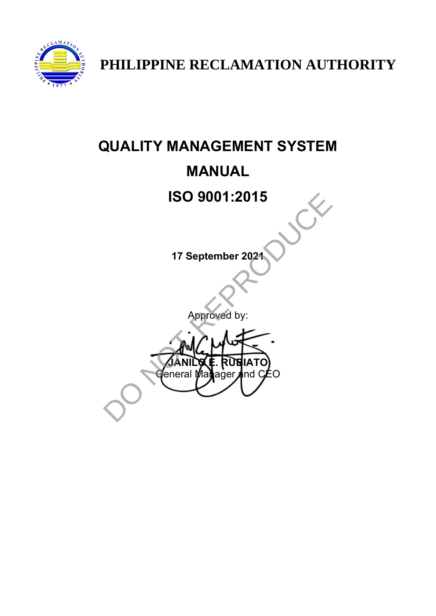

**PHILIPPINE RECLAMATION AUTHORITY** 

# **QUALITY MANAGEMENT SYSTEM MANUAL ISO 9001:2015 17 September 2021** Approved by: **JANILO E. RUBIATO** feneral Manager and C*E*O ISO 9001:2015<br>17 September 2021<br>Approved by:<br>Approved by:<br>Canil Male Rusia To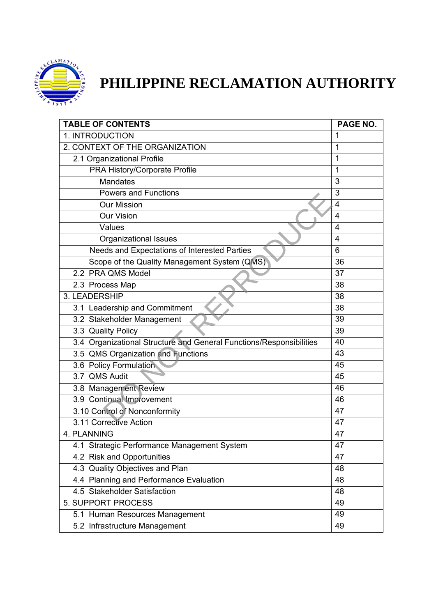

# **PHILIPPINE RECLAMATION AUTHORITY**

| <b>TABLE OF CONTENTS</b>                                            | PAGE NO.       |
|---------------------------------------------------------------------|----------------|
| 1. INTRODUCTION                                                     | 1              |
| 2. CONTEXT OF THE ORGANIZATION                                      | 1              |
| 2.1 Organizational Profile                                          | 1              |
| PRA History/Corporate Profile                                       | 1              |
| <b>Mandates</b>                                                     | 3              |
| <b>Powers and Functions</b>                                         | 3              |
| <b>Our Mission</b>                                                  | $\overline{4}$ |
| <b>Our Vision</b>                                                   | 4              |
| Values                                                              | $\overline{4}$ |
| <b>Organizational Issues</b>                                        | 4              |
| Needs and Expectations of Interested Parties                        | 6              |
| Scope of the Quality Management System (QMS)                        | 36             |
| 2.2 PRA QMS Model                                                   | 37             |
| 2.3 Process Map                                                     | 38             |
| 3. LEADERSHIP                                                       | 38             |
| 3.1 Leadership and Commitment                                       | 38             |
| 3.2 Stakeholder Management                                          | 39             |
| 3.3 Quality Policy                                                  | 39             |
| 3.4 Organizational Structure and General Functions/Responsibilities | 40             |
| 3.5 QMS Organization and Functions                                  | 43             |
| 3.6 Policy Formulation                                              | 45             |
| 3.7 QMS Audit                                                       | 45             |
| 3.8 Management Review                                               | 46             |
| 3.9 Continual Improvement                                           | 46             |
| 3.10 Control of Nonconformity                                       | 47             |
| 3.11 Corrective Action                                              | 47             |
| 4. PLANNING                                                         | 47             |
| 4.1 Strategic Performance Management System                         | 47             |
| 4.2 Risk and Opportunities                                          | 47             |
| 4.3 Quality Objectives and Plan                                     | 48             |
| 4.4 Planning and Performance Evaluation                             | 48             |
| 4.5 Stakeholder Satisfaction                                        | 48             |
| 5. SUPPORT PROCESS                                                  | 49             |
| 5.1 Human Resources Management                                      | 49             |
| 5.2 Infrastructure Management                                       | 49             |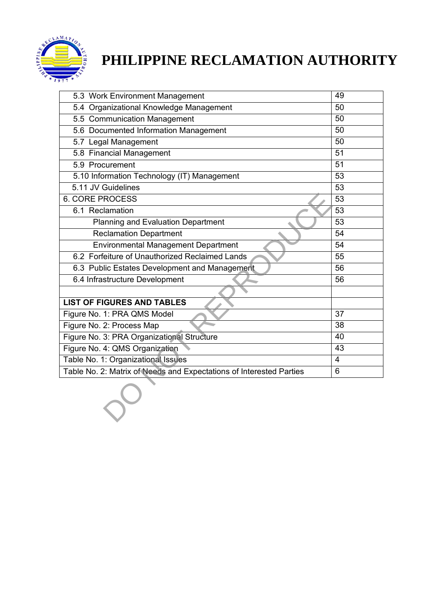

# **PHILIPPINE RECLAMATION AUTHORITY**

| 5.3 Work Environment Management                                     | 49              |
|---------------------------------------------------------------------|-----------------|
| 5.4 Organizational Knowledge Management                             | 50              |
| 5.5 Communication Management                                        | 50              |
| 5.6 Documented Information Management                               | $\overline{50}$ |
| 5.7 Legal Management                                                | 50              |
| 5.8 Financial Management                                            | 51              |
| 5.9 Procurement                                                     | 51              |
| 5.10 Information Technology (IT) Management                         | 53              |
| 5.11 JV Guidelines                                                  | 53              |
| <b>6. CORE PROCESS</b>                                              | 53              |
| 6.1 Reclamation                                                     | 53              |
| Planning and Evaluation Department                                  | $\overline{53}$ |
| <b>Reclamation Department</b>                                       | 54              |
| <b>Environmental Management Department</b>                          | 54              |
| 6.2 Forfeiture of Unauthorized Reclaimed Lands                      | 55              |
| 6.3 Public Estates Development and Management                       | 56              |
| 6.4 Infrastructure Development                                      | 56              |
|                                                                     |                 |
| <b>LIST OF FIGURES AND TABLES</b>                                   |                 |
| Figure No. 1: PRA QMS Model                                         | 37              |
| Figure No. 2: Process Map                                           | 38              |
| Figure No. 3: PRA Organizational Structure                          | 40              |
| Figure No. 4: QMS Organization                                      | 43              |
| Table No. 1: Organizational Issues                                  | $\overline{4}$  |
| Table No. 2: Matrix of Needs and Expectations of Interested Parties | 6               |
|                                                                     |                 |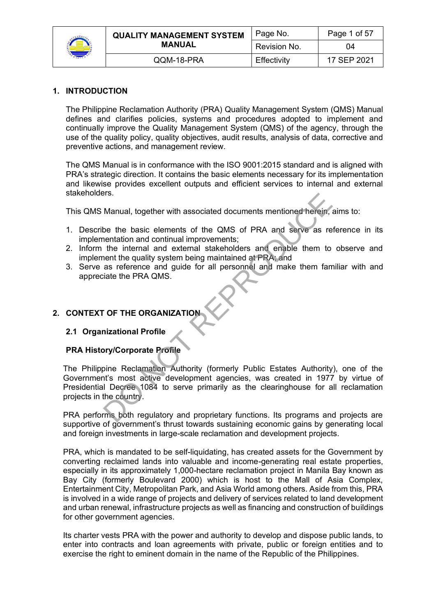

| <b>QUALITY MANAGEMENT SYSTEM</b> | Page No.     | Page 1 of 57 |
|----------------------------------|--------------|--------------|
| <b>MANUAL</b>                    | Revision No. | 04           |
| QQM-18-PRA                       | Effectivity  | 17 SEP 2021  |

## **1. INTRODUCTION**

The Philippine Reclamation Authority (PRA) Quality Management System (QMS) Manual defines and clarifies policies, systems and procedures adopted to implement and continually improve the Quality Management System (QMS) of the agency, through the use of the quality policy, quality objectives, audit results, analysis of data, corrective and preventive actions, and management review.

The QMS Manual is in conformance with the ISO 9001:2015 standard and is aligned with PRA's strategic direction. It contains the basic elements necessary for its implementation and likewise provides excellent outputs and efficient services to internal and external stakeholders.

This QMS Manual, together with associated documents mentioned herein, aims to:

- 1. Describe the basic elements of the QMS of PRA and serve as reference in its implementation and continual improvements;
- 2. Inform the internal and external stakeholders and enable them to observe and implement the quality system being maintained at PRA; and
- 3. Serve as reference and guide for all personnel and make them familiar with and appreciate the PRA QMS.

# **2. CONTEXT OF THE ORGANIZATION**

#### **2.1 Organizational Profile**

#### **PRA History/Corporate Profile**

The Philippine Reclamation Authority (formerly Public Estates Authority), one of the Government's most active development agencies, was created in 1977 by virtue of Presidential Decree 1084 to serve primarily as the clearinghouse for all reclamation projects in the country. Fis.<br>
Manual, together with associated documents mentioned herein,<br>
be the basic elements of the QMS of PRA and serve as re<br>
nentation and continual improvements;<br>
the internal and external stakeholders and enable them to<br>

PRA performs both regulatory and proprietary functions. Its programs and projects are supportive of government's thrust towards sustaining economic gains by generating local and foreign investments in large-scale reclamation and development projects.

PRA, which is mandated to be self-liquidating, has created assets for the Government by converting reclaimed lands into valuable and income-generating real estate properties, especially in its approximately 1,000-hectare reclamation project in Manila Bay known as Bay City (formerly Boulevard 2000) which is host to the Mall of Asia Complex, Entertainment City, Metropolitan Park, and Asia World among others. Aside from this, PRA is involved in a wide range of projects and delivery of services related to land development and urban renewal, infrastructure projects as well as financing and construction of buildings for other government agencies.

Its charter vests PRA with the power and authority to develop and dispose public lands, to enter into contracts and loan agreements with private, public or foreign entities and to exercise the right to eminent domain in the name of the Republic of the Philippines.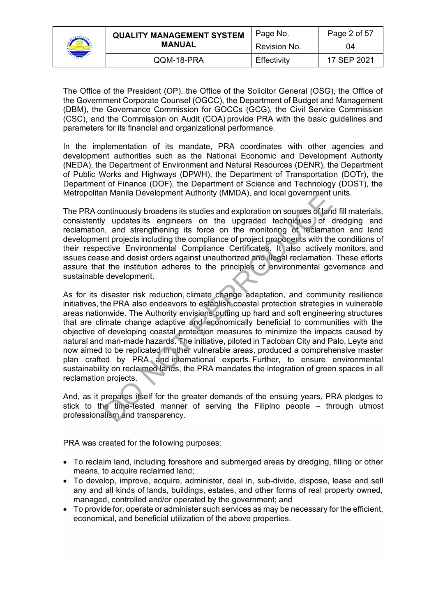

|               | <b>QUALITY MANAGEMENT SYSTEM</b> | Page No.    | Page 2 of 57 |
|---------------|----------------------------------|-------------|--------------|
| <b>MANUAL</b> | Revision No.                     | 04          |              |
|               | QQM-18-PRA                       | Effectivity | 17 SEP 2021  |

The Office of the President (OP), the Office of the Solicitor General (OSG), the Office of the Government Corporate Counsel (OGCC), the Department of Budget and Management (DBM), the Governance Commission for GOCCs (GCG), the Civil Service Commission (CSC), and the Commission on Audit (COA) provide PRA with the basic guidelines and parameters for its financial and organizational performance.

In the implementation of its mandate, PRA coordinates with other agencies and development authorities such as the National Economic and Development Authority (NEDA), the Department of Environment and Natural Resources (DENR), the Department of Public Works and Highways (DPWH), the Department of Transportation (DOTr), the Department of Finance (DOF), the Department of Science and Technology (DOST), the Metropolitan Manila Development Authority (MMDA), and local government units.

The PRA continuously broadens its studies and exploration on sources of land fill materials, consistently updates its engineers on the upgraded techniques of dredging and reclamation, and strengthening its force on the monitoring of reclamation and land development projects including the compliance of project proponents with the conditions of their respective Environmental Compliance Certificates. It also actively monitors, and issues cease and desist orders against unauthorized and illegal reclamation. These efforts assure that the institution adheres to the principles of environmental governance and sustainable development.

As for its disaster risk reduction, climate change adaptation, and community resilience initiatives, the PRA also endeavors to establish coastal protection strategies in vulnerable areas nationwide. The Authority envisions putting up hard and soft engineering structures that are climate change adaptive and economically beneficial to communities with the objective of developing coastal protection measures to minimize the impacts caused by natural and man-made hazards. The initiative, piloted in Tacloban City and Palo, Leyte and now aimed to be replicated in other vulnerable areas, produced a comprehensive master plan crafted by PRA and international experts. Further, to ensure environmental sustainability on reclaimed lands, the PRA mandates the integration of green spaces in all reclamation projects. In Walling Development Authority (WINDA), and local government<br>
ontinuously broadens its studies and exploration on sources of lan<br>
y updates its engineers on the upgraded techniques of<br>
in the most regularing its force on

And, as it prepares itself for the greater demands of the ensuing years, PRA pledges to stick to the time-tested manner of serving the Filipino people – through utmost professionalism and transparency.

PRA was created for the following purposes:

- To reclaim land, including foreshore and submerged areas by dredging, filling or other means, to acquire reclaimed land;
- To develop, improve, acquire, administer, deal in, sub-divide, dispose, lease and sell any and all kinds of lands, buildings, estates, and other forms of real property owned, managed, controlled and/or operated by the government; and
- To provide for, operate or administer such services as may be necessary for the efficient, economical, and beneficial utilization of the above properties.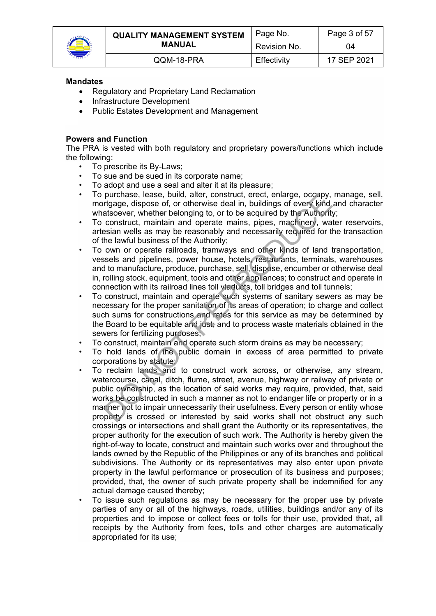

| <b>QUALITY MANAGEMENT SYSTEM</b> | Page No.     | Page 3 of 57 |
|----------------------------------|--------------|--------------|
| <b>MANUAL</b>                    | Revision No. | 04           |
| QQM-18-PRA                       | Effectivity  | 17 SEP 2021  |

#### **Mandates**

- Regulatory and Proprietary Land Reclamation
- Infrastructure Development
- Public Estates Development and Management

#### **Powers and Function**

The PRA is vested with both regulatory and proprietary powers/functions which include the following:

- To prescribe its By-Laws;
- To sue and be sued in its corporate name;
- To adopt and use a seal and alter it at its pleasure;
- To purchase, lease, build, alter, construct, erect, enlarge, occupy, manage, sell, mortgage, dispose of, or otherwise deal in, buildings of every kind and character whatsoever, whether belonging to, or to be acquired by the Authority;
- To construct, maintain and operate mains, pipes, machinery, water reservoirs, artesian wells as may be reasonably and necessarily required for the transaction of the lawful business of the Authority;
- To own or operate railroads, tramways and other kinds of land transportation, vessels and pipelines, power house, hotels, restaurants, terminals, warehouses and to manufacture, produce, purchase, sell, dispose, encumber or otherwise deal in, rolling stock, equipment, tools and other appliances; to construct and operate in connection with its railroad lines toll viaducts, toll bridges and toll tunnels;
- To construct, maintain and operate such systems of sanitary sewers as may be necessary for the proper sanitation of its areas of operation; to charge and collect such sums for constructions and rates for this service as may be determined by the Board to be equitable and just; and to process waste materials obtained in the sewers for fertilizing purposes;
- To construct, maintain and operate such storm drains as may be necessary;
- To hold lands of the public domain in excess of area permitted to private corporations by statute;
- To reclaim lands and to construct work across, or otherwise, any stream, watercourse, canal, ditch, flume, street, avenue, highway or railway of private or public ownership, as the location of said works may require, provided, that, said works be constructed in such a manner as not to endanger life or property or in a manner not to impair unnecessarily their usefulness. Every person or entity whose property is crossed or interested by said works shall not obstruct any such crossings or intersections and shall grant the Authority or its representatives, the proper authority for the execution of such work. The Authority is hereby given the right-of-way to locate, construct and maintain such works over and throughout the lands owned by the Republic of the Philippines or any of its branches and political subdivisions. The Authority or its representatives may also enter upon private property in the lawful performance or prosecution of its business and purposes; provided, that, the owner of such private property shall be indemnified for any actual damage caused thereby; purchase, lease, build, alter, construct, erect, enlarge, occupy,<br>ritgage, dispose of, or to therwise deal in, buildings of every kind<br>datoever, whether belonging to, or to be acquired by the Authorit<br>construct, maintain a
- To issue such regulations as may be necessary for the proper use by private parties of any or all of the highways, roads, utilities, buildings and/or any of its properties and to impose or collect fees or tolls for their use, provided that, all receipts by the Authority from fees, tolls and other charges are automatically appropriated for its use;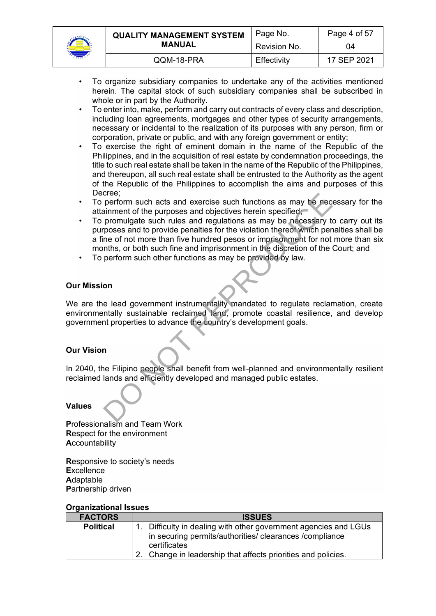

|               | <b>QUALITY MANAGEMENT SYSTEM</b> | Page No.    | Page 4 of 57 |
|---------------|----------------------------------|-------------|--------------|
| <b>MANUAL</b> | Revision No.                     | 04          |              |
|               | QQM-18-PRA                       | Effectivity | 17 SEP 2021  |

- To organize subsidiary companies to undertake any of the activities mentioned herein. The capital stock of such subsidiary companies shall be subscribed in whole or in part by the Authority.
- To enter into, make, perform and carry out contracts of every class and description, including loan agreements, mortgages and other types of security arrangements, necessary or incidental to the realization of its purposes with any person, firm or corporation, private or public, and with any foreign government or entity;
- To exercise the right of eminent domain in the name of the Republic of the Philippines, and in the acquisition of real estate by condemnation proceedings, the title to such real estate shall be taken in the name of the Republic of the Philippines, and thereupon, all such real estate shall be entrusted to the Authority as the agent of the Republic of the Philippines to accomplish the aims and purposes of this Decree;
- To perform such acts and exercise such functions as may be necessary for the attainment of the purposes and objectives herein specified;
- To promulgate such rules and regulations as may be necessary to carry out its purposes and to provide penalties for the violation thereof which penalties shall be a fine of not more than five hundred pesos or imprisonment for not more than six months, or both such fine and imprisonment in the discretion of the Court; and From such acts and exercise such functions as may be received in the purposes and objectives herein specified;<br>promulgate such rules and regulations as may be necessary trosses and to provide penalties for the violation th
- To perform such other functions as may be provided by law.

#### **Our Mission**

We are the lead government instrumentality mandated to regulate reclamation, create environmentally sustainable reclaimed land, promote coastal resilience, and develop government properties to advance the country's development goals.

#### **Our Vision**

In 2040, the Filipino people shall benefit from well-planned and environmentally resilient reclaimed lands and efficiently developed and managed public estates.

#### **Values**

**P**rofessionalism and Team Work **R**espect for the environment **A**ccountability

**R**esponsive to society's needs **E**xcellence **A**daptable **P**artnership driven

#### **Organizational Issues**

| <b>FACTORS</b>   | <b>ISSUES</b>                                                    |  |
|------------------|------------------------------------------------------------------|--|
| <b>Political</b> | 1. Difficulty in dealing with other government agencies and LGUs |  |
|                  | in securing permits/authorities/ clearances / compliance         |  |
|                  | certificates                                                     |  |
|                  | Change in leadership that affects priorities and policies.       |  |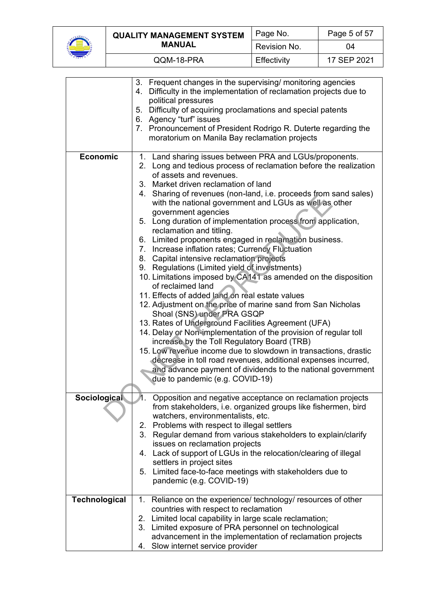

|  | <b>QUALITY MANAGEMENT SYSTEM</b><br><b>MANUAL</b> | Page No.     | Page 5 of 57 |
|--|---------------------------------------------------|--------------|--------------|
|  |                                                   | Revision No. | 04           |
|  | QQM-18-PRA                                        | Effectivity  | 17 SEP 2021  |

|                      | 3. Frequent changes in the supervising/ monitoring agencies<br>Difficulty in the implementation of reclamation projects due to<br>4.<br>political pressures |
|----------------------|-------------------------------------------------------------------------------------------------------------------------------------------------------------|
|                      | 5. Difficulty of acquiring proclamations and special patents                                                                                                |
|                      | 6. Agency "turf" issues<br>7. Pronouncement of President Rodrigo R. Duterte regarding the<br>moratorium on Manila Bay reclamation projects                  |
|                      |                                                                                                                                                             |
| <b>Economic</b>      | 1. Land sharing issues between PRA and LGUs/proponents.<br>2. Long and tedious process of reclamation before the realization<br>of assets and revenues.     |
|                      | 3. Market driven reclamation of land                                                                                                                        |
|                      | 4. Sharing of revenues (non-land, i.e. proceeds from sand sales)<br>with the national government and LGUs as well as other                                  |
|                      | government agencies<br>5. Long duration of implementation process from application,<br>reclamation and titling.                                             |
|                      | 6. Limited proponents engaged in reclamation business.<br>7. Increase inflation rates; Currency Fluctuation<br>8. Capital intensive reclamation projects    |
|                      | 9. Regulations (Limited yield of investments)                                                                                                               |
|                      | 10. Limitations imposed by CA141 as amended on the disposition<br>of reclaimed land                                                                         |
|                      | 11. Effects of added land on real estate values                                                                                                             |
|                      | 12. Adjustment on the price of marine sand from San Nicholas                                                                                                |
|                      | Shoal (SNS) under PRA GSQP                                                                                                                                  |
|                      | 13. Rates of Underground Facilities Agreement (UFA)                                                                                                         |
|                      | 14. Delay or Non-implementation of the provision of regular toll                                                                                            |
|                      | increase by the Toll Regulatory Board (TRB)                                                                                                                 |
|                      | 15. Low revenue income due to slowdown in transactions, drastic                                                                                             |
|                      | decrease in toll road revenues, additional expenses incurred,                                                                                               |
|                      | and advance payment of dividends to the national government                                                                                                 |
|                      | due to pandemic (e.g. COVID-19)                                                                                                                             |
| <b>Sociological</b>  | Opposition and negative acceptance on reclamation projects                                                                                                  |
|                      | from stakeholders, i.e. organized groups like fishermen, bird<br>watchers, environmentalists, etc.                                                          |
|                      | 2. Problems with respect to illegal settlers                                                                                                                |
|                      | 3. Regular demand from various stakeholders to explain/clarify                                                                                              |
|                      | issues on reclamation projects                                                                                                                              |
|                      | 4. Lack of support of LGUs in the relocation/clearing of illegal                                                                                            |
|                      | settlers in project sites                                                                                                                                   |
|                      | 5. Limited face-to-face meetings with stakeholders due to                                                                                                   |
|                      | pandemic (e.g. COVID-19)                                                                                                                                    |
| <b>Technological</b> | 1. Reliance on the experience/ technology/ resources of other                                                                                               |
|                      | countries with respect to reclamation                                                                                                                       |
|                      | 2. Limited local capability in large scale reclamation;                                                                                                     |
|                      | 3. Limited exposure of PRA personnel on technological                                                                                                       |
|                      | advancement in the implementation of reclamation projects                                                                                                   |
|                      | Slow internet service provider<br>4.                                                                                                                        |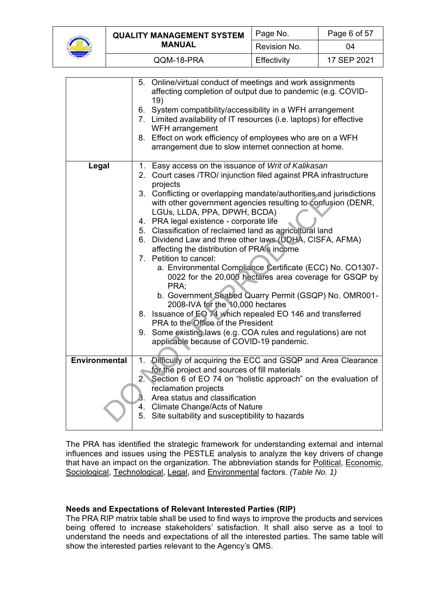

|  | <b>QUALITY MANAGEMENT SYSTEM</b><br><b>MANUAL</b> | Page No.     | Page 6 of 57 |
|--|---------------------------------------------------|--------------|--------------|
|  |                                                   | Revision No. | 04           |
|  | QQM-18-PRA                                        | Effectivity  | 17 SEP 2021  |

|               | 5. Online/virtual conduct of meetings and work assignments<br>affecting completion of output due to pandemic (e.g. COVID-<br>19)                                    |
|---------------|---------------------------------------------------------------------------------------------------------------------------------------------------------------------|
|               | 6. System compatibility/accessibility in a WFH arrangement<br>7. Limited availability of IT resources (i.e. laptops) for effective<br>WFH arrangement               |
|               | 8. Effect on work efficiency of employees who are on a WFH<br>arrangement due to slow internet connection at home.                                                  |
| Legal         | 1. Easy access on the issuance of Writ of Kalikasan<br>2. Court cases /TRO/ injunction filed against PRA infrastructure<br>projects                                 |
|               | 3. Conflicting or overlapping mandate/authorities and jurisdictions<br>with other government agencies resulting to confusion (DENR,<br>LGUs, LLDA, PPA, DPWH, BCDA) |
|               | 4. PRA legal existence - corporate life                                                                                                                             |
|               | 5. Classification of reclaimed land as agricultural land                                                                                                            |
|               | 6. Dividend Law and three other laws (UDHA, CISFA, AFMA)<br>affecting the distribution of PRA's income                                                              |
|               | 7. Petition to cancel:<br>a. Environmental Compliance Certificate (ECC) No. CO1307-<br>0022 for the 20,000 hectares area coverage for GSQP by                       |
|               | PRA:                                                                                                                                                                |
|               | b. Government Seabed Quarry Permit (GSQP) No. OMR001-<br>2008-IVA for the 10,000 hectares                                                                           |
|               | 8. Issuance of EO 74 which repealed EO 146 and transferred<br>PRA to the Office of the President                                                                    |
|               | 9. Some existing laws (e.g. COA rules and regulations) are not<br>applicable because of COVID-19 pandemic.                                                          |
| Environmental | 1. Difficulty of acquiring the ECC and GSQP and Area Clearance                                                                                                      |
|               | for the project and sources of fill materials                                                                                                                       |
|               | 2. Section 6 of EO 74 on "holistic approach" on the evaluation of                                                                                                   |
|               | reclamation projects                                                                                                                                                |
|               | Area status and classification<br>3.                                                                                                                                |
|               | 4. Climate Change/Acts of Nature                                                                                                                                    |
|               | 5. Site suitability and susceptibility to hazards                                                                                                                   |

The PRA has identified the strategic framework for understanding external and internal influences and issues using the PESTLE analysis to analyze the key drivers of change that have an impact on the organization. The abbreviation stands for Political, Economic, Sociological, Technological, Legal, and Environmental factors. *(Table No. 1)*

# **Needs and Expectations of Relevant Interested Parties (RIP)**

The PRA RIP matrix table shall be used to find ways to improve the products and services being offered to increase stakeholders' satisfaction. It shall also serve as a tool to understand the needs and expectations of all the interested parties. The same table will show the interested parties relevant to the Agency's QMS.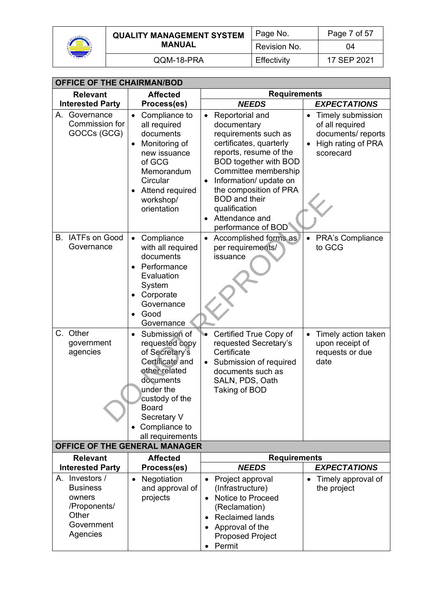

| <b>QUALITY MANAGEMENT SYSTEM</b> | Page No.       | Page 7 of 57 |
|----------------------------------|----------------|--------------|
| MANUAL                           | l Revision No. | 04           |
| QQM-18-PRA                       | Effectivity    | 17 SEP 2021  |

| <b>OFFICE OF THE CHAIRMAN/BOD</b>                                                              |                                                                                                                                                                                                                          |                                                                                                                                                                                                                                                                                                                                                 |                                                                                                                        |  |
|------------------------------------------------------------------------------------------------|--------------------------------------------------------------------------------------------------------------------------------------------------------------------------------------------------------------------------|-------------------------------------------------------------------------------------------------------------------------------------------------------------------------------------------------------------------------------------------------------------------------------------------------------------------------------------------------|------------------------------------------------------------------------------------------------------------------------|--|
| <b>Relevant</b>                                                                                | <b>Affected</b>                                                                                                                                                                                                          | <b>Requirements</b>                                                                                                                                                                                                                                                                                                                             |                                                                                                                        |  |
| <b>Interested Party</b>                                                                        | Process(es)                                                                                                                                                                                                              | <b>NEEDS</b>                                                                                                                                                                                                                                                                                                                                    | <b>EXPECTATIONS</b>                                                                                                    |  |
| А.<br>Governance<br>Commission for<br>GOCCs (GCG)                                              | Compliance to<br>all required<br>documents<br>Monitoring of<br>new issuance<br>of GCG<br>Memorandum<br>Circular<br>Attend required<br>workshop/<br>orientation                                                           | Reportorial and<br>$\bullet$<br>documentary<br>requirements such as<br>certificates, quarterly<br>reports, resume of the<br><b>BOD together with BOD</b><br>Committee membership<br>Information/ update on<br>$\bullet$<br>the composition of PRA<br><b>BOD</b> and their<br>qualification<br>Attendance and<br>$\bullet$<br>performance of BOD | Timely submission<br>$\bullet$<br>of all required<br>documents/reports<br>High rating of PRA<br>$\bullet$<br>scorecard |  |
| B. IATFs on Good<br>Governance                                                                 | Compliance<br>$\bullet$<br>with all required<br>documents<br>Performance<br>$\bullet$<br>Evaluation<br>System<br>Corporate<br>Governance<br>Good<br>Governance                                                           | Accomplished forms as<br>$\bullet$<br>per requirements/<br>issuance                                                                                                                                                                                                                                                                             | <b>PRA's Compliance</b><br>to GCG                                                                                      |  |
| $C_{-}$<br>Other<br>government<br>agencies                                                     | Submission of<br>$\bullet$<br>requested copy<br>of Secretary's<br>Certificate and<br>other related<br>documents<br>under the<br>custody of the<br>Board<br>Secretary V<br>Compliance to<br>$\bullet$<br>all requirements | Certified True Copy of<br>requested Secretary's<br>Certificate<br>Submission of required<br>$\bullet$<br>documents such as<br>SALN, PDS, Oath<br>Taking of BOD                                                                                                                                                                                  | Timely action taken<br>$\bullet$<br>upon receipt of<br>requests or due<br>date                                         |  |
|                                                                                                | OFFICE OF THE GENERAL MANAGER                                                                                                                                                                                            |                                                                                                                                                                                                                                                                                                                                                 |                                                                                                                        |  |
| <b>Relevant</b><br><b>Interested Party</b>                                                     | <b>Affected</b><br>Process(es)                                                                                                                                                                                           | <b>Requirements</b><br><b>EXPECTATIONS</b><br><b>NEEDS</b>                                                                                                                                                                                                                                                                                      |                                                                                                                        |  |
| A. Investors /<br><b>Business</b><br>owners<br>/Proponents/<br>Other<br>Government<br>Agencies | Negotiation<br>and approval of<br>projects                                                                                                                                                                               | Project approval<br>(Infrastructure)<br>Notice to Proceed<br>$\bullet$<br>(Reclamation)<br><b>Reclaimed lands</b><br>Approval of the<br><b>Proposed Project</b><br>Permit                                                                                                                                                                       | Timely approval of<br>$\bullet$<br>the project                                                                         |  |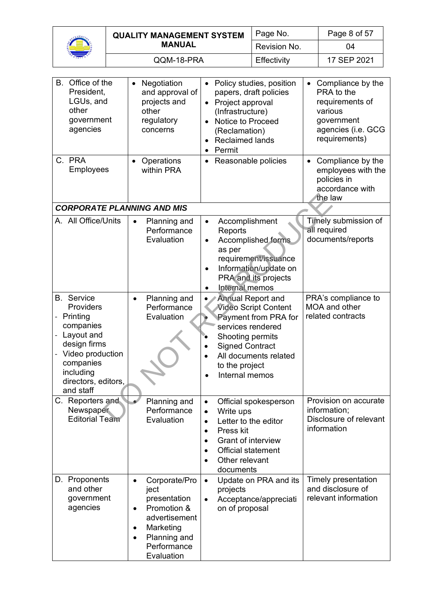

|  | <b>QUALITY MANAGEMENT SYSTEM</b><br><b>MANUAL</b> | Page No.     | Page 8 of 57 |
|--|---------------------------------------------------|--------------|--------------|
|  |                                                   | Revision No. | 04           |
|  | QQM-18-PRA                                        | Effectivity  | 17 SEP 2021  |

| B. Office of the<br>President,<br>LGUs, and<br>other<br>government<br>agencies<br>C. PRA<br>Employees                                                                       | Negotiation<br>and approval of<br>projects and<br>other<br>regulatory<br>concerns<br>Operations<br>within PRA                                                                       | Policy studies, position<br>$\bullet$<br>papers, draft policies<br>Project approval<br>$\bullet$<br>(Infrastructure)<br>Notice to Proceed<br>$\bullet$<br>(Reclamation)<br><b>Reclaimed lands</b><br>Permit<br>Reasonable policies<br>$\bullet$ | Compliance by the<br>$\bullet$<br>PRA to the<br>requirements of<br>various<br>government<br>agencies (i.e. GCG<br>requirements)<br>Compliance by the<br>$\bullet$<br>employees with the<br>policies in<br>accordance with |
|-----------------------------------------------------------------------------------------------------------------------------------------------------------------------------|-------------------------------------------------------------------------------------------------------------------------------------------------------------------------------------|-------------------------------------------------------------------------------------------------------------------------------------------------------------------------------------------------------------------------------------------------|---------------------------------------------------------------------------------------------------------------------------------------------------------------------------------------------------------------------------|
| <b>CORPORATE PLANNING AND MIS</b>                                                                                                                                           |                                                                                                                                                                                     |                                                                                                                                                                                                                                                 | the law                                                                                                                                                                                                                   |
| A. All Office/Units                                                                                                                                                         | Planning and<br>$\bullet$<br>Performance<br>Evaluation                                                                                                                              | Accomplishment<br>$\bullet$<br>Reports<br><b>Accomplished forms</b><br>$\bullet$<br>as per<br>requirement/issuance<br>Information/update on<br>PRA and its projects<br><b>Internal memos</b><br>$\bullet$                                       | Timely submission of<br>all required<br>documents/reports                                                                                                                                                                 |
| <b>B.</b> Service<br>Providers<br>- Printing<br>companies<br>Layout and<br>design firms<br>- Video production<br>companies<br>including<br>directors, editors,<br>and staff | Planning and<br>$\bullet$<br>Performance<br>Evaluation                                                                                                                              | <b>Annual Report and</b><br><b>Video Script Content</b><br><b>Payment from PRA for</b><br>services rendered<br>Shooting permits<br><b>Signed Contract</b><br>All documents related<br>to the project<br>Internal memos<br>$\bullet$             | PRA's compliance to<br>MOA and other<br>related contracts                                                                                                                                                                 |
| Reporters and<br>Newspaper<br><b>Editorial Team</b>                                                                                                                         | Planning and<br>Performance<br>Evaluation                                                                                                                                           | Official spokesperson<br>Write ups<br>$\bullet$<br>Letter to the editor<br>$\bullet$<br>Press kit<br>$\bullet$<br>Grant of interview<br>٠<br><b>Official statement</b><br>$\bullet$<br>Other relevant<br>documents                              | Provision on accurate<br>information;<br>Disclosure of relevant<br>information                                                                                                                                            |
| D. Proponents<br>and other<br>government<br>agencies                                                                                                                        | Corporate/Pro<br>$\bullet$<br>ject<br>presentation<br>Promotion &<br>$\bullet$<br>advertisement<br>Marketing<br>$\bullet$<br>Planning and<br>$\bullet$<br>Performance<br>Evaluation | Update on PRA and its<br>$\bullet$<br>projects<br>Acceptance/appreciati<br>$\bullet$<br>on of proposal                                                                                                                                          | Timely presentation<br>and disclosure of<br>relevant information                                                                                                                                                          |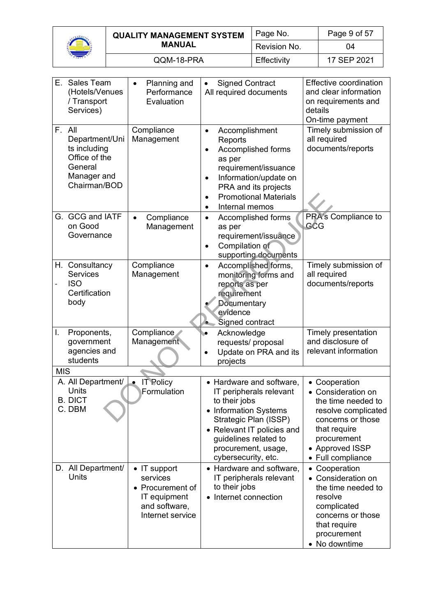

|  | <b>QUALITY MANAGEMENT SYSTEM</b><br><b>MANUAL</b> | Page No.     | Page 9 of 57 |
|--|---------------------------------------------------|--------------|--------------|
|  |                                                   | Revision No. | 04           |
|  | QQM-18-PRA                                        | Effectivity  | 17 SEP 2021  |

| E.         | <b>Sales Team</b><br>(Hotels/Venues<br>/ Transport<br>Services)                                     | Planning and<br>$\bullet$<br>Performance<br>Evaluation                                            | <b>Signed Contract</b><br>$\bullet$<br>All required documents                                                                                                                                                                                         | <b>Effective coordination</b><br>and clear information<br>on requirements and<br>details<br>On-time payment                                                                  |
|------------|-----------------------------------------------------------------------------------------------------|---------------------------------------------------------------------------------------------------|-------------------------------------------------------------------------------------------------------------------------------------------------------------------------------------------------------------------------------------------------------|------------------------------------------------------------------------------------------------------------------------------------------------------------------------------|
|            | F. All<br>Department/Uni<br>ts including<br>Office of the<br>General<br>Manager and<br>Chairman/BOD | Compliance<br>Management                                                                          | Accomplishment<br>$\bullet$<br>Reports<br>Accomplished forms<br>$\bullet$<br>as per<br>requirement/issuance<br>Information/update on<br>$\bullet$<br>PRA and its projects<br><b>Promotional Materials</b><br>$\bullet$<br>Internal memos<br>$\bullet$ | Timely submission of<br>all required<br>documents/reports                                                                                                                    |
|            | G. GCG and IATF<br>on Good<br>Governance                                                            | Compliance<br>$\bullet$<br>Management                                                             | Accomplished forms<br>$\bullet$<br>as per<br>requirement/issuance<br>Compilation of<br>$\bullet$<br>supporting documents                                                                                                                              | PRA's Compliance to<br>GĈG                                                                                                                                                   |
|            | H. Consultancy<br><b>Services</b><br><b>ISO</b><br>Certification<br>body                            | Compliance<br>Management                                                                          | Accomplished forms,<br>$\bullet$<br>monitoring forms and<br>reports as per<br>requirement<br>Documentary<br>evidence<br>Signed contract<br>۰.                                                                                                         | Timely submission of<br>all required<br>documents/reports                                                                                                                    |
| I.         | Proponents,<br>government<br>agencies and<br>students                                               | Compliance<br>Management                                                                          | Acknowledge<br>۱O<br>requests/ proposal<br>Update on PRA and its<br>projects                                                                                                                                                                          | Timely presentation<br>and disclosure of<br>relevant information                                                                                                             |
| <b>MIS</b> |                                                                                                     |                                                                                                   |                                                                                                                                                                                                                                                       |                                                                                                                                                                              |
|            | A. All Department/<br>Units<br><b>B. DICT</b><br>C. DBM                                             | <b>IT Policy</b><br>Formulation                                                                   | • Hardware and software,<br>IT peripherals relevant<br>to their jobs<br>• Information Systems<br>Strategic Plan (ISSP)<br>• Relevant IT policies and<br>guidelines related to<br>procurement, usage,<br>cybersecurity, etc.                           | • Cooperation<br>• Consideration on<br>the time needed to<br>resolve complicated<br>concerns or those<br>that require<br>procurement<br>• Approved ISSP<br>• Full compliance |
|            | D. All Department/<br>Units                                                                         | • IT support<br>services<br>• Procurement of<br>IT equipment<br>and software,<br>Internet service | • Hardware and software,<br>IT peripherals relevant<br>to their jobs<br>• Internet connection                                                                                                                                                         | Cooperation<br>$\bullet$<br>• Consideration on<br>the time needed to<br>resolve<br>complicated<br>concerns or those<br>that require<br>procurement<br>• No downtime          |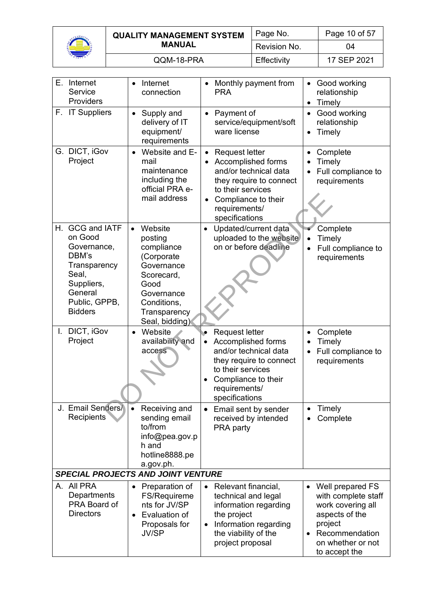

| <b>QUALITY MANAGEMENT SYSTEM</b> | Page No.     | Page 10 of 57 |
|----------------------------------|--------------|---------------|
| <b>MANUAL</b>                    | Revision No. | 04            |
| QQM-18-PRA                       | Effectivity  | 17 SEP 2021   |

| E. Internet<br>Service<br>Providers                                                                                                               | Internet<br>connection                                                                                                                                         | Monthly payment from<br><b>PRA</b>                                                                                                                                                                       | Good working<br>relationship<br>Timely<br>$\bullet$                                                                                                            |
|---------------------------------------------------------------------------------------------------------------------------------------------------|----------------------------------------------------------------------------------------------------------------------------------------------------------------|----------------------------------------------------------------------------------------------------------------------------------------------------------------------------------------------------------|----------------------------------------------------------------------------------------------------------------------------------------------------------------|
| F. IT Suppliers                                                                                                                                   | Supply and<br>$\bullet$<br>delivery of IT<br>equipment/<br>requirements                                                                                        | Payment of<br>$\bullet$<br>service/equipment/soft<br>ware license                                                                                                                                        | Good working<br>$\bullet$<br>relationship<br>Timely<br>$\bullet$                                                                                               |
| G. DICT, iGov<br>Project                                                                                                                          | Website and E-<br>mail<br>maintenance<br>including the<br>official PRA e-<br>mail address                                                                      | <b>Request letter</b><br>$\bullet$<br>Accomplished forms<br>and/or technical data<br>they require to connect<br>to their services<br>Compliance to their<br>$\bullet$<br>requirements/<br>specifications | Complete<br>Timely<br>Full compliance to<br>requirements                                                                                                       |
| <b>GCG and IATF</b><br>Н.<br>on Good<br>Governance,<br>DBM's<br>Transparency<br>Seal,<br>Suppliers,<br>General<br>Public, GPPB,<br><b>Bidders</b> | Website<br>$\bullet$<br>posting<br>compliance<br>(Corporate<br>Governance<br>Scorecard,<br>Good<br>Governance<br>Conditions,<br>Transparency<br>Seal, bidding) | Updated/current data<br>uploaded to the website<br>on or before deadline                                                                                                                                 | Complete<br>Timely<br>$\bullet$<br>Full compliance to<br>requirements                                                                                          |
| I. DICT, iGov<br>Project                                                                                                                          | Website<br>$\bullet$<br>availability and<br>access                                                                                                             | <b>Request letter</b><br>Accomplished forms<br>$\bullet$<br>and/or technical data<br>they require to connect<br>to their services<br>Compliance to their<br>requirements/<br>specifications              | Complete<br>$\bullet$<br>Timely<br>Full compliance to<br>requirements                                                                                          |
| J. Email Senders/<br>Recipients                                                                                                                   | Receiving and<br>$\bullet$<br>sending email<br>to/from<br>info@pea.gov.p<br>h and<br>hotline8888.pe<br>a.gov.ph.                                               | Email sent by sender<br>received by intended<br>PRA party                                                                                                                                                | Timely<br>Complete                                                                                                                                             |
|                                                                                                                                                   | <b>SPECIAL PROJECTS AND JOINT VENTURE</b>                                                                                                                      |                                                                                                                                                                                                          |                                                                                                                                                                |
| A. All PRA<br>Departments<br>PRA Board of<br><b>Directors</b>                                                                                     | Preparation of<br>FS/Requireme<br>nts for JV/SP<br>Evaluation of<br>$\bullet$<br>Proposals for<br><b>JV/SP</b>                                                 | • Relevant financial,<br>technical and legal<br>information regarding<br>the project<br>Information regarding<br>the viability of the<br>project proposal                                                | Well prepared FS<br>$\bullet$<br>with complete staff<br>work covering all<br>aspects of the<br>project<br>Recommendation<br>on whether or not<br>to accept the |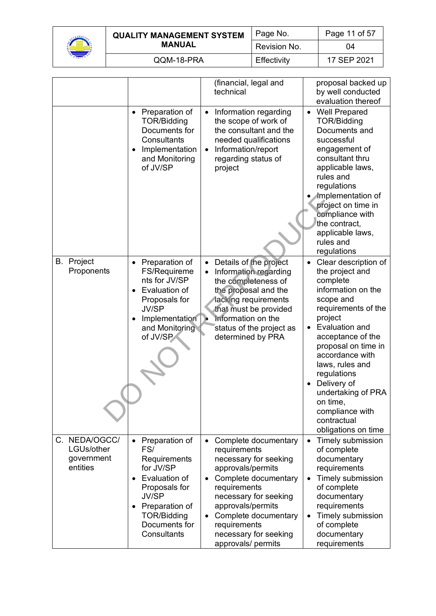

| <b>QUALITY MANAGEMENT SYSTEM</b> |               | Page No.     | Page 11 of 57 |
|----------------------------------|---------------|--------------|---------------|
|                                  | <b>MANUAL</b> | Revision No. | 04            |
|                                  | QQM-18-PRA    | Effectivity  | 17 SEP 2021   |

|                                                       |                                                                                                                                                                                                        | (financial, legal and<br>technical                                                                                                                                                                                                                                                        | proposal backed up<br>by well conducted<br>evaluation thereof                                                                                                                                                                                                                                                                                                                                |
|-------------------------------------------------------|--------------------------------------------------------------------------------------------------------------------------------------------------------------------------------------------------------|-------------------------------------------------------------------------------------------------------------------------------------------------------------------------------------------------------------------------------------------------------------------------------------------|----------------------------------------------------------------------------------------------------------------------------------------------------------------------------------------------------------------------------------------------------------------------------------------------------------------------------------------------------------------------------------------------|
|                                                       | • Preparation of<br><b>TOR/Bidding</b><br>Documents for<br>Consultants<br>Implementation<br>and Monitoring<br>of JV/SP                                                                                 | Information regarding<br>$\bullet$<br>the scope of work of<br>the consultant and the<br>needed qualifications<br>Information/report<br>$\bullet$<br>regarding status of<br>project                                                                                                        | <b>Well Prepared</b><br>$\bullet$<br>TOR/Bidding<br>Documents and<br>successful<br>engagement of<br>consultant thru<br>applicable laws,<br>rules and<br>regulations<br>Implementation of<br>project on time in<br>compliance with<br>the contract,<br>applicable laws,<br>rules and<br>regulations                                                                                           |
| <b>B.</b> Project<br>Proponents                       | Preparation of<br><b>FS/Requireme</b><br>nts for JV/SP<br>Evaluation of<br>Proposals for<br><b>JV/SP</b><br>Implementation<br>and Monitoring<br>of JV/SP                                               | Details of the project<br>$\bullet$<br>Information regarding<br>the completeness of<br>the proposal and the<br>lacking requirements<br>that must be provided<br>Information on the<br>le.<br>status of the project as<br>determined by PRA                                                | Clear description of<br>$\bullet$<br>the project and<br>complete<br>information on the<br>scope and<br>requirements of the<br>project<br>Evaluation and<br>$\bullet$<br>acceptance of the<br>proposal on time in<br>accordance with<br>laws, rules and<br>regulations<br>Delivery of<br>$\bullet$<br>undertaking of PRA<br>on time,<br>compliance with<br>contractual<br>obligations on time |
| C. NEDA/OGCC/<br>LGUs/other<br>government<br>entities | Preparation of<br>$\bullet$<br>FS/<br>Requirements<br>for JV/SP<br>Evaluation of<br>Proposals for<br><b>JV/SP</b><br>Preparation of<br>$\bullet$<br><b>TOR/Bidding</b><br>Documents for<br>Consultants | Complete documentary<br>$\bullet$<br>requirements<br>necessary for seeking<br>approvals/permits<br>Complete documentary<br>requirements<br>necessary for seeking<br>approvals/permits<br>Complete documentary<br>$\bullet$<br>requirements<br>necessary for seeking<br>approvals/ permits | Timely submission<br>$\bullet$<br>of complete<br>documentary<br>requirements<br><b>Timely submission</b><br>$\bullet$<br>of complete<br>documentary<br>requirements<br>Timely submission<br>$\bullet$<br>of complete<br>documentary<br>requirements                                                                                                                                          |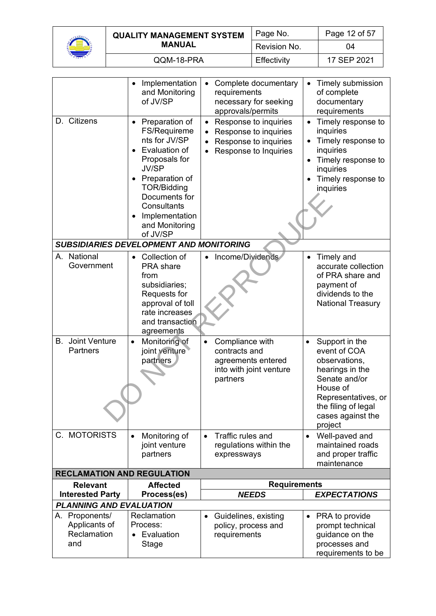

| <b>QUALITY MANAGEMENT SYSTEM</b> | Page No.     | Page 12 of 57 |
|----------------------------------|--------------|---------------|
| <b>MANUAL</b>                    | Revision No. | 04            |
| QQM-18-PRA                       | Effectivity  | 17 SEP 2021   |

|                                                       | Implementation<br>and Monitoring<br>of JV/SP                                                                                                                                                                                                                                | Complete documentary<br>$\bullet$<br>requirements<br>necessary for seeking<br>approvals/permits                                              | Timely submission<br>of complete<br>documentary<br>requirements                                                                                                                            |
|-------------------------------------------------------|-----------------------------------------------------------------------------------------------------------------------------------------------------------------------------------------------------------------------------------------------------------------------------|----------------------------------------------------------------------------------------------------------------------------------------------|--------------------------------------------------------------------------------------------------------------------------------------------------------------------------------------------|
| D. Citizens                                           | Preparation of<br>FS/Requireme<br>nts for JV/SP<br>Evaluation of<br>Proposals for<br><b>JV/SP</b><br>Preparation of<br><b>TOR/Bidding</b><br>Documents for<br>Consultants<br>Implementation<br>and Monitoring<br>of JV/SP<br><b>SUBSIDIARIES DEVELOPMENT AND MONITORING</b> | Response to inquiries<br>$\bullet$<br>Response to inquiries<br>$\bullet$<br>Response to inquiries<br>$\bullet$<br>Response to Inquiries<br>٠ | Timely response to<br>inquiries<br>Timely response to<br>inquiries<br>Timely response to<br>inquiries<br>Timely response to<br>inquiries                                                   |
|                                                       |                                                                                                                                                                                                                                                                             |                                                                                                                                              |                                                                                                                                                                                            |
| A. National<br>Government                             | Collection of<br><b>PRA</b> share<br>from<br>subsidiaries;<br>Requests for<br>approval of toll<br>rate increases<br>and transaction<br>agreements                                                                                                                           | Income/Dividends                                                                                                                             | Timely and<br>accurate collection<br>of PRA share and<br>payment of<br>dividends to the<br><b>National Treasury</b>                                                                        |
| Joint Venture<br>В.<br><b>Partners</b>                | Monitoring of<br>$\bullet$<br>joint venture<br>partners                                                                                                                                                                                                                     | Compliance with<br>$\bullet$<br>contracts and<br>agreements entered<br>into with joint venture<br>partners                                   | Support in the<br>$\bullet$<br>event of COA<br>observations,<br>hearings in the<br>Senate and/or<br>House of<br>Representatives, or<br>the filing of legal<br>cases against the<br>project |
| C. MOTORISTS                                          | Monitoring of<br>$\bullet$                                                                                                                                                                                                                                                  | Traffic rules and<br>$\bullet$                                                                                                               | Well-paved and<br>$\bullet$                                                                                                                                                                |
|                                                       | joint venture<br>partners                                                                                                                                                                                                                                                   | regulations within the<br>expressways                                                                                                        | maintained roads<br>and proper traffic<br>maintenance                                                                                                                                      |
| <b>RECLAMATION AND REGULATION</b>                     |                                                                                                                                                                                                                                                                             |                                                                                                                                              |                                                                                                                                                                                            |
| <b>Relevant</b>                                       | <b>Affected</b>                                                                                                                                                                                                                                                             | <b>Requirements</b>                                                                                                                          |                                                                                                                                                                                            |
| <b>Interested Party</b>                               | Process(es)                                                                                                                                                                                                                                                                 | <b>NEEDS</b>                                                                                                                                 | <b>EXPECTATIONS</b>                                                                                                                                                                        |
| <b>PLANNING AND EVALUATION</b>                        |                                                                                                                                                                                                                                                                             |                                                                                                                                              |                                                                                                                                                                                            |
| A. Proponents/<br>Applicants of<br>Reclamation<br>and | Reclamation<br>Process:<br>Evaluation<br>Stage                                                                                                                                                                                                                              | Guidelines, existing<br>$\bullet$<br>policy, process and<br>requirements                                                                     | PRA to provide<br>٠<br>prompt technical<br>guidance on the<br>processes and<br>requirements to be                                                                                          |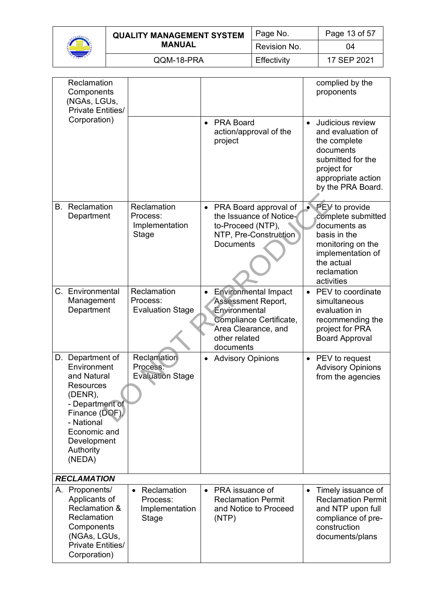

| <b>QUALITY MANAGEMENT SYSTEM</b> | Page No.     | Page 13 of 57 |
|----------------------------------|--------------|---------------|
| <b>MANUAL</b>                    | Revision No. | 04            |
| QQM-18-PRA                       | Effectivity  | 17 SEP 2021   |

| Reclamation<br>Components<br>(NGAs, LGUs,<br><b>Private Entities/</b>                                                                                                                  |                                                                 |           |                                                                                                                                                           |           | complied by the<br>proponents                                                                                                                             |
|----------------------------------------------------------------------------------------------------------------------------------------------------------------------------------------|-----------------------------------------------------------------|-----------|-----------------------------------------------------------------------------------------------------------------------------------------------------------|-----------|-----------------------------------------------------------------------------------------------------------------------------------------------------------|
| Corporation)                                                                                                                                                                           |                                                                 | $\bullet$ | <b>PRA Board</b><br>action/approval of the<br>project                                                                                                     | $\bullet$ | Judicious review<br>and evaluation of<br>the complete<br>documents<br>submitted for the<br>project for<br>appropriate action<br>by the PRA Board.         |
| <b>B.</b> Reclamation<br>Department                                                                                                                                                    | Reclamation<br>Process:<br>Implementation<br>Stage              | $\bullet$ | PRA Board approval of<br>the Issuance of Notice-<br>to-Proceed (NTP),<br>NTP, Pre-Construction<br>Documents                                               | $\bullet$ | PEV to provide<br>complete submitted<br>documents as<br>basis in the<br>monitoring on the<br>implementation of<br>the actual<br>reclamation<br>activities |
| C. Environmental<br>Management<br>Department                                                                                                                                           | Reclamation<br>Process:<br><b>Evaluation Stage</b>              |           | <b>Environmental Impact</b><br><b>Assessment Report,</b><br>Environmental<br>Compliance Certificate,<br>Area Clearance, and<br>other related<br>documents | $\bullet$ | PEV to coordinate<br>simultaneous<br>evaluation in<br>recommending the<br>project for PRA<br><b>Board Approval</b>                                        |
| D. Department of<br>Environment<br>and Natural<br><b>Resources</b><br>(DENR),<br>- Department of<br>Finance (DOF),<br>- National<br>Economic and<br>Development<br>Authority<br>(NEDA) | Reclamation<br>Process:<br><b>Evaluation Stage</b>              |           | <b>Advisory Opinions</b>                                                                                                                                  | $\bullet$ | PEV to request<br><b>Advisory Opinions</b><br>from the agencies                                                                                           |
| <b>RECLAMATION</b>                                                                                                                                                                     |                                                                 |           |                                                                                                                                                           |           |                                                                                                                                                           |
| A. Proponents/<br>Applicants of<br>Reclamation &<br>Reclamation<br>Components<br>(NGAs, LGUs,<br>Private Entities/<br>Corporation)                                                     | Reclamation<br>$\bullet$<br>Process:<br>Implementation<br>Stage | $\bullet$ | PRA issuance of<br><b>Reclamation Permit</b><br>and Notice to Proceed<br>(NTP)                                                                            | $\bullet$ | Timely issuance of<br><b>Reclamation Permit</b><br>and NTP upon full<br>compliance of pre-<br>construction<br>documents/plans                             |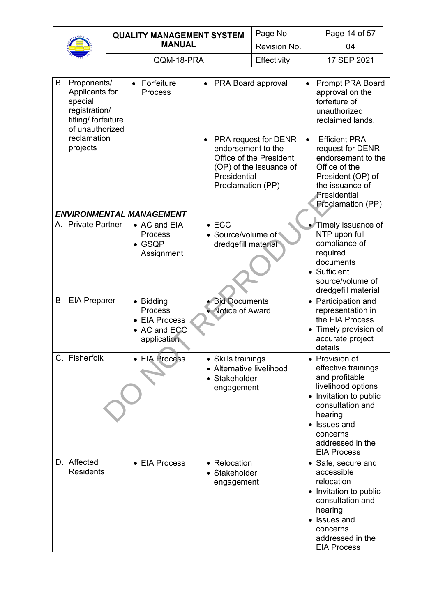| $\alpha_{\nu_{\mathcal{O}_p}}$<br><b>E</b> C. |
|-----------------------------------------------|
| ۰,                                            |

| <b>QUALITY MANAGEMENT SYSTEM</b> | Page No.     | Page 14 of 57 |
|----------------------------------|--------------|---------------|
| <b>MANUAL</b>                    | Revision No. | 04            |
| QQM-18-PRA                       | Effectivity  | 17 SEP 2021   |

| B. Proponents/<br>Applicants for<br>special<br>registration/<br>titling/ forfeiture<br>of unauthorized | Forfeiture<br>$\bullet$<br>Process                                   |           | • PRA Board approval                                                                                                                  | $\bullet$ | <b>Prompt PRA Board</b><br>approval on the<br>forfeiture of<br>unauthorized<br>reclaimed lands.                                                                                                            |
|--------------------------------------------------------------------------------------------------------|----------------------------------------------------------------------|-----------|---------------------------------------------------------------------------------------------------------------------------------------|-----------|------------------------------------------------------------------------------------------------------------------------------------------------------------------------------------------------------------|
| reclamation<br>projects                                                                                |                                                                      | $\bullet$ | PRA request for DENR<br>endorsement to the<br>Office of the President<br>(OP) of the issuance of<br>Presidential<br>Proclamation (PP) | $\bullet$ | <b>Efficient PRA</b><br>request for DENR<br>endorsement to the<br>Office of the<br>President (OP) of<br>the issuance of<br>Presidential<br>Proclamation (PP)                                               |
| <b>ENVIRONMENTAL MANAGEMENT</b>                                                                        |                                                                      |           |                                                                                                                                       |           |                                                                                                                                                                                                            |
| A. Private Partner                                                                                     | • AC and EIA<br>Process<br>$\bullet$ GSQP<br>Assignment              |           | $\bullet$ ECC<br>• Source/volume of<br>dredgefill material                                                                            |           | • Timely issuance of<br>NTP upon full<br>compliance of<br>required<br>documents<br>• Sufficient<br>source/volume of<br>dredgefill material                                                                 |
| <b>B.</b> EIA Preparer                                                                                 | • Bidding<br>Process<br>• EIA Process<br>• AC and ECC<br>application |           | · Bid Documents<br>• Notice of Award                                                                                                  |           | • Participation and<br>representation in<br>the EIA Process<br>• Timely provision of<br>accurate project<br>details                                                                                        |
| C. Fisherfolk                                                                                          | • EIA Process                                                        |           | • Skills trainings<br>• Alternative livelihood<br>Stakeholder<br>engagement                                                           |           | • Provision of<br>effective trainings<br>and profitable<br>livelihood options<br>Invitation to public<br>consultation and<br>hearing<br>• Issues and<br>concerns<br>addressed in the<br><b>EIA Process</b> |
| D. Affected<br><b>Residents</b>                                                                        | • EIA Process                                                        |           | • Relocation<br>• Stakeholder<br>engagement                                                                                           |           | • Safe, secure and<br>accessible<br>relocation<br>• Invitation to public<br>consultation and<br>hearing<br>Issues and<br>concerns<br>addressed in the<br><b>EIA Process</b>                                |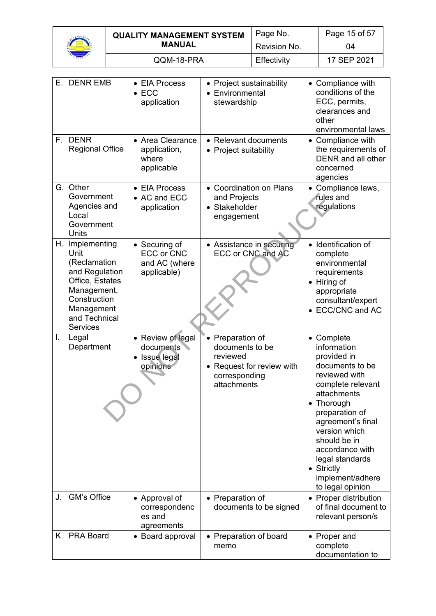

| <b>QUALITY MANAGEMENT SYSTEM</b> | Page No.     | Page 15 of 57 |
|----------------------------------|--------------|---------------|
| <b>MANUAL</b>                    | Revision No. | 04            |
| QQM-18-PRA                       | Effectivity  | 17 SEP 2021   |

|    | E. DENR EMB                                                                                                                                                | • EIA Process<br>$\bullet$ ECC<br>application                      | • Project sustainability<br>• Environmental<br>stewardship                                                   | • Compliance with<br>conditions of the<br>ECC, permits,<br>clearances and<br>other<br>environmental laws                                                                                                                                                                                                 |
|----|------------------------------------------------------------------------------------------------------------------------------------------------------------|--------------------------------------------------------------------|--------------------------------------------------------------------------------------------------------------|----------------------------------------------------------------------------------------------------------------------------------------------------------------------------------------------------------------------------------------------------------------------------------------------------------|
|    | F. DENR<br><b>Regional Office</b>                                                                                                                          | • Area Clearance<br>application,<br>where<br>applicable            | • Relevant documents<br>• Project suitability                                                                | • Compliance with<br>the requirements of<br>DENR and all other<br>concerned<br>agencies                                                                                                                                                                                                                  |
|    | G. Other<br>Government<br>Agencies and<br>Local<br>Government<br>Units                                                                                     | • EIA Process<br>• AC and ECC<br>application                       | • Coordination on Plans<br>and Projects<br>• Stakeholder<br>engagement                                       | Compliance laws,<br>$\bullet$<br>rules and<br>regulations                                                                                                                                                                                                                                                |
| Н. | Implementing<br>Unit<br>(Reclamation<br>and Regulation<br>Office, Estates<br>Management,<br>Construction<br>Management<br>and Technical<br><b>Services</b> | • Securing of<br><b>ECC or CNC</b><br>and AC (where<br>applicable) | • Assistance in securing<br><b>ECC or CNC and AC</b>                                                         | • Identification of<br>complete<br>environmental<br>requirements<br>• Hiring of<br>appropriate<br>consultant/expert<br><b>ECC/CNC and AC</b>                                                                                                                                                             |
| I. | Legal<br>Department                                                                                                                                        | • Review of legal<br>documents<br>• Issue legal<br>opinions        | • Preparation of<br>documents to be<br>reviewed<br>• Request for review with<br>corresponding<br>attachments | • Complete<br>information<br>provided in<br>documents to be<br>reviewed with<br>complete relevant<br>attachments<br>Thorough<br>preparation of<br>agreement's final<br>version which<br>should be in<br>accordance with<br>legal standards<br>$\bullet$ Strictly<br>implement/adhere<br>to legal opinion |
| J. | <b>GM's Office</b>                                                                                                                                         | • Approval of<br>correspondenc<br>es and<br>agreements             | • Preparation of<br>documents to be signed                                                                   | • Proper distribution<br>of final document to<br>relevant person/s                                                                                                                                                                                                                                       |
|    | K. PRA Board                                                                                                                                               | • Board approval                                                   | • Preparation of board<br>memo                                                                               | • Proper and<br>complete<br>documentation to                                                                                                                                                                                                                                                             |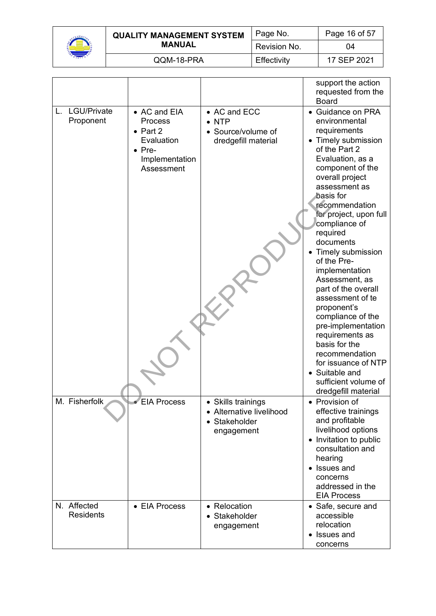

| <b>QUALITY MANAGEMENT SYSTEM</b> | Page No.     | Page 16 of 57 |
|----------------------------------|--------------|---------------|
| <b>MANUAL</b>                    | Revision No. | 04            |
| QQM-18-PRA                       | Effectivity  | 17 SEP 2021   |

|                                 |                                                                                                             |                                                                               | support the action<br>requested from the<br><b>Board</b>                                                                                                                                                                                                                                                                                                                                                                                                                                                                                                                                             |
|---------------------------------|-------------------------------------------------------------------------------------------------------------|-------------------------------------------------------------------------------|------------------------------------------------------------------------------------------------------------------------------------------------------------------------------------------------------------------------------------------------------------------------------------------------------------------------------------------------------------------------------------------------------------------------------------------------------------------------------------------------------------------------------------------------------------------------------------------------------|
| L. LGU/Private<br>Proponent     | • AC and EIA<br>Process<br>$\bullet$ Part 2<br>Evaluation<br>$\bullet$ Pre-<br>Implementation<br>Assessment | • AC and ECC<br>$\bullet$ NTP<br>• Source/volume of<br>dredgefill material    | • Guidance on PRA<br>environmental<br>requirements<br>• Timely submission<br>of the Part 2<br>Evaluation, as a<br>component of the<br>overall project<br>assessment as<br>basis for<br>recommendation<br>for project, upon full<br>compliance of<br>required<br>documents<br>Timely submission<br>of the Pre-<br>implementation<br>Assessment, as<br>part of the overall<br>assessment of te<br>proponent's<br>compliance of the<br>pre-implementation<br>requirements as<br>basis for the<br>recommendation<br>for issuance of NTP<br>• Suitable and<br>sufficient volume of<br>dredgefill material |
| M. Fisherfolk                   | <b>EIA Process</b>                                                                                          | • Skills trainings<br>• Alternative livelihood<br>• Stakeholder<br>engagement | • Provision of<br>effective trainings<br>and profitable<br>livelihood options<br>• Invitation to public<br>consultation and<br>hearing<br>• Issues and<br>concerns<br>addressed in the<br><b>EIA Process</b>                                                                                                                                                                                                                                                                                                                                                                                         |
| N. Affected<br><b>Residents</b> | • EIA Process                                                                                               | • Relocation<br>• Stakeholder<br>engagement                                   | • Safe, secure and<br>accessible<br>relocation<br>• Issues and<br>concerns                                                                                                                                                                                                                                                                                                                                                                                                                                                                                                                           |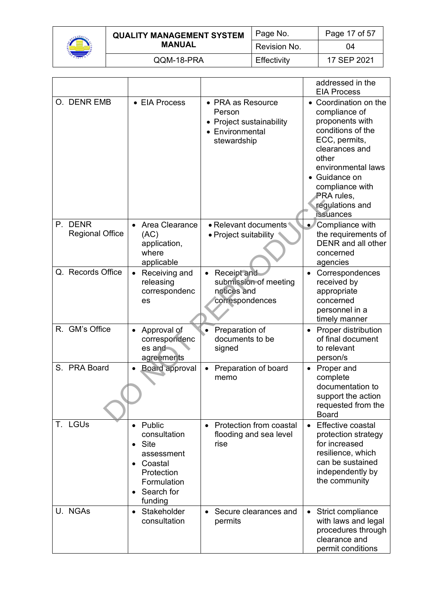

| <b>QUALITY MANAGEMENT SYSTEM</b> | Page No.     | Page 17 of 57 |
|----------------------------------|--------------|---------------|
| <b>MANUAL</b>                    | Revision No. | 04            |
| QQM-18-PRA                       | Effectivity  | 17 SEP 2021   |

|                                   |                                                                                                                           |                                                                                           | addressed in the<br><b>EIA Process</b>                                                                                                                                                                                                    |
|-----------------------------------|---------------------------------------------------------------------------------------------------------------------------|-------------------------------------------------------------------------------------------|-------------------------------------------------------------------------------------------------------------------------------------------------------------------------------------------------------------------------------------------|
| O. DENR EMB                       | • EIA Process                                                                                                             | • PRA as Resource<br>Person<br>• Project sustainability<br>• Environmental<br>stewardship | • Coordination on the<br>compliance of<br>proponents with<br>conditions of the<br>ECC, permits,<br>clearances and<br>other<br>environmental laws<br>• Guidance on<br>compliance with<br>PRA rules,<br>regulations and<br><b>issuances</b> |
| P. DENR<br><b>Regional Office</b> | Area Clearance<br>(AC)<br>application,<br>where<br>applicable                                                             | • Relevant documents<br>$\bullet$ Project suitability                                     | Compliance with<br>$\bullet$<br>the requirements of<br>DENR and all other<br>concerned<br>agencies                                                                                                                                        |
| Q. Records Office                 | Receiving and<br>$\bullet$<br>releasing<br>correspondenc<br>es                                                            | Receipt and<br>submission of meeting<br>notices and<br>correspondences                    | Correspondences<br>$\bullet$<br>received by<br>appropriate<br>concerned<br>personnel in a<br>timely manner                                                                                                                                |
| R. GM's Office                    | Approval of<br>correspondenc<br>$es$ and<br>agreements                                                                    | Preparation of<br>$\bullet$<br>documents to be<br>signed                                  | Proper distribution<br>$\bullet$<br>of final document<br>to relevant<br>person/s                                                                                                                                                          |
| S. PRA Board                      | <b>Board approval</b>                                                                                                     | Preparation of board<br>memo                                                              | • Proper and<br>complete<br>documentation to<br>support the action<br>requested from the<br><b>Board</b>                                                                                                                                  |
| T. LGUs                           | Public<br>consultation<br>$\bullet$ Site<br>assessment<br>• Coastal<br>Protection<br>Formulation<br>Search for<br>funding | Protection from coastal<br>$\bullet$<br>flooding and sea level<br>rise                    | Effective coastal<br>$\bullet$<br>protection strategy<br>for increased<br>resilience, which<br>can be sustained<br>independently by<br>the community                                                                                      |
| U. NGAs                           | • Stakeholder<br>consultation                                                                                             | • Secure clearances and<br>permits                                                        | Strict compliance<br>$\bullet$<br>with laws and legal<br>procedures through<br>clearance and<br>permit conditions                                                                                                                         |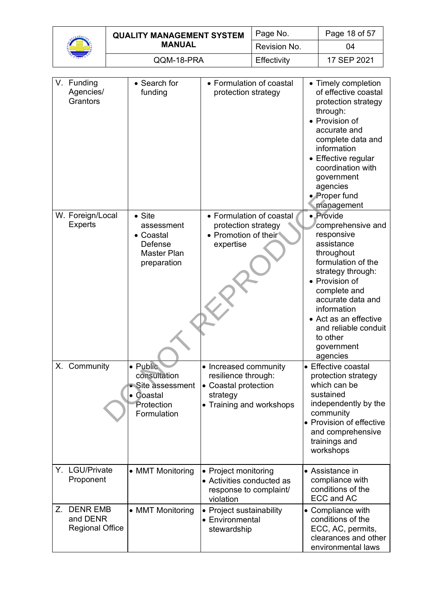| <b>QUALITY MANAGEMENT SYSTEM</b> | Page No.     | Page 18 of 57 |
|----------------------------------|--------------|---------------|
| <b>MANUAL</b>                    | Revision No. | 04            |
| QQM-18-PRA                       | Effectivity  | 17 SEP 2021   |

| V. Funding<br>Agencies/<br>Grantors                         | • Search for<br>funding                                                                   | • Formulation of coastal<br>protection strategy                                                              | • Timely completion<br>of effective coastal<br>protection strategy<br>through:<br>• Provision of<br>accurate and<br>complete data and<br>information<br>• Effective regular<br>coordination with<br>government<br>agencies<br>• Proper fund<br>management                        |
|-------------------------------------------------------------|-------------------------------------------------------------------------------------------|--------------------------------------------------------------------------------------------------------------|----------------------------------------------------------------------------------------------------------------------------------------------------------------------------------------------------------------------------------------------------------------------------------|
| W. Foreign/Local<br><b>Experts</b>                          | $\bullet$ Site<br>assessment<br>• Coastal<br>Defense<br><b>Master Plan</b><br>preparation | • Formulation of coastal<br>protection strategy<br>• Promotion of their<br>expertise                         | • Provide<br>comprehensive and<br>responsive<br>assistance<br>throughout<br>formulation of the<br>strategy through:<br>• Provision of<br>complete and<br>accurate data and<br>information<br>• Act as an effective<br>and reliable conduit<br>to other<br>government<br>agencies |
| X. Community                                                | · Public<br>consultation<br>• Site assessment<br>• Coastal<br>Protection<br>Formulation   | • Increased community<br>resilience through:<br>• Coastal protection<br>strategy<br>• Training and workshops | • Effective coastal<br>protection strategy<br>which can be<br>sustained<br>independently by the<br>community<br>• Provision of effective<br>and comprehensive<br>trainings and<br>workshops                                                                                      |
| Y. LGU/Private<br>Proponent                                 | • MMT Monitoring                                                                          | • Project monitoring<br>• Activities conducted as<br>response to complaint/<br>violation                     | • Assistance in<br>compliance with<br>conditions of the<br><b>ECC and AC</b>                                                                                                                                                                                                     |
| Z.<br><b>DENR EMB</b><br>and DENR<br><b>Regional Office</b> | • MMT Monitoring                                                                          | Project sustainability<br>• Environmental<br>stewardship                                                     | • Compliance with<br>conditions of the<br>ECC, AC, permits,<br>clearances and other<br>environmental laws                                                                                                                                                                        |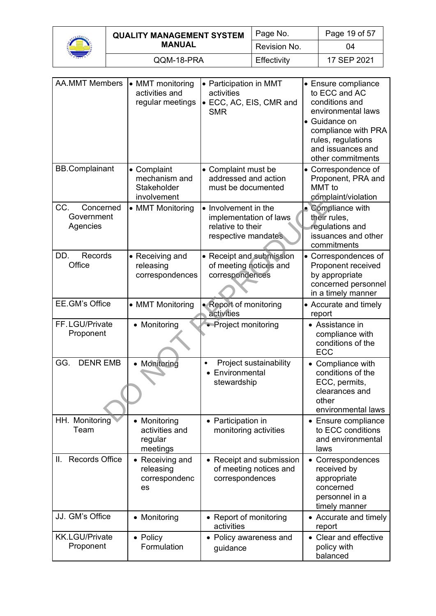

| <b>QUALITY MANAGEMENT SYSTEM</b> | Page No.     | Page 19 of 57 |
|----------------------------------|--------------|---------------|
| <b>MANUAL</b>                    | Revision No. | 04            |
| QQM-18-PRA                       | Effectivity  | 17 SEP 2021   |

| <b>AA.MMT Members</b>                      | • MMT monitoring<br>activities and<br>regular meetings     | • Participation in MMT<br>activities<br>• ECC, AC, EIS, CMR and<br><b>SMR</b>              | • Ensure compliance<br>to ECC and AC<br>conditions and<br>environmental laws<br>• Guidance on<br>compliance with PRA<br>rules, regulations<br>and issuances and<br>other commitments |
|--------------------------------------------|------------------------------------------------------------|--------------------------------------------------------------------------------------------|--------------------------------------------------------------------------------------------------------------------------------------------------------------------------------------|
| <b>BB.Complainant</b>                      | • Complaint<br>mechanism and<br>Stakeholder<br>involvement | • Complaint must be<br>addressed and action<br>must be documented                          | • Correspondence of<br>Proponent, PRA and<br>MMT to<br>complaint/violation                                                                                                           |
| CC.<br>Concerned<br>Government<br>Agencies | • MMT Monitoring                                           | • Involvement in the<br>implementation of laws<br>relative to their<br>respective mandates | • Compliance with<br>their rules,<br>regulations and<br>issuances and other<br>commitments                                                                                           |
| DD.<br>Records<br>Office                   | • Receiving and<br>releasing<br>correspondences            | • Receipt and submission<br>of meeting notices and<br>correspondences                      | • Correspondences of<br>Proponent received<br>by appropriate<br>concerned personnel<br>in a timely manner                                                                            |
| EE.GM's Office                             | • MMT Monitoring                                           | <b>Report of monitoring</b><br>activities                                                  | • Accurate and timely<br>report                                                                                                                                                      |
| FF.LGU/Private<br>Proponent                | • Monitoring                                               | • Project monitoring                                                                       | • Assistance in<br>compliance with<br>conditions of the<br><b>ECC</b>                                                                                                                |
| <b>DENR EMB</b><br>GG.                     | • Monitoring                                               | Project sustainability<br>$\bullet$<br>Environmental<br>$\bullet$<br>stewardship           | • Compliance with<br>conditions of the<br>ECC, permits,<br>clearances and<br>other<br>environmental laws                                                                             |
| HH. Monitoring<br>Team                     | • Monitoring<br>activities and<br>regular<br>meetings      | • Participation in<br>monitoring activities                                                | • Ensure compliance<br>to ECC conditions<br>and environmental<br>laws                                                                                                                |
| <b>Records Office</b><br>Ш.                | Receiving and<br>releasing<br>correspondenc<br>es          | • Receipt and submission<br>of meeting notices and<br>correspondences                      | Correspondences<br>received by<br>appropriate<br>concerned<br>personnel in a<br>timely manner                                                                                        |
| JJ. GM's Office                            | • Monitoring                                               | • Report of monitoring<br>activities                                                       | • Accurate and timely<br>report                                                                                                                                                      |
| <b>KK.LGU/Private</b><br>Proponent         | • Policy<br>Formulation                                    | • Policy awareness and<br>guidance                                                         | • Clear and effective<br>policy with<br>balanced                                                                                                                                     |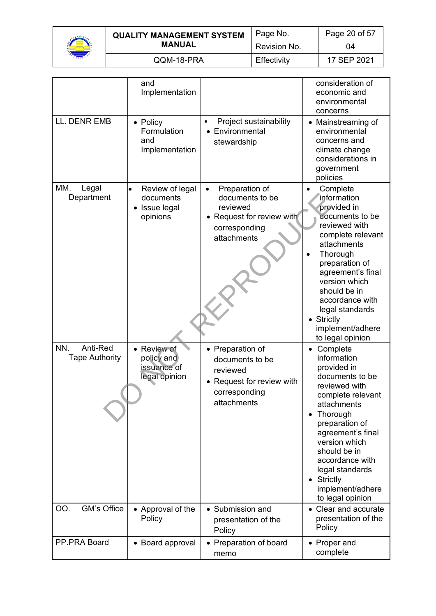

| <b>QUALITY MANAGEMENT SYSTEM</b> | Page No.     | Page 20 of 57 |
|----------------------------------|--------------|---------------|
| <b>MANUAL</b>                    | Revision No. | 04            |
| QQM-18-PRA                       | Effectivity  | 17 SEP 2021   |

|                                          | and<br>Implementation                                     |                                                                                                                         | consideration of<br>economic and<br>environmental<br>concerns                                                                                                                                                                                                                                               |
|------------------------------------------|-----------------------------------------------------------|-------------------------------------------------------------------------------------------------------------------------|-------------------------------------------------------------------------------------------------------------------------------------------------------------------------------------------------------------------------------------------------------------------------------------------------------------|
| LL. DENR EMB                             | • Policy<br>Formulation<br>and<br>Implementation          | Project sustainability<br>$\bullet$<br>Environmental<br>stewardship                                                     | • Mainstreaming of<br>environmental<br>concerns and<br>climate change<br>considerations in<br>government<br>policies                                                                                                                                                                                        |
| MM.<br>Legal<br>Department               | Review of legal<br>documents<br>Issue legal<br>opinions   | Preparation of<br>$\bullet$<br>documents to be<br>reviewed<br>• Request for review with<br>corresponding<br>attachments | Complete<br>information<br>provided in<br>documents to be<br>reviewed with<br>complete relevant<br>attachments<br>Thorough<br>preparation of<br>agreement's final<br>version which<br>should be in<br>accordance with<br>legal standards<br>• Strictly<br>implement/adhere<br>to legal opinion              |
| Anti-Red<br>NN.<br><b>Tape Authority</b> | • Review of<br>policy and<br>issuance of<br>legal opinion | • Preparation of<br>documents to be<br>reviewed<br>Request for review with<br>$\bullet$<br>corresponding<br>attachments | Complete<br>$\bullet$<br>information<br>provided in<br>documents to be<br>reviewed with<br>complete relevant<br>attachments<br>• Thorough<br>preparation of<br>agreement's final<br>version which<br>should be in<br>accordance with<br>legal standards<br>Strictly<br>implement/adhere<br>to legal opinion |
| GM's Office<br>OO.                       | • Approval of the<br>Policy                               | • Submission and<br>presentation of the<br>Policy                                                                       | • Clear and accurate<br>presentation of the<br>Policy                                                                                                                                                                                                                                                       |
| PP.PRA Board                             | • Board approval                                          | • Preparation of board<br>memo                                                                                          | • Proper and<br>complete                                                                                                                                                                                                                                                                                    |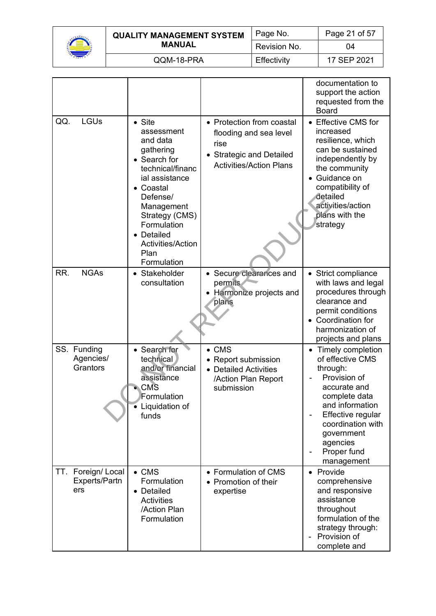

| <b>QUALITY MANAGEMENT SYSTEM</b> | Page No.     | Page 21 of 57 |
|----------------------------------|--------------|---------------|
| <b>MANUAL</b>                    | Revision No. | 04            |
| QQM-18-PRA                       | Effectivity  | 17 SEP 2021   |

|                                              |                                                                                                                                                                                                                                                      |                                                                                                                           | documentation to<br>support the action<br>requested from the<br><b>Board</b>                                                                                                                                             |
|----------------------------------------------|------------------------------------------------------------------------------------------------------------------------------------------------------------------------------------------------------------------------------------------------------|---------------------------------------------------------------------------------------------------------------------------|--------------------------------------------------------------------------------------------------------------------------------------------------------------------------------------------------------------------------|
| QQ.<br><b>LGUs</b>                           | $\bullet$ Site<br>assessment<br>and data<br>gathering<br>• Search for<br>technical/financ<br>ial assistance<br>• Coastal<br>Defense/<br>Management<br>Strategy (CMS)<br>Formulation<br>• Detailed<br><b>Activities/Action</b><br>Plan<br>Formulation | • Protection from coastal<br>flooding and sea level<br>rise<br>• Strategic and Detailed<br><b>Activities/Action Plans</b> | • Effective CMS for<br>increased<br>resilience, which<br>can be sustained<br>independently by<br>the community<br>Guidance on<br>compatibility of<br>detailed<br>activities/action<br>plans with the<br>strategy         |
| RR.<br><b>NGAs</b>                           | • Stakeholder<br>consultation                                                                                                                                                                                                                        | • Secure clearances and<br>permits<br>Harmonize projects and<br>plans                                                     | • Strict compliance<br>with laws and legal<br>procedures through<br>clearance and<br>permit conditions<br>• Coordination for<br>harmonization of<br>projects and plans                                                   |
| SS. Funding<br>Agencies/<br>Grantors         | • Search for<br>technical<br>and/or financial<br>assistance<br><b>CMS</b><br>Formulation<br>Liquidation of<br>funds                                                                                                                                  | $\bullet$ CMS<br>• Report submission<br>• Detailed Activities<br>/Action Plan Report<br>submission                        | • Timely completion<br>of effective CMS<br>through:<br>Provision of<br>accurate and<br>complete data<br>and information<br>Effective regular<br>coordination with<br>government<br>agencies<br>Proper fund<br>management |
| Foreign/Local<br>TT.<br>Experts/Partn<br>ers | $\bullet$ CMS<br>Formulation<br>• Detailed<br>Activities<br>/Action Plan<br>Formulation                                                                                                                                                              | • Formulation of CMS<br>• Promotion of their<br>expertise                                                                 | Provide<br>$\bullet$<br>comprehensive<br>and responsive<br>assistance<br>throughout<br>formulation of the<br>strategy through:<br>Provision of<br>complete and                                                           |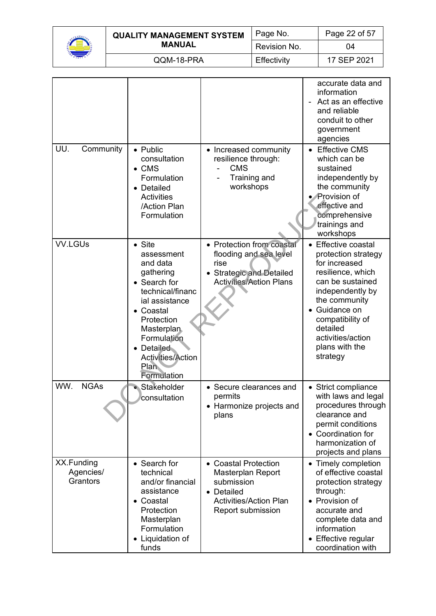

| <b>QUALITY MANAGEMENT SYSTEM</b> | Page No.     | Page 22 of 57 |
|----------------------------------|--------------|---------------|
| <b>MANUAL</b>                    | Revision No. | 04            |
| QQM-18-PRA                       | Effectivity  | 17 SEP 2021   |

|                                     |                                                                                                                                                                                                                                             |                                                                                                                             | accurate data and<br>information<br>Act as an effective<br>and reliable<br>conduit to other<br>government<br>agencies                                                                                                                       |
|-------------------------------------|---------------------------------------------------------------------------------------------------------------------------------------------------------------------------------------------------------------------------------------------|-----------------------------------------------------------------------------------------------------------------------------|---------------------------------------------------------------------------------------------------------------------------------------------------------------------------------------------------------------------------------------------|
| UU.<br>Community                    | • Public<br>consultation<br>$\bullet$ CMS<br>Formulation<br>• Detailed<br><b>Activities</b><br>/Action Plan<br>Formulation                                                                                                                  | • Increased community<br>resilience through:<br><b>CMS</b><br>Training and<br>workshops                                     | • Effective CMS<br>which can be<br>sustained<br>independently by<br>the community<br>• Provision of<br>effective and<br>comprehensive<br>trainings and<br>workshops                                                                         |
| <b>VV.LGUs</b>                      | $\bullet$ Site<br>assessment<br>and data<br>gathering<br>• Search for<br>technical/financ<br>ial assistance<br>• Coastal<br>Protection<br><b>Masterplan</b><br>Formulation<br>• Detailed<br>Activities/Action<br><b>Plan</b><br>Formulation | • Protection from coastal<br>flooding and sea level<br>rise<br>• Strategic and Detailed<br><b>Activities/Action Plans</b>   | • Effective coastal<br>protection strategy<br>for increased<br>resilience, which<br>can be sustained<br>independently by<br>the community<br>Guidance on<br>compatibility of<br>detailed<br>activities/action<br>plans with the<br>strategy |
| <b>NGAs</b><br>WW.                  | Stakeholder<br>consultation                                                                                                                                                                                                                 | • Secure clearances and<br>permits<br>• Harmonize projects and<br>plans                                                     | • Strict compliance<br>with laws and legal<br>procedures through<br>clearance and<br>permit conditions<br>• Coordination for<br>harmonization of<br>projects and plans                                                                      |
| XX.Funding<br>Agencies/<br>Grantors | • Search for<br>technical<br>and/or financial<br>assistance<br>• Coastal<br>Protection<br>Masterplan<br>Formulation<br>• Liquidation of<br>funds                                                                                            | • Coastal Protection<br>Masterplan Report<br>submission<br>• Detailed<br><b>Activities/Action Plan</b><br>Report submission | • Timely completion<br>of effective coastal<br>protection strategy<br>through:<br>• Provision of<br>accurate and<br>complete data and<br>information<br>• Effective regular<br>coordination with                                            |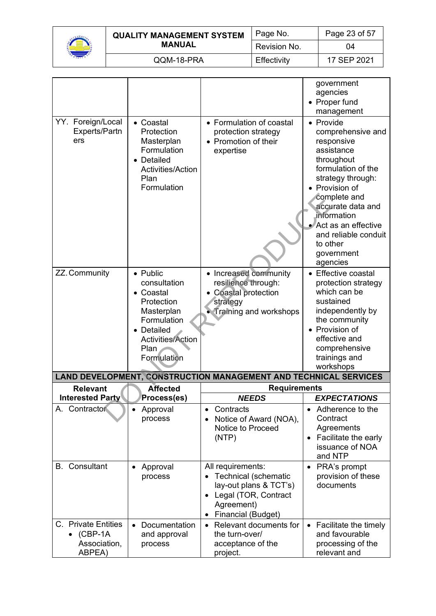

| <b>QUALITY MANAGEMENT SYSTEM</b> | Page No.     | Page 23 of 57 |
|----------------------------------|--------------|---------------|
| MANUAL                           | Revision No. | 04            |
| QQM-18-PRA                       | Effectivity  | 17 SEP 2021   |

|                                                                    |                                                                                                                                                   |                                                                                                                                   | government<br>agencies<br>• Proper fund                                                                                                                                                                                                                                                      |
|--------------------------------------------------------------------|---------------------------------------------------------------------------------------------------------------------------------------------------|-----------------------------------------------------------------------------------------------------------------------------------|----------------------------------------------------------------------------------------------------------------------------------------------------------------------------------------------------------------------------------------------------------------------------------------------|
| YY. Foreign/Local<br>Experts/Partn<br>ers                          | • Coastal<br>Protection<br>Masterplan<br>Formulation<br>• Detailed<br>Activities/Action<br>Plan<br>Formulation                                    | • Formulation of coastal<br>protection strategy<br>• Promotion of their<br>expertise                                              | management<br>• Provide<br>comprehensive and<br>responsive<br>assistance<br>throughout<br>formulation of the<br>strategy through:<br>• Provision of<br>complete and<br>accurate data and<br>information<br>Act as an effective<br>and reliable conduit<br>to other<br>government<br>agencies |
| ZZ. Community                                                      | • Public<br>consultation<br>• Coastal<br>Protection<br>Masterplan<br>Formulation<br>• Detailed<br><b>Activities/Action</b><br>Plan<br>Formulation | • Increased community<br>resilience through:<br>• Coastal protection<br>strategy<br>• Training and workshops                      | • Effective coastal<br>protection strategy<br>which can be<br>sustained<br>independently by<br>the community<br>• Provision of<br>effective and<br>comprehensive<br>trainings and<br>workshops                                                                                               |
|                                                                    |                                                                                                                                                   | LAND DEVELOPMENT, CONSTRUCTION MANAGEMENT AND TECHNICAL SERVICES                                                                  |                                                                                                                                                                                                                                                                                              |
| <b>Relevant</b>                                                    | <b>Affected</b>                                                                                                                                   | <b>Requirements</b>                                                                                                               |                                                                                                                                                                                                                                                                                              |
| <b>Interested Party</b>                                            | Process(es)                                                                                                                                       | <b>NEEDS</b>                                                                                                                      | <b>EXPECTATIONS</b>                                                                                                                                                                                                                                                                          |
| A. Contractor                                                      | Approval<br>process                                                                                                                               | Contracts<br>Notice of Award (NOA),<br>Notice to Proceed<br>(NTP)                                                                 | Adherence to the<br>$\bullet$<br>Contract<br>Agreements<br>Facilitate the early<br>$\bullet$<br>issuance of NOA<br>and NTP                                                                                                                                                                   |
| <b>B.</b> Consultant                                               | Approval<br>process                                                                                                                               | All requirements:<br>Technical (schematic<br>lay-out plans & TCT's)<br>• Legal (TOR, Contract<br>Agreement)<br>Financial (Budget) | PRA's prompt<br>$\bullet$<br>provision of these<br>documents                                                                                                                                                                                                                                 |
| C. Private Entities<br>$\bullet$ (CBP-1A<br>Association,<br>ABPEA) | Documentation<br>and approval<br>process                                                                                                          | Relevant documents for<br>$\bullet$<br>the turn-over/<br>acceptance of the<br>project.                                            | Facilitate the timely<br>and favourable<br>processing of the<br>relevant and                                                                                                                                                                                                                 |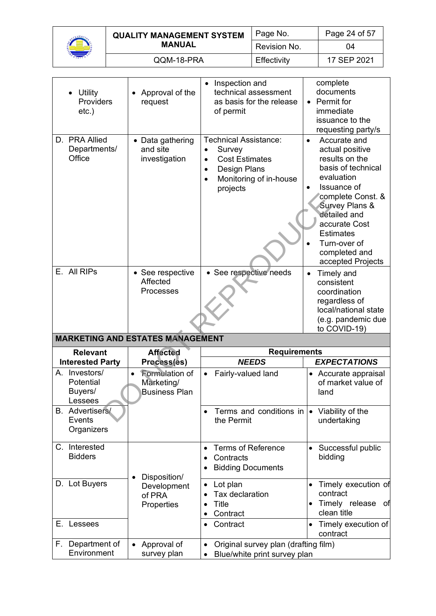

| <b>QUALITY MANAGEMENT SYSTEM</b> | Page No.     | Page 24 of 57 |
|----------------------------------|--------------|---------------|
| <b>MANUAL</b>                    | Revision No. | 04            |
| QQM-18-PRA                       | Effectivity  | 17 SEP 2021   |

|    | Utility<br>Providers<br>$etc.$ )                 | Approval of the<br>request                           | Inspection and<br>$\bullet$<br>technical assessment<br>as basis for the release<br>of permit                                                          | complete<br>documents<br>• Permit for<br>immediate<br>issuance to the<br>requesting party/s                                                                                                                                                                         |
|----|--------------------------------------------------|------------------------------------------------------|-------------------------------------------------------------------------------------------------------------------------------------------------------|---------------------------------------------------------------------------------------------------------------------------------------------------------------------------------------------------------------------------------------------------------------------|
|    | D. PRA Allied<br>Departments/<br>Office          | • Data gathering<br>and site<br>investigation        | Technical Assistance:<br>Survey<br>$\bullet$<br><b>Cost Estimates</b><br>$\bullet$<br>Design Plans<br>$\bullet$<br>Monitoring of in-house<br>projects | Accurate and<br>$\bullet$<br>actual positive<br>results on the<br>basis of technical<br>evaluation<br>Issuance of<br>complete Const. &<br>Survey Plans &<br>detailed and<br>accurate Cost<br><b>Estimates</b><br>Turn-over of<br>completed and<br>accepted Projects |
|    | E. All RIPs                                      | • See respective<br>Affected<br><b>Processes</b>     | • See respective needs                                                                                                                                | Timely and<br>$\bullet$<br>consistent<br>coordination<br>regardless of<br>local/national state<br>(e.g. pandemic due<br>to COVID-19)                                                                                                                                |
|    |                                                  |                                                      |                                                                                                                                                       |                                                                                                                                                                                                                                                                     |
|    |                                                  | <b>MARKETING AND ESTATES MANAGEMENT</b>              |                                                                                                                                                       |                                                                                                                                                                                                                                                                     |
|    | <b>Relevant</b>                                  | <b>Affected</b>                                      | <b>Requirements</b>                                                                                                                                   |                                                                                                                                                                                                                                                                     |
|    | <b>Interested Party</b>                          | Process(es)                                          | <b>NEEDS</b>                                                                                                                                          | <b>EXPECTATIONS</b>                                                                                                                                                                                                                                                 |
|    | A. Investors/<br>Potential<br>Buyers/<br>Lessees | Formulation of<br>Marketing/<br><b>Business Plan</b> | Fairly-valued land<br>$\bullet$                                                                                                                       | • Accurate appraisal<br>of market value of<br>land                                                                                                                                                                                                                  |
|    | <b>B.</b> Advertisers/<br>Events<br>Organizers   |                                                      | Terms and conditions in<br>the Permit                                                                                                                 | Viability of the<br>undertaking                                                                                                                                                                                                                                     |
|    | C. Interested<br><b>Bidders</b>                  |                                                      | <b>Terms of Reference</b><br>$\bullet$<br>Contracts<br>$\bullet$<br><b>Bidding Documents</b>                                                          | Successful public<br>$\bullet$<br>bidding                                                                                                                                                                                                                           |
|    | D. Lot Buyers                                    | Disposition/<br>Development<br>of PRA<br>Properties  | Lot plan<br>Tax declaration<br><b>Title</b><br>$\bullet$<br>Contract<br>$\bullet$                                                                     | Timely execution of<br>contract<br>Timely release of<br>clean title                                                                                                                                                                                                 |
| Е. | Lessees                                          |                                                      | Contract                                                                                                                                              | Timely execution of<br>contract                                                                                                                                                                                                                                     |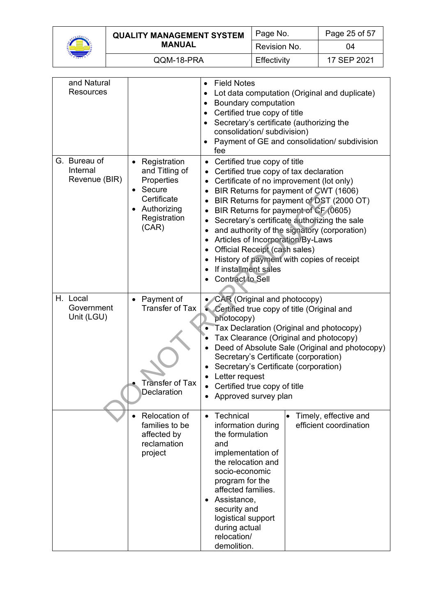

|  | <b>QUALITY MANAGEMENT SYSTEM</b><br><b>MANUAL</b> | Page No.     | Page 25 of 57 |
|--|---------------------------------------------------|--------------|---------------|
|  |                                                   | Revision No. | 04            |
|  | QQM-18-PRA                                        | Effectivity  | 17 SEP 2021   |

| and Natural<br><b>Resources</b>           |                                                                                                                            | <b>Field Notes</b><br>$\bullet$<br>Lot data computation (Original and duplicate)<br>Boundary computation<br>$\bullet$<br>Certified true copy of title<br>$\bullet$<br>Secretary's certificate (authorizing the<br>$\bullet$<br>consolidation/ subdivision)<br>Payment of GE and consolidation/ subdivision<br>fee                                                                                                                                                                                                                         |  |
|-------------------------------------------|----------------------------------------------------------------------------------------------------------------------------|-------------------------------------------------------------------------------------------------------------------------------------------------------------------------------------------------------------------------------------------------------------------------------------------------------------------------------------------------------------------------------------------------------------------------------------------------------------------------------------------------------------------------------------------|--|
| G. Bureau of<br>Internal<br>Revenue (BIR) | Registration<br>and Titling of<br>Properties<br>Secure<br>$\bullet$<br>Certificate<br>Authorizing<br>Registration<br>(CAR) | Certified true copy of title<br>Certified true copy of tax declaration<br>Certificate of no improvement (lot only)<br>BIR Returns for payment of CWT (1606)<br>BIR Returns for payment of DST (2000 OT)<br>BIR Returns for payment of CF (0605)<br>Secretary's certificate authorizing the sale<br>$\bullet$<br>and authority of the signatory (corporation)<br>Articles of Incorporation/By-Laws<br><b>Official Receipt (cash sales)</b><br>History of payment with copies of receipt<br>If installment sales<br><b>Contract to Sell</b> |  |
| H. Local<br>Government<br>Unit (LGU)      | Payment of<br><b>Transfer of Tax</b><br><b>Transfer of Tax</b><br>Declaration                                              | CAR (Original and photocopy)<br>Certified true copy of title (Original and<br>photocopy)<br>Tax Declaration (Original and photocopy)<br>Tax Clearance (Original and photocopy)<br>Deed of Absolute Sale (Original and photocopy)<br>Secretary's Certificate (corporation)<br>Secretary's Certificate (corporation)<br>Letter request<br>Certified true copy of title<br>Approved survey plan                                                                                                                                              |  |
|                                           | <b>Relocation of</b><br>families to be<br>affected by<br>reclamation<br>project                                            | Technical<br>Timely, effective and<br>$\bullet$<br>efficient coordination<br>information during<br>the formulation<br>and<br>implementation of<br>the relocation and<br>socio-economic<br>program for the<br>affected families.<br>Assistance,<br>security and<br>logistical support<br>during actual<br>relocation/<br>demolition.                                                                                                                                                                                                       |  |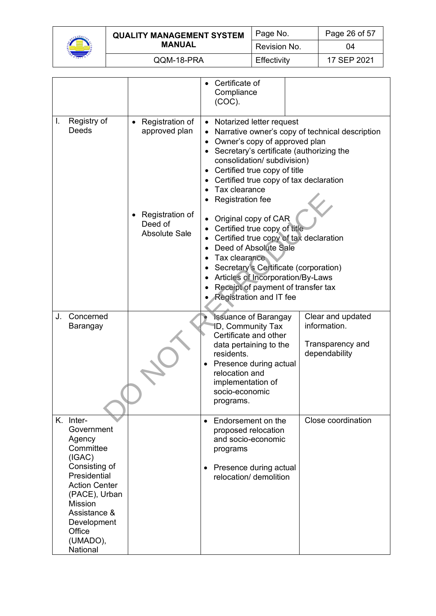

|  | <b>QUALITY MANAGEMENT SYSTEM</b><br><b>MANUAL</b> | Page No.     | Page 26 of 57 |
|--|---------------------------------------------------|--------------|---------------|
|  |                                                   | Revision No. | 04            |
|  | QQM-18-PRA                                        | Effectivity  | 17 SEP 2021   |

|                                                                | Certificate of<br>Compliance<br>$(COC)$ .                                                                                                                                                                                                                                                                                                                                              |  |
|----------------------------------------------------------------|----------------------------------------------------------------------------------------------------------------------------------------------------------------------------------------------------------------------------------------------------------------------------------------------------------------------------------------------------------------------------------------|--|
| Registration of<br>approved plan<br>Registration of<br>Deed of | • Notarized letter request<br>Narrative owner's copy of technical description<br>Owner's copy of approved plan<br>$\bullet$<br>• Secretary's certificate (authorizing the<br>consolidation/ subdivision)<br>Certified true copy of title<br>Certified true copy of tax declaration<br>Tax clearance<br><b>Registration fee</b><br>Original copy of CAR<br>Certified true copy of title |  |
|                                                                | Certified true copy of tax declaration<br>Deed of Absolute Sale<br>Tax clearance<br>Secretary's Certificate (corporation)<br>Articles of Incorporation/By-Laws<br>Receipt of payment of transfer tax<br><b>Registration and IT fee</b>                                                                                                                                                 |  |
|                                                                | Clear and updated<br><b>Issuance of Barangay</b><br>information.<br><b>ID, Community Tax</b><br>Certificate and other<br>Transparency and<br>data pertaining to the<br>residents.<br>dependability<br>Presence during actual<br>relocation and<br>implementation of<br>socio-economic<br>programs.                                                                                     |  |
|                                                                | Close coordination<br>Endorsement on the<br>$\bullet$<br>proposed relocation<br>and socio-economic<br>programs<br>Presence during actual<br>$\bullet$<br>relocation/ demolition                                                                                                                                                                                                        |  |
|                                                                | <b>Absolute Sale</b>                                                                                                                                                                                                                                                                                                                                                                   |  |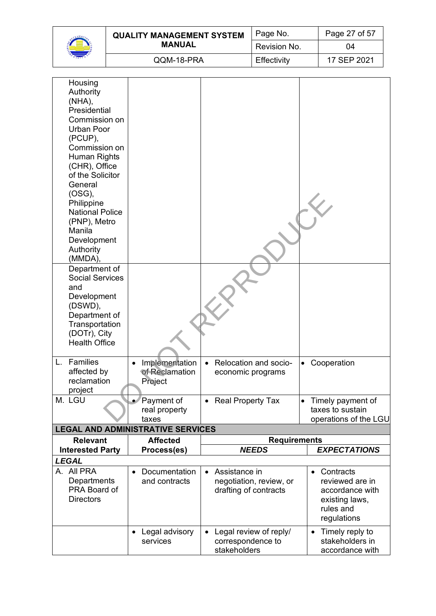| <b>QUALITY MANAGEMENT SYSTEM</b> | Page No.     | Page 27 of 57 |
|----------------------------------|--------------|---------------|
| <b>MANUAL</b>                    | Revision No. | 04            |
| QQM-18-PRA                       | Effectivity  | 17 SFP 2021   |

| Housing                              |                                          |                                    |                                    |
|--------------------------------------|------------------------------------------|------------------------------------|------------------------------------|
| Authority<br>$(NHA)$ ,               |                                          |                                    |                                    |
| Presidential                         |                                          |                                    |                                    |
| Commission on                        |                                          |                                    |                                    |
| Urban Poor                           |                                          |                                    |                                    |
| (PCUP),                              |                                          |                                    |                                    |
| Commission on                        |                                          |                                    |                                    |
| Human Rights                         |                                          |                                    |                                    |
| (CHR), Office<br>of the Solicitor    |                                          |                                    |                                    |
| General                              |                                          |                                    |                                    |
| (OSG),                               |                                          |                                    |                                    |
| Philippine                           |                                          |                                    |                                    |
| <b>National Police</b>               |                                          |                                    |                                    |
| (PNP), Metro                         |                                          |                                    |                                    |
| Manila<br>Development                |                                          |                                    |                                    |
| Authority                            |                                          |                                    |                                    |
| (MMDA),                              |                                          |                                    |                                    |
| Department of                        |                                          |                                    |                                    |
| <b>Social Services</b>               |                                          |                                    |                                    |
| and<br>Development                   |                                          |                                    |                                    |
| (DSWD),                              |                                          |                                    |                                    |
| Department of                        |                                          |                                    |                                    |
| Transportation                       |                                          |                                    |                                    |
| (DOTr), City<br><b>Health Office</b> |                                          |                                    |                                    |
|                                      |                                          |                                    |                                    |
| Families<br>L.                       | Implementation                           | Relocation and socio-<br>$\bullet$ | Cooperation<br>$\bullet$           |
| affected by                          | of Reclamation                           | economic programs                  |                                    |
| reclamation                          | Project                                  |                                    |                                    |
| project<br>M. LGU                    | Payment of                               | <b>Real Property Tax</b>           | Timely payment of<br>$\bullet$     |
|                                      | real property                            |                                    | taxes to sustain                   |
|                                      | taxes                                    |                                    | operations of the LGU              |
|                                      | <b>LEGAL AND ADMINISTRATIVE SERVICES</b> |                                    |                                    |
| <b>Relevant</b>                      | <b>Affected</b>                          | <b>Requirements</b>                |                                    |
| <b>Interested Party</b>              | Process(es)                              | <b>NEEDS</b>                       | <b>EXPECTATIONS</b>                |
| <b>LEGAL</b><br>A. All PRA           | Documentation                            | Assistance in<br>$\bullet$         | Contracts<br>$\bullet$             |
| Departments                          | and contracts                            | negotiation, review, or            | reviewed are in                    |
| PRA Board of                         |                                          | drafting of contracts              | accordance with                    |
| <b>Directors</b>                     |                                          |                                    | existing laws,                     |
|                                      |                                          |                                    | rules and                          |
|                                      |                                          |                                    | regulations                        |
|                                      | Legal advisory                           | Legal review of reply/             | Timely reply to<br>$\bullet$       |
|                                      | services                                 | correspondence to<br>stakeholders  | stakeholders in<br>accordance with |

stakeholders

accordance with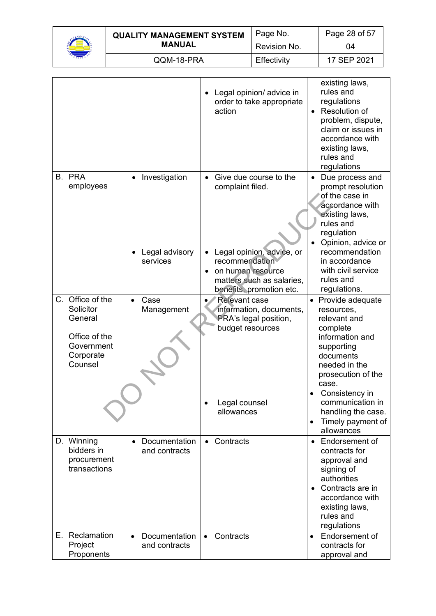

| <b>QUALITY MANAGEMENT SYSTEM</b> | Page No.     | Page 28 of 57 |
|----------------------------------|--------------|---------------|
| <b>MANUAL</b>                    | Revision No. | 04            |
| QQM-18-PRA                       | Effectivity  | 17 SEP 2021   |

|                                                                                                 |                                             | Legal opinion/ advice in<br>order to take appropriate<br>action                                                                                                           | existing laws,<br>rules and<br>regulations<br>Resolution of<br>problem, dispute,<br>claim or issues in<br>accordance with<br>existing laws,<br>rules and<br>regulations                                                                                              |
|-------------------------------------------------------------------------------------------------|---------------------------------------------|---------------------------------------------------------------------------------------------------------------------------------------------------------------------------|----------------------------------------------------------------------------------------------------------------------------------------------------------------------------------------------------------------------------------------------------------------------|
| B. PRA<br>employees                                                                             | Investigation<br>Legal advisory<br>services | • Give due course to the<br>complaint filed.<br>Legal opinion, advice, or<br>recommendation<br>on human resource<br>matters such as salaries,<br>benefits, promotion etc. | • Due process and<br>prompt resolution<br>of the case in<br>accordance with<br>existing laws,<br>rules and<br>regulation<br>Opinion, advice or<br>recommendation<br>in accordance<br>with civil service<br>rules and<br>regulations.                                 |
| C. Office of the<br>Solicitor<br>General<br>Office of the<br>Government<br>Corporate<br>Counsel | $\bullet$<br>Case<br>Management             | <b>Relevant case</b><br>information, documents,<br><b>PRA's legal position,</b><br>budget resources<br>Legal counsel<br>allowances                                        | Provide adequate<br>resources,<br>relevant and<br>complete<br>information and<br>supporting<br>documents<br>needed in the<br>prosecution of the<br>case.<br>Consistency in<br>communication in<br>handling the case.<br>Timely payment of<br>$\bullet$<br>allowances |
| D. Winning<br>bidders in<br>procurement<br>transactions                                         | Documentation<br>$\bullet$<br>and contracts | Contracts<br>$\bullet$                                                                                                                                                    | Endorsement of<br>$\bullet$<br>contracts for<br>approval and<br>signing of<br>authorities<br>• Contracts are in<br>accordance with<br>existing laws,<br>rules and<br>regulations                                                                                     |
| E. Reclamation<br>Project<br>Proponents                                                         | Documentation<br>$\bullet$<br>and contracts | Contracts<br>$\bullet$                                                                                                                                                    | Endorsement of<br>$\bullet$<br>contracts for<br>approval and                                                                                                                                                                                                         |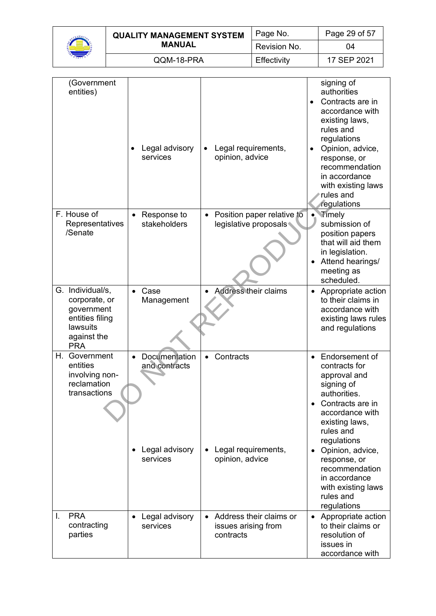| <b>QUALITY MANAGEMENT SYSTEM</b> | Page No.     | Page 29 of 57 |
|----------------------------------|--------------|---------------|
| <b>MANUAL</b>                    | Revision No. | ገ4            |
| QQM-18-PRA                       | Effectivity  | 17 SEP 2021   |

| (Government<br>entities)                                                                                    | Legal advisory<br>services                                   | Legal requirements,<br>opinion, advice                           | signing of<br>authorities<br>Contracts are in<br>$\bullet$<br>accordance with<br>existing laws,<br>rules and<br>regulations<br>Opinion, advice,<br>response, or<br>recommendation<br>in accordance<br>with existing laws<br>rules and<br>regulations                                                                  |
|-------------------------------------------------------------------------------------------------------------|--------------------------------------------------------------|------------------------------------------------------------------|-----------------------------------------------------------------------------------------------------------------------------------------------------------------------------------------------------------------------------------------------------------------------------------------------------------------------|
| F. House of<br>Representatives<br>/Senate                                                                   | Response to<br>stakeholders                                  | Position paper relative to<br>$\bullet$<br>legislative proposals | <b>Timely</b><br>submission of<br>position papers<br>that will aid them<br>in legislation.<br>Attend hearings/<br>meeting as<br>scheduled.                                                                                                                                                                            |
| G. Individual/s,<br>corporate, or<br>government<br>entities filing<br>lawsuits<br>against the<br><b>PRA</b> | Case<br>Management                                           | <b>Address their claims</b>                                      | Appropriate action<br>$\bullet$<br>to their claims in<br>accordance with<br>existing laws rules<br>and regulations                                                                                                                                                                                                    |
| Н.<br>Government<br>entities<br>involving non-<br>reclamation<br>transactions                               | Documentation<br>and contracts<br>Legal advisory<br>services | Contracts<br>$\bullet$<br>Legal requirements,<br>opinion, advice | Endorsement of<br>$\bullet$<br>contracts for<br>approval and<br>signing of<br>authorities.<br>Contracts are in<br>accordance with<br>existing laws,<br>rules and<br>regulations<br>Opinion, advice,<br>$\bullet$<br>response, or<br>recommendation<br>in accordance<br>with existing laws<br>rules and<br>regulations |
| <b>PRA</b><br>L.<br>contracting<br>parties                                                                  | • Legal advisory<br>services                                 | • Address their claims or<br>issues arising from<br>contracts    | • Appropriate action<br>to their claims or<br>resolution of<br>issues in<br>accordance with                                                                                                                                                                                                                           |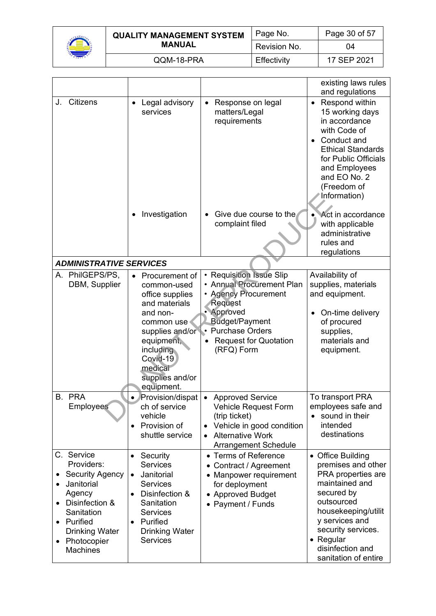

| <b>QUALITY MANAGEMENT SYSTEM</b> | Page No.     | Page 30 of 57 |
|----------------------------------|--------------|---------------|
| <b>MANUAL</b>                    | Revision No. | 04            |
| QQM-18-PRA                       | Effectivity  | 17 SEP 2021   |

|    |                                                                                                                                                                            |                                                                                                                                                                                      |                                                                                                                                                                                                | existing laws rules<br>and regulations                                                                                                                                                                                              |
|----|----------------------------------------------------------------------------------------------------------------------------------------------------------------------------|--------------------------------------------------------------------------------------------------------------------------------------------------------------------------------------|------------------------------------------------------------------------------------------------------------------------------------------------------------------------------------------------|-------------------------------------------------------------------------------------------------------------------------------------------------------------------------------------------------------------------------------------|
| J. | <b>Citizens</b>                                                                                                                                                            | Legal advisory<br>services                                                                                                                                                           | Response on legal<br>$\bullet$<br>matters/Legal<br>requirements                                                                                                                                | • Respond within<br>15 working days<br>in accordance<br>with Code of<br>Conduct and<br><b>Ethical Standards</b><br>for Public Officials<br>and Employees<br>and EO No. 2<br>(Freedom of<br>Information)                             |
|    |                                                                                                                                                                            | Investigation                                                                                                                                                                        | Give due course to the<br>complaint filed                                                                                                                                                      | Act in accordance<br>with applicable<br>administrative<br>rules and<br>regulations                                                                                                                                                  |
|    | <b>ADMINISTRATIVE SERVICES</b>                                                                                                                                             |                                                                                                                                                                                      |                                                                                                                                                                                                |                                                                                                                                                                                                                                     |
|    | A. PhilGEPS/PS,<br>DBM, Supplier                                                                                                                                           | Procurement of<br>common-used<br>office supplies<br>and materials                                                                                                                    | • Requisition Issue Slip<br>• Annual Procurement Plan<br>• Agency Procurement<br>Request                                                                                                       | Availability of<br>supplies, materials<br>and equipment.                                                                                                                                                                            |
|    |                                                                                                                                                                            | and non-<br>common use<br>supplies and/or<br>equipment,<br>including<br>Covid-19<br>medical<br>supplies and/or<br>equipment.                                                         | • Approved<br><b>Budget/Payment</b><br>• Purchase Orders<br><b>Request for Quotation</b><br>(RFQ) Form                                                                                         | On-time delivery<br>of procured<br>supplies,<br>materials and<br>equipment.                                                                                                                                                         |
|    | B. PRA<br>Employees                                                                                                                                                        | Provision/dispat<br>ch of service<br>vehicle<br>Provision of<br>$\bullet$<br>shuttle service                                                                                         | <b>Approved Service</b><br>$\bullet$<br>Vehicle Request Form<br>(trip ticket)<br>Vehicle in good condition<br>$\bullet$<br><b>Alternative Work</b><br>$\bullet$<br><b>Arrangement Schedule</b> | To transport PRA<br>employees safe and<br>sound in their<br>intended<br>destinations                                                                                                                                                |
|    | C. Service<br>Providers:<br><b>Security Agency</b><br>Janitorial<br>Agency<br>Disinfection &<br>Sanitation<br>Purified<br><b>Drinking Water</b><br>Photocopier<br>Machines | Security<br><b>Services</b><br>Janitorial<br><b>Services</b><br>Disinfection &<br>$\bullet$<br>Sanitation<br><b>Services</b><br>Purified<br><b>Drinking Water</b><br><b>Services</b> | • Terms of Reference<br>Contract / Agreement<br>• Manpower requirement<br>for deployment<br>• Approved Budget<br>• Payment / Funds                                                             | • Office Building<br>premises and other<br>PRA properties are<br>maintained and<br>secured by<br>outsourced<br>housekeeping/utilit<br>y services and<br>security services.<br>• Regular<br>disinfection and<br>sanitation of entire |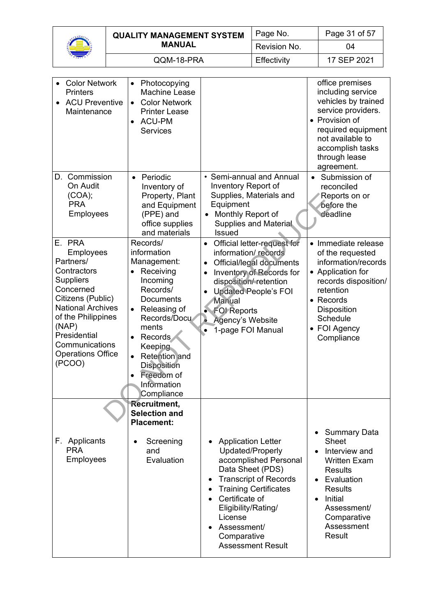

| <b>QUALITY MANAGEMENT SYSTEM</b> | Page No.     | Page 31 of 57 |
|----------------------------------|--------------|---------------|
| <b>MANUAL</b>                    | Revision No. | 04            |
| QQM-18-PRA                       | Effectivity  | 17 SEP 2021   |

| <b>Color Network</b><br><b>Printers</b><br><b>ACU Preventive</b><br>Maintenance                                                                                                                                                                 | Photocopying<br><b>Machine Lease</b><br><b>Color Network</b><br>$\bullet$<br><b>Printer Lease</b><br><b>ACU-PM</b><br>$\bullet$<br><b>Services</b>                                                                                                                                      |                                                                                                                                                                                                                                                                                                          | office premises<br>including service<br>vehicles by trained<br>service providers.<br>• Provision of<br>required equipment<br>not available to<br>accomplish tasks<br>through lease<br>agreement.                                           |
|-------------------------------------------------------------------------------------------------------------------------------------------------------------------------------------------------------------------------------------------------|-----------------------------------------------------------------------------------------------------------------------------------------------------------------------------------------------------------------------------------------------------------------------------------------|----------------------------------------------------------------------------------------------------------------------------------------------------------------------------------------------------------------------------------------------------------------------------------------------------------|--------------------------------------------------------------------------------------------------------------------------------------------------------------------------------------------------------------------------------------------|
| D. Commission<br>On Audit<br>(COA);<br><b>PRA</b><br><b>Employees</b>                                                                                                                                                                           | Periodic<br>$\bullet$<br>Inventory of<br>Property, Plant<br>and Equipment<br>(PPE) and<br>office supplies<br>and materials                                                                                                                                                              | • Semi-annual and Annual<br>Inventory Report of<br>Supplies, Materials and<br>Equipment<br>Monthly Report of<br><b>Supplies and Material</b><br>Issued                                                                                                                                                   | Submission of<br>reconciled<br>Reports on or<br>before the<br>deadline                                                                                                                                                                     |
| E. PRA<br><b>Employees</b><br>Partners/<br>Contractors<br><b>Suppliers</b><br>Concerned<br>Citizens (Public)<br><b>National Archives</b><br>of the Philippines<br>(NAP)<br>Presidential<br>Communications<br><b>Operations Office</b><br>(PCOO) | Records/<br>information<br>Management:<br>Receiving<br>$\bullet$<br>Incoming<br>Records/<br>Documents<br>Releasing of<br>Records/Docu<br>ments<br>Records<br>$\bullet$<br>Keeping<br><b>Retention</b> and<br><b>Disposition</b><br>Freedom of<br>$\bullet$<br>Information<br>Compliance | Official letter-request for<br>$\bullet$<br>information/records<br>Official/legal documents<br>$\bullet$<br>Inventory of Records for<br>disposition/retention<br><b>Updated People's FOI</b><br>$\bullet$<br><b>Manual</b><br>• FOI Reports<br>$\bullet$<br><b>Agency's Website</b><br>1-page FOI Manual | • Immediate release<br>of the requested<br>information/records<br>• Application for<br>records disposition/<br>retention<br>• Records<br>Disposition<br>Schedule<br>• FOI Agency<br>Compliance                                             |
| F. Applicants<br><b>PRA</b><br>Employees                                                                                                                                                                                                        | Recruitment,<br><b>Selection and</b><br><b>Placement:</b><br>Screening<br>$\bullet$<br>and<br>Evaluation                                                                                                                                                                                | <b>Application Letter</b><br>Updated/Properly<br>accomplished Personal<br>Data Sheet (PDS)<br><b>Transcript of Records</b><br>$\bullet$<br><b>Training Certificates</b><br>Certificate of<br>Eligibility/Rating/<br>License<br>Assessment/<br>Comparative<br><b>Assessment Result</b>                    | <b>Summary Data</b><br>٠<br>Sheet<br>Interview and<br>$\bullet$<br><b>Written Exam</b><br><b>Results</b><br>Evaluation<br>$\bullet$<br><b>Results</b><br><b>Initial</b><br>$\bullet$<br>Assessment/<br>Comparative<br>Assessment<br>Result |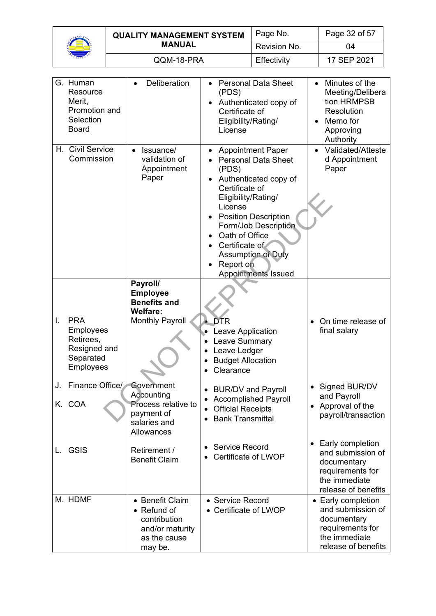

|  | <b>QUALITY MANAGEMENT SYSTEM</b><br><b>MANUAL</b> | Page No.     | Page 32 of 57 |
|--|---------------------------------------------------|--------------|---------------|
|  |                                                   | Revision No. | 04            |
|  | QQM-18-PRA                                        | Effectivity  | 17 SEP 2021   |

|    | G. Human<br>Resource<br>Merit,<br>Promotion and<br>Selection<br><b>Board</b>          | Deliberation                                                                                 | <b>Personal Data Sheet</b><br>$\bullet$<br>(PDS)<br>Authenticated copy of<br>Certificate of<br>Eligibility/Rating/<br>License                                                                                                                                                                                   | Minutes of the<br>$\bullet$<br>Meeting/Delibera<br>tion HRMPSB<br>Resolution<br>Memo for<br>Approving<br>Authority |
|----|---------------------------------------------------------------------------------------|----------------------------------------------------------------------------------------------|-----------------------------------------------------------------------------------------------------------------------------------------------------------------------------------------------------------------------------------------------------------------------------------------------------------------|--------------------------------------------------------------------------------------------------------------------|
|    | H. Civil Service<br>Commission                                                        | Issuance/<br>$\bullet$<br>validation of<br>Appointment<br>Paper                              | <b>Appointment Paper</b><br><b>Personal Data Sheet</b><br>(PDS)<br>Authenticated copy of<br>Certificate of<br>Eligibility/Rating/<br>License<br><b>Position Description</b><br>Form/Job Description<br>Oath of Office<br>Certificate of<br><b>Assumption of Duty</b><br>Report on<br><b>Appointments Issued</b> | Validated/Atteste<br>$\bullet$<br>d Appointment<br>Paper                                                           |
|    |                                                                                       | Payroll/<br><b>Employee</b><br><b>Benefits and</b><br><b>Welfare:</b>                        |                                                                                                                                                                                                                                                                                                                 |                                                                                                                    |
| I. | <b>PRA</b><br><b>Employees</b><br>Retirees,<br>Resigned and<br>Separated<br>Employees | <b>Monthly Payroll</b>                                                                       | $\bullet$ DTR<br>Leave Application<br><b>Leave Summary</b><br>Leave Ledger<br><b>Budget Allocation</b><br>Clearance                                                                                                                                                                                             | On time release of<br>final salary                                                                                 |
| J. | Finance Office/<br>K. COA                                                             | Government<br>Accounting<br>Process relative to<br>payment of<br>salaries and<br>Allowances  | <b>BUR/DV and Payroll</b><br><b>Accomplished Payroll</b><br><b>Official Receipts</b><br><b>Bank Transmittal</b>                                                                                                                                                                                                 | Signed BUR/DV<br>and Payroll<br>Approval of the<br>payroll/transaction                                             |
| L. | <b>GSIS</b>                                                                           | Retirement /<br><b>Benefit Claim</b>                                                         | <b>Service Record</b><br>Certificate of LWOP                                                                                                                                                                                                                                                                    | Early completion<br>and submission of<br>documentary<br>requirements for<br>the immediate<br>release of benefits   |
|    | M. HDMF                                                                               | • Benefit Claim<br>• Refund of<br>contribution<br>and/or maturity<br>as the cause<br>may be. | • Service Record<br>• Certificate of LWOP                                                                                                                                                                                                                                                                       | • Early completion<br>and submission of<br>documentary<br>requirements for<br>the immediate<br>release of benefits |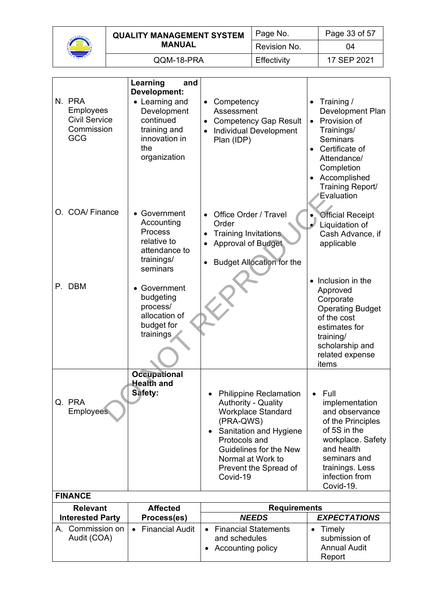

| Hor<br>₹ | <b>QUALITY MANAGEMENT SYSTEM</b> | Page No.     | Page 33 of 57 |
|----------|----------------------------------|--------------|---------------|
|          | <b>MANUAL</b>                    | Revision No. | 04            |
|          | QQM-18-PRA                       | Effectivity  | 17 SEP 2021   |

|                                                                         | Learning<br>and<br>Development:                                                                    |                                                                                                                                                                                                                                                   |                                                                                                                                                                                               |
|-------------------------------------------------------------------------|----------------------------------------------------------------------------------------------------|---------------------------------------------------------------------------------------------------------------------------------------------------------------------------------------------------------------------------------------------------|-----------------------------------------------------------------------------------------------------------------------------------------------------------------------------------------------|
| N. PRA<br><b>Employees</b><br><b>Civil Service</b><br>Commission<br>GCG | • Learning and<br>Development<br>continued<br>training and<br>innovation in<br>the<br>organization | Competency<br>$\bullet$<br>Assessment<br><b>Competency Gap Result</b><br>$\bullet$<br><b>Individual Development</b><br>$\bullet$<br>Plan (IDP)                                                                                                    | Training /<br>Development Plan<br>Provision of<br>$\bullet$<br>Trainings/<br><b>Seminars</b><br>Certificate of<br>Attendance/<br>Completion<br>Accomplished<br>Training Report/<br>Evaluation |
| O. COA/ Finance                                                         | • Government<br>Accounting<br>Process<br>relative to<br>attendance to<br>trainings/<br>seminars    | Office Order / Travel<br>Order<br><b>Training Invitations</b><br><b>Approval of Budget</b><br><b>Budget Allocation for the</b>                                                                                                                    | <b>Official Receipt</b><br>Liquidation of<br>Cash Advance, if<br>applicable                                                                                                                   |
| P. DBM                                                                  | • Government<br>budgeting<br>process/<br>allocation of<br>budget for<br>trainings                  |                                                                                                                                                                                                                                                   | Inclusion in the<br>Approved<br>Corporate<br><b>Operating Budget</b><br>of the cost<br>estimates for<br>training/<br>scholarship and<br>related expense<br>items                              |
|                                                                         | <b>Occupational</b><br><b>Health and</b>                                                           |                                                                                                                                                                                                                                                   |                                                                                                                                                                                               |
| Q. PRA<br><b>Employees</b>                                              | Safety:                                                                                            | <b>Philippine Reclamation</b><br><b>Authority - Quality</b><br><b>Workplace Standard</b><br>(PRA-QWS)<br>Sanitation and Hygiene<br>$\bullet$<br>Protocols and<br>Guidelines for the New<br>Normal at Work to<br>Prevent the Spread of<br>Covid-19 | Full<br>implementation<br>and observance<br>of the Principles<br>of 5S in the<br>workplace. Safety<br>and health<br>seminars and<br>trainings. Less<br>infection from<br>Covid-19.            |
| <b>FINANCE</b>                                                          |                                                                                                    |                                                                                                                                                                                                                                                   |                                                                                                                                                                                               |
| <b>Relevant</b><br><b>Interested Party</b>                              | <b>Affected</b><br>Process(es)                                                                     | <b>Requirements</b><br><b>NEEDS</b>                                                                                                                                                                                                               | <b>EXPECTATIONS</b>                                                                                                                                                                           |
| A. Commission on                                                        | <b>Financial Audit</b>                                                                             | <b>Financial Statements</b>                                                                                                                                                                                                                       | Timely<br>$\bullet$                                                                                                                                                                           |
| Audit (COA)                                                             |                                                                                                    | and schedules<br><b>Accounting policy</b>                                                                                                                                                                                                         | submission of<br><b>Annual Audit</b><br>Report                                                                                                                                                |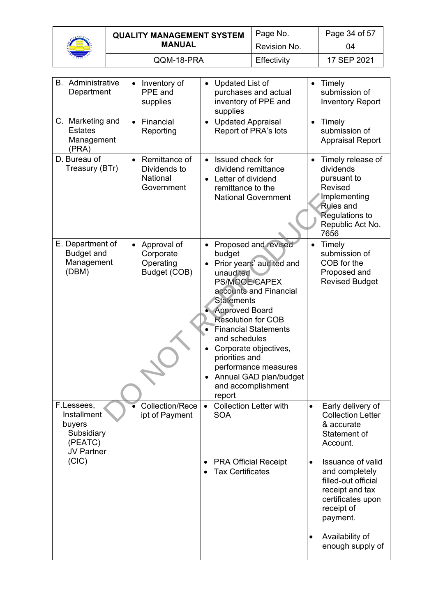

| <b>QUALITY MANAGEMENT SYSTEM</b> | Page No.     | Page 34 of 57 |
|----------------------------------|--------------|---------------|
| <b>MANUAL</b>                    | Revision No. | 04            |
| QQM-18-PRA                       | Effectivity  | 17 SEP 2021   |

| <b>B.</b> Administrative<br>Department                                            | Inventory of<br>PPE and<br>supplies                                  | Updated List of<br>purchases and actual<br>inventory of PPE and<br>supplies                                                                                                                                                                                                                                                                                                | Timely<br>$\bullet$<br>submission of<br><b>Inventory Report</b>                                                                                          |
|-----------------------------------------------------------------------------------|----------------------------------------------------------------------|----------------------------------------------------------------------------------------------------------------------------------------------------------------------------------------------------------------------------------------------------------------------------------------------------------------------------------------------------------------------------|----------------------------------------------------------------------------------------------------------------------------------------------------------|
| C. Marketing and<br><b>Estates</b><br>Management<br>(PRA)                         | Financial<br>$\bullet$<br>Reporting                                  | <b>Updated Appraisal</b><br>Report of PRA's lots                                                                                                                                                                                                                                                                                                                           | Timely<br>submission of<br><b>Appraisal Report</b>                                                                                                       |
| D. Bureau of<br>Treasury (BTr)                                                    | Remittance of<br>$\bullet$<br>Dividends to<br>National<br>Government | • Issued check for<br>dividend remittance<br>Letter of dividend<br>remittance to the<br><b>National Government</b>                                                                                                                                                                                                                                                         | Timely release of<br>dividends<br>pursuant to<br><b>Revised</b><br>Implementing<br><b>Rules and</b><br><b>Regulations to</b><br>Republic Act No.<br>7656 |
| E. Department of<br><b>Budget and</b><br>Management<br>(DBM)                      | Approval of<br>Corporate<br>Operating<br>Budget (COB)                | Proposed and revised<br>budget<br>Prior years' audited and<br>unaudited<br>PS/MOOE/CAPEX<br>accounts and Financial<br><b>Statements</b><br><b>Approved Board</b><br><b>Resolution for COB</b><br><b>Financial Statements</b><br>and schedules<br>Corporate objectives,<br>priorities and<br>performance measures<br>Annual GAD plan/budget<br>and accomplishment<br>report | Timely<br>$\bullet$<br>submission of<br>COB for the<br>Proposed and<br><b>Revised Budget</b>                                                             |
| F.Lessees,<br>Installment<br>buyers<br>Subsidiary<br>(PEATC)<br><b>JV Partner</b> | <b>Collection/Rece</b><br>ipt of Payment                             | <b>Collection Letter with</b><br><b>SOA</b>                                                                                                                                                                                                                                                                                                                                | Early delivery of<br><b>Collection Letter</b><br>& accurate<br>Statement of<br>Account.                                                                  |
| (CIC)                                                                             |                                                                      | <b>PRA Official Receipt</b><br>$\bullet$<br><b>Tax Certificates</b>                                                                                                                                                                                                                                                                                                        | <b>Issuance of valid</b><br>$\bullet$<br>and completely<br>filled-out official<br>receipt and tax<br>certificates upon<br>receipt of<br>payment.         |
|                                                                                   |                                                                      |                                                                                                                                                                                                                                                                                                                                                                            | Availability of<br>$\bullet$<br>enough supply of                                                                                                         |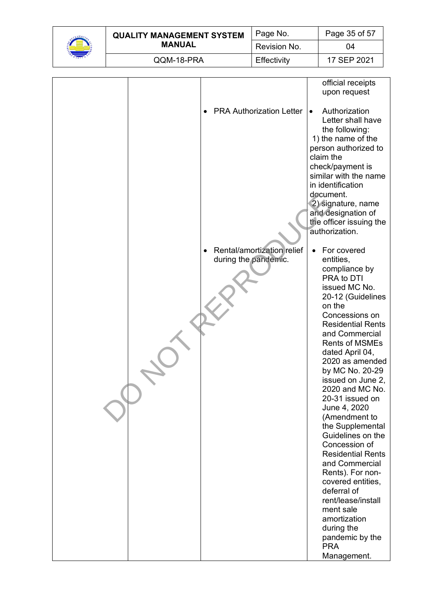| $\eta_{\theta_p}$<br>ç.C |
|--------------------------|
| г<br>٦<br>197            |

|  | <b>QUALITY MANAGEMENT SYSTEM</b><br><b>MANUAL</b> | Page No.     | Page 35 of 57 |
|--|---------------------------------------------------|--------------|---------------|
|  |                                                   | Revision No. | 04            |
|  | QQM-18-PRA                                        | Effectivity  | 17 SEP 2021   |

|  |                                 | official receipts                         |
|--|---------------------------------|-------------------------------------------|
|  |                                 | upon request                              |
|  |                                 |                                           |
|  | <b>PRA Authorization Letter</b> | Authorization<br>$\bullet$                |
|  |                                 | Letter shall have                         |
|  |                                 | the following:                            |
|  |                                 | 1) the name of the                        |
|  |                                 | person authorized to                      |
|  |                                 | claim the                                 |
|  |                                 | check/payment is                          |
|  |                                 | similar with the name                     |
|  |                                 | in identification                         |
|  |                                 | document.                                 |
|  |                                 | 2) signature, name                        |
|  |                                 | and designation of                        |
|  |                                 | the officer issuing the<br>authorization. |
|  |                                 |                                           |
|  | Rental/amortization relief      | For covered<br>$\bullet$                  |
|  | during the pandemic.            | entities,                                 |
|  |                                 | compliance by                             |
|  |                                 | PRA to DTI                                |
|  |                                 | issued MC No.                             |
|  |                                 | 20-12 (Guidelines                         |
|  |                                 | on the                                    |
|  |                                 | Concessions on                            |
|  |                                 | <b>Residential Rents</b>                  |
|  |                                 | and Commercial<br><b>Rents of MSMEs</b>   |
|  |                                 | dated April 04,                           |
|  |                                 | 2020 as amended                           |
|  |                                 | by MC No. 20-29                           |
|  |                                 | issued on June 2,                         |
|  |                                 | 2020 and MC No.                           |
|  |                                 | 20-31 issued on                           |
|  |                                 | June 4, 2020                              |
|  |                                 | (Amendment to                             |
|  |                                 | the Supplemental                          |
|  |                                 | Guidelines on the                         |
|  |                                 | Concession of<br><b>Residential Rents</b> |
|  |                                 | and Commercial                            |
|  |                                 | Rents). For non-                          |
|  |                                 | covered entities,                         |
|  |                                 | deferral of                               |
|  |                                 | rent/lease/install                        |
|  |                                 | ment sale                                 |
|  |                                 | amortization                              |
|  |                                 | during the                                |
|  |                                 | pandemic by the                           |
|  |                                 | <b>PRA</b>                                |
|  |                                 | Management.                               |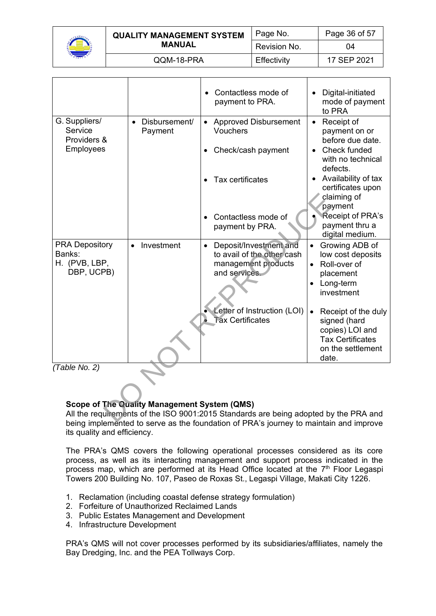

|  | <b>QUALITY MANAGEMENT SYSTEM</b><br><b>MANUAL</b> | Page No.     | Page 36 of 57 |
|--|---------------------------------------------------|--------------|---------------|
|  |                                                   | Revision No. | 04            |
|  | QQM-18-PRA                                        | Effectivity  | 17 SEP 2021   |

|                                                             |                                                                                                                                                                                           | Contactless mode of<br>payment to PRA.                                                   | Digital-initiated<br>mode of payment<br>to PRA                               |  |
|-------------------------------------------------------------|-------------------------------------------------------------------------------------------------------------------------------------------------------------------------------------------|------------------------------------------------------------------------------------------|------------------------------------------------------------------------------|--|
| G. Suppliers/<br>Service<br>Providers &<br><b>Employees</b> | Disbursement/<br>$\bullet$<br>Payment                                                                                                                                                     | • Approved Disbursement<br><b>Vouchers</b><br>Check/cash payment                         | Receipt of<br>$\bullet$<br>payment on or<br>before due date.<br>Check funded |  |
|                                                             |                                                                                                                                                                                           |                                                                                          | with no technical<br>defects.                                                |  |
|                                                             |                                                                                                                                                                                           | Tax certificates<br>$\bullet$                                                            | Availability of tax<br>certificates upon<br>claiming of<br>payment           |  |
|                                                             |                                                                                                                                                                                           | Contactless mode of<br>$\bullet$<br>payment by PRA.                                      | Receipt of PRA's<br>payment thru a<br>digital medium.                        |  |
| <b>PRA Depository</b><br>Banks:<br>H. (PVB, LBP,            | Investment<br>$\bullet$                                                                                                                                                                   | Deposit/Investment and<br>$\bullet$<br>to avail of the other cash<br>management products | Growing ADB of<br>$\bullet$<br>low cost deposits<br>• Roll-over of           |  |
| DBP, UCPB)                                                  |                                                                                                                                                                                           | and services.                                                                            | placement<br>Long-term<br>investment                                         |  |
|                                                             |                                                                                                                                                                                           | Letter of Instruction (LOI)<br><b>Tax Certificates</b>                                   | Receipt of the duly<br>$\bullet$<br>signed (hard<br>copies) LOI and          |  |
|                                                             |                                                                                                                                                                                           |                                                                                          | <b>Tax Certificates</b><br>on the settlement<br>date.                        |  |
| (Table No. 2)                                               |                                                                                                                                                                                           |                                                                                          |                                                                              |  |
|                                                             | <b>Scope of The Quality Management System (QMS)</b>                                                                                                                                       |                                                                                          |                                                                              |  |
|                                                             | All the requirements of the ISO 9001:2015 Standards are being adopted by the PRA and<br>before incolangly of all the course on the formalities of DDA's incomercity menintuity and incor- |                                                                                          |                                                                              |  |

# **Scope of The Quality Management System (QMS)**

All the requirements of the ISO 9001:2015 Standards are being adopted by the PRA and being implemented to serve as the foundation of PRA's journey to maintain and improve its quality and efficiency.

The PRA's QMS covers the following operational processes considered as its core process, as well as its interacting management and support process indicated in the process map, which are performed at its Head Office located at the 7<sup>th</sup> Floor Legaspi Towers 200 Building No. 107, Paseo de Roxas St., Legaspi Village, Makati City 1226.

- 1. Reclamation (including coastal defense strategy formulation)
- 2. Forfeiture of Unauthorized Reclaimed Lands
- 3. Public Estates Management and Development
- 4. Infrastructure Development

PRA's QMS will not cover processes performed by its subsidiaries/affiliates, namely the Bay Dredging, Inc. and the PEA Tollways Corp.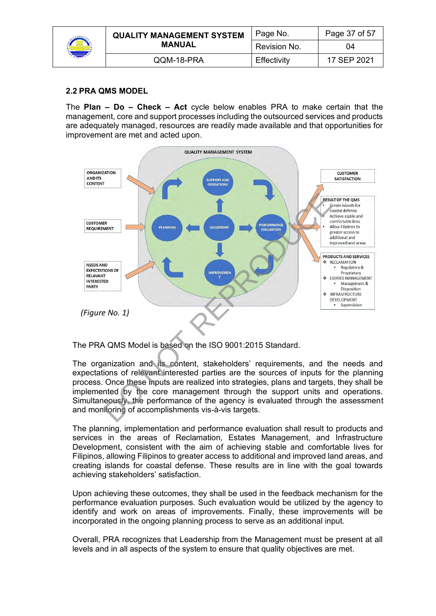|  | <b>QUALITY MANAGEMENT SYSTEM</b><br><b>MANUAL</b> | Page No.     | Page 37 of 57 |
|--|---------------------------------------------------|--------------|---------------|
|  |                                                   | Revision No. | 04            |
|  | QQM-18-PRA                                        | Effectivity  | 17 SEP 2021   |

# **2.2 PRA QMS MODEL**

The **Plan – Do – Check – Act** cycle below enables PRA to make certain that the management, core and support processes including the outsourced services and products are adequately managed, resources are readily made available and that opportunities for improvement are met and acted upon.



The PRA QMS Model is based on the ISO 9001:2015 Standard.

The organization and its content, stakeholders' requirements, and the needs and expectations of relevant interested parties are the sources of inputs for the planning process. Once these inputs are realized into strategies, plans and targets, they shall be implemented by the core management through the support units and operations. Simultaneously, the performance of the agency is evaluated through the assessment and monitoring of accomplishments vis-à-vis targets.

The planning, implementation and performance evaluation shall result to products and services in the areas of Reclamation, Estates Management, and Infrastructure Development, consistent with the aim of achieving stable and comfortable lives for Filipinos, allowing Filipinos to greater access to additional and improved land areas, and creating islands for coastal defense. These results are in line with the goal towards achieving stakeholders' satisfaction.

Upon achieving these outcomes, they shall be used in the feedback mechanism for the performance evaluation purposes. Such evaluation would be utilized by the agency to identify and work on areas of improvements. Finally, these improvements will be incorporated in the ongoing planning process to serve as an additional input.

Overall, PRA recognizes that Leadership from the Management must be present at all levels and in all aspects of the system to ensure that quality objectives are met.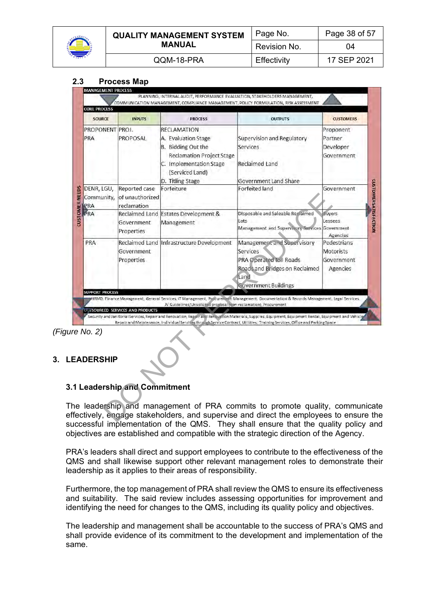

|  | <b>QUALITY MANAGEMENT SYSTEM</b><br><b>MANUAL</b> | Page No.     | Page 38 of 57 |
|--|---------------------------------------------------|--------------|---------------|
|  |                                                   | Revision No. | 04            |
|  | QQM-18-PRA                                        | Effectivity  | 17 SEP 2021   |

#### **2.3 Process Map**

| <b>SOURCE</b>                   | <b>INPUTS</b>                                   | <b>PROCESS</b>                                                                                                                                                        | <b>OUTPUTS</b>                                                                                                                                                                                                                                                                                                                  | <b>CUSTOMERS</b>                                          |
|---------------------------------|-------------------------------------------------|-----------------------------------------------------------------------------------------------------------------------------------------------------------------------|---------------------------------------------------------------------------------------------------------------------------------------------------------------------------------------------------------------------------------------------------------------------------------------------------------------------------------|-----------------------------------------------------------|
| PROPONENT<br>PRA                | PROJ.<br>PROPOSAL                               | <b>RECLAMATION</b><br>A. Evaluation Stage<br>B. Bidding Out the<br><b>Reclamation Project Stage</b><br>C. Implementation Stage<br>(Serviced Land)<br>D. Titling Stage | Supervision and Regulatory<br>Services<br>Reclaimed Land<br><b>Government Land Share</b>                                                                                                                                                                                                                                        | Proponent<br>Partner<br>Developer<br>Government           |
| DENR, LGU,<br>Community,<br>PRA | Reported case<br>of unauthorized<br>reclamation | Forfeiture                                                                                                                                                            | Forfeited land                                                                                                                                                                                                                                                                                                                  | Government                                                |
| PRA                             | Government<br>Properties                        | Reclaimed Land Estates Development &<br>Management                                                                                                                    | Disposable and Saleable Reclaimed<br>Lots<br>Management and Supervisory Services                                                                                                                                                                                                                                                | <b>Buyers</b><br>Lessees<br>Government<br>Agencies        |
| PRA                             | Government<br>Properties                        | Reclaimed Land Infrastructure Development                                                                                                                             | Management and Supervisory<br>Services<br><b>PRA Operated Toll Roads</b><br>Roads and Bridges on Reclaimed<br>Land                                                                                                                                                                                                              | Pedestrians<br><b>Motorists</b><br>Government<br>Agencies |
| <b>SUPPORT PROCESS</b>          | UU SOURCED SERVICES AND PRODUCTS                | JV Guidelines/Unsolicited proposal (non-reclamation), Procurement                                                                                                     | <b>Government Buildings</b><br>HRMD, Finance Management, General Services, IT Management, Procurement Management, Documentation & Records Management, Legal Services,<br>Security and Janitorial Services, Repair and Renovation, Repair and Renovation Materials, Supplies, Equipment, Equipment Rental, Equipment and Vehicle |                                                           |
| ire No. 2)                      |                                                 |                                                                                                                                                                       | Repair and Maintenance, Individual Services through Service Contract, Utilities, Training Services, Office and Parking Space                                                                                                                                                                                                    |                                                           |
| <b>EADERSHIP</b>                |                                                 |                                                                                                                                                                       |                                                                                                                                                                                                                                                                                                                                 |                                                           |
|                                 | .1 Leadership and Commitment                    |                                                                                                                                                                       |                                                                                                                                                                                                                                                                                                                                 |                                                           |

*(Figure No. 2)*

#### **3. LEADERSHIP**

# **3.1 Leadership and Commitment**

The leadership and management of PRA commits to promote quality, communicate effectively, engage stakeholders, and supervise and direct the employees to ensure the successful implementation of the QMS. They shall ensure that the quality policy and objectives are established and compatible with the strategic direction of the Agency.

PRA's leaders shall direct and support employees to contribute to the effectiveness of the QMS and shall likewise support other relevant management roles to demonstrate their leadership as it applies to their areas of responsibility.

Furthermore, the top management of PRA shall review the QMS to ensure its effectiveness and suitability. The said review includes assessing opportunities for improvement and identifying the need for changes to the QMS, including its quality policy and objectives.

The leadership and management shall be accountable to the success of PRA's QMS and shall provide evidence of its commitment to the development and implementation of the same.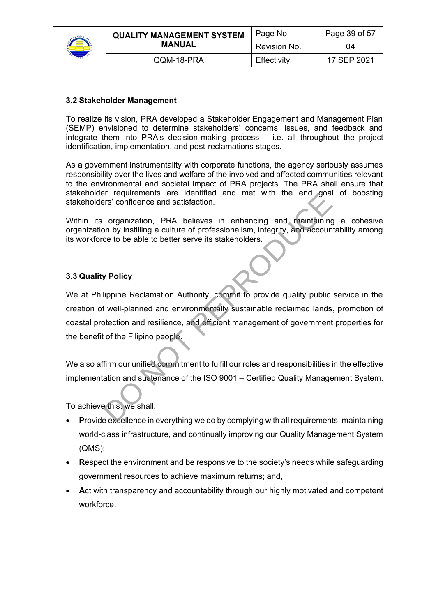

| <b>QUALITY MANAGEMENT SYSTEM</b><br>MANUAL | Page No.     | Page 39 of 57 |
|--------------------------------------------|--------------|---------------|
|                                            | Revision No. | 04            |
| QQM-18-PRA                                 | Effectivity  | 17 SEP 2021   |

#### **3.2 Stakeholder Management**

To realize its vision, PRA developed a Stakeholder Engagement and Management Plan (SEMP) envisioned to determine stakeholders' concerns, issues, and feedback and integrate them into PRA's decision-making process – i.e. all throughout the project identification, implementation, and post-reclamations stages.

As a government instrumentality with corporate functions, the agency seriously assumes responsibility over the lives and welfare of the involved and affected communities relevant to the environmental and societal impact of PRA projects. The PRA shall ensure that stakeholder requirements are identified and met with the end goal of boosting stakeholders' confidence and satisfaction.

Within its organization, PRA believes in enhancing and maintaining a cohesive organization by instilling a culture of professionalism, integrity, and accountability among its workforce to be able to better serve its stakeholders.

#### **3.3 Quality Policy**

We at Philippine Reclamation Authority, commit to provide quality public service in the creation of well-planned and environmentally sustainable reclaimed lands, promotion of coastal protection and resilience, and efficient management of government properties for the benefit of the Filipino people. Figure the state in the state in the state in the state in enhancing and maintaining<br>organization, PRA believes in enhancing and maintaining<br>on by instilling a culture of professionalism, integrity, and account<br>ce to be ab

We also affirm our unified commitment to fulfill our roles and responsibilities in the effective implementation and sustenance of the ISO 9001 – Certified Quality Management System.

To achieve this, we shall:

- **P**rovide excellence in everything we do by complying with all requirements, maintaining world-class infrastructure, and continually improving our Quality Management System (QMS);
- **R**espect the environment and be responsive to the society's needs while safeguarding government resources to achieve maximum returns; and,
- **A**ct with transparency and accountability through our highly motivated and competent workforce.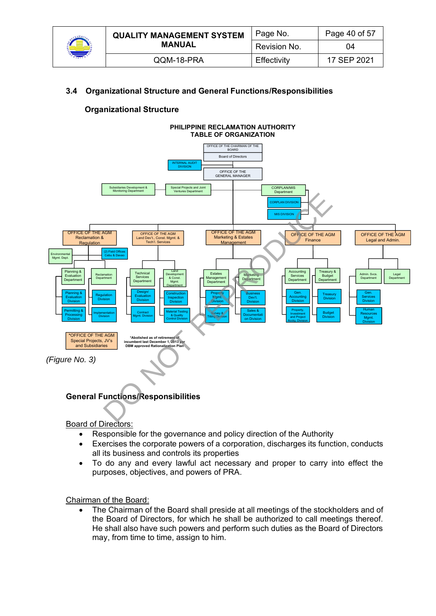

| <b>QUALITY MANAGEMENT SYSTEM</b> | Page No.     | Page 40 of 57 |
|----------------------------------|--------------|---------------|
| <b>MANUAL</b>                    | Revision No. | 04            |
| QQM-18-PRA                       | Effectivity  | 17 SEP 2021   |

# **3.4 Organizational Structure and General Functions/Responsibilities**

# **Organizational Structure**



Board of Directors:

- Responsible for the governance and policy direction of the Authority
- Exercises the corporate powers of a corporation, discharges its function, conducts all its business and controls its properties
- To do any and every lawful act necessary and proper to carry into effect the purposes, objectives, and powers of PRA.

Chairman of the Board:

• The Chairman of the Board shall preside at all meetings of the stockholders and of the Board of Directors, for which he shall be authorized to call meetings thereof. He shall also have such powers and perform such duties as the Board of Directors may, from time to time, assign to him.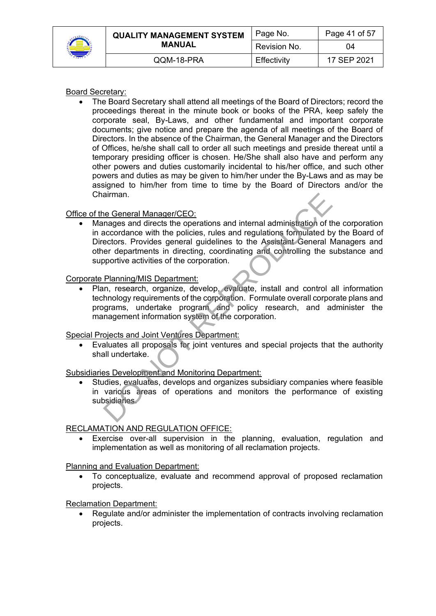

| <b>QUALITY MANAGEMENT SYSTEM</b> | Page No.     | Page 41 of 57 |
|----------------------------------|--------------|---------------|
| <b>MANUAL</b>                    | Revision No. | 04            |
| QQM-18-PRA                       | Effectivity  | 17 SEP 2021   |

#### Board Secretary:

• The Board Secretary shall attend all meetings of the Board of Directors; record the proceedings thereat in the minute book or books of the PRA, keep safely the corporate seal, By-Laws, and other fundamental and important corporate documents; give notice and prepare the agenda of all meetings of the Board of Directors. In the absence of the Chairman, the General Manager and the Directors of Offices, he/she shall call to order all such meetings and preside thereat until a temporary presiding officer is chosen. He/She shall also have and perform any other powers and duties customarily incidental to his/her office, and such other powers and duties as may be given to him/her under the By-Laws and as may be assigned to him/her from time to time by the Board of Directors and/or the Chairman.

#### Office of the General Manager/CEO:

• Manages and directs the operations and internal administration of the corporation in accordance with the policies, rules and regulations formulated by the Board of Directors. Provides general guidelines to the Assistant General Managers and other departments in directing, coordinating and controlling the substance and supportive activities of the corporation. The General Manager/CEO:<br>
Images and directs the operations and internal administration of the<br>
accordance with the policies, rules and regulations formulated b<br>
ectors. Provides general guidelines to the Assistant General

#### Corporate Planning/MIS Department:

• Plan, research, organize, develop, evaluate, install and control all information technology requirements of the corporation. Formulate overall corporate plans and programs, undertake program and policy research, and administer the management information system of the corporation.

#### Special Projects and Joint Ventures Department:

• Evaluates all proposals for joint ventures and special projects that the authority shall undertake.

#### Subsidiaries Development and Monitoring Department:

• Studies, evaluates, develops and organizes subsidiary companies where feasible in various areas of operations and monitors the performance of existing subsidiaries.

#### RECLAMATION AND REGULATION OFFICE:

Exercise over-all supervision in the planning, evaluation, regulation and implementation as well as monitoring of all reclamation projects.

#### Planning and Evaluation Department:

• To conceptualize, evaluate and recommend approval of proposed reclamation projects.

#### Reclamation Department:

• Regulate and/or administer the implementation of contracts involving reclamation projects.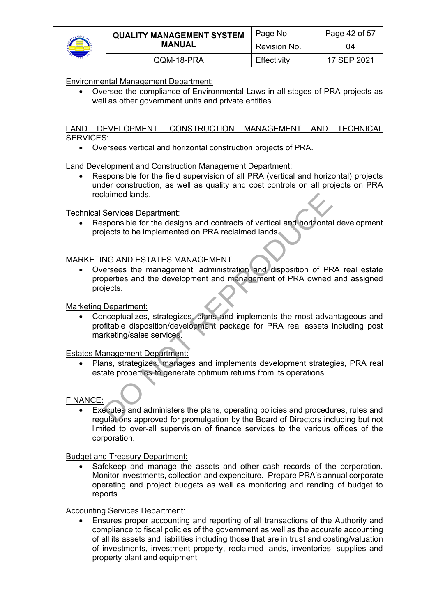

|  | <b>QUALITY MANAGEMENT SYSTEM</b><br><b>MANUAL</b> | Page No.       | Page 42 of 57 |
|--|---------------------------------------------------|----------------|---------------|
|  |                                                   | l Revision No. | 04            |
|  | QQM-18-PRA                                        | Effectivity    | 17 SEP 2021   |

#### Environmental Management Department:

• Oversee the compliance of Environmental Laws in all stages of PRA projects as well as other government units and private entities.

#### LAND DEVELOPMENT, CONSTRUCTION MANAGEMENT AND TECHNICAL SERVICES:

• Oversees vertical and horizontal construction projects of PRA.

Land Development and Construction Management Department:

• Responsible for the field supervision of all PRA (vertical and horizontal) projects under construction, as well as quality and cost controls on all projects on PRA reclaimed lands.

Technical Services Department:

• Responsible for the designs and contracts of vertical and horizontal development projects to be implemented on PRA reclaimed lands

#### MARKETING AND ESTATES MANAGEMENT:

• Oversees the management, administration and disposition of PRA real estate properties and the development and management of PRA owned and assigned projects. Services Department:<br>
Services Department:<br>
sponsible for the designs and contracts of vertical and horizonta<br>
jects to be implemented on PRA reclaimed lands<br>
NG AND ESTATES MANAGEMENT:<br>
resees the management, administrati

#### Marketing Department:

• Conceptualizes, strategizes, plans and implements the most advantageous and profitable disposition/development package for PRA real assets including post marketing/sales services.

#### Estates Management Department:

• Plans, strategizes, manages and implements development strategies, PRA real estate properties to generate optimum returns from its operations.

#### FINANCE:

• Executes and administers the plans, operating policies and procedures, rules and regulations approved for promulgation by the Board of Directors including but not limited to over-all supervision of finance services to the various offices of the corporation.

#### Budget and Treasury Department:

Safekeep and manage the assets and other cash records of the corporation. Monitor investments, collection and expenditure. Prepare PRA's annual corporate operating and project budgets as well as monitoring and rending of budget to reports.

#### Accounting Services Department:

• Ensures proper accounting and reporting of all transactions of the Authority and compliance to fiscal policies of the government as well as the accurate accounting of all its assets and liabilities including those that are in trust and costing/valuation of investments, investment property, reclaimed lands, inventories, supplies and property plant and equipment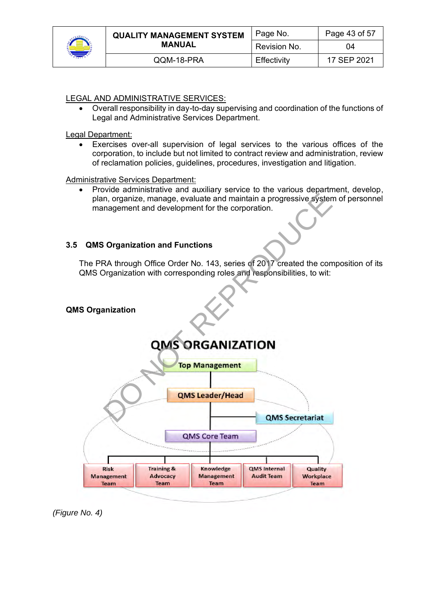

|  | <b>QUALITY MANAGEMENT SYSTEM</b><br><b>MANUAL</b> | Page No.     | Page 43 of 57 |
|--|---------------------------------------------------|--------------|---------------|
|  |                                                   | Revision No. | 04            |
|  | QQM-18-PRA                                        | Effectivity  | 17 SEP 2021   |

## LEGAL AND ADMINISTRATIVE SERVICES:

• Overall responsibility in day-to-day supervising and coordination of the functions of Legal and Administrative Services Department.

Legal Department:

• Exercises over-all supervision of legal services to the various offices of the corporation, to include but not limited to contract review and administration, review of reclamation policies, guidelines, procedures, investigation and litigation.

Administrative Services Department:

• Provide administrative and auxiliary service to the various department, develop, plan, organize, manage, evaluate and maintain a progressive system of personnel management and development for the corporation.

#### **3.5 QMS Organization and Functions**

The PRA through Office Order No. 143, series of 2017 created the composition of its QMS Organization with corresponding roles and responsibilities, to wit:



*(Figure No. 4)*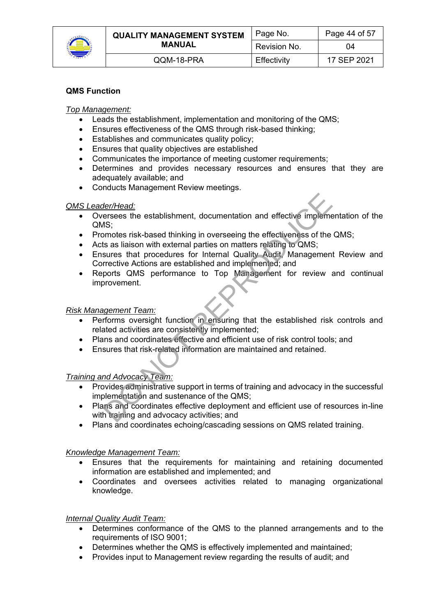

|  | <b>QUALITY MANAGEMENT SYSTEM</b><br><b>MANUAL</b> | Page No.     | Page 44 of 57 |
|--|---------------------------------------------------|--------------|---------------|
|  |                                                   | Revision No. | 04            |
|  | QQM-18-PRA                                        | Effectivity  | 17 SEP 2021   |

# **QMS Function**

#### *Top Management:*

- Leads the establishment, implementation and monitoring of the QMS;
- Ensures effectiveness of the QMS through risk-based thinking;
- Establishes and communicates quality policy;
- Ensures that quality objectives are established
- Communicates the importance of meeting customer requirements:
- Determines and provides necessary resources and ensures that they are adequately available; and
- Conducts Management Review meetings.

#### *QMS Leader/Head:*

- Oversees the establishment, documentation and effective implementation of the QMS;
- Promotes risk-based thinking in overseeing the effectiveness of the QMS;
- Acts as liaison with external parties on matters relating to QMS;
- Ensures that procedures for Internal Quality Audit, Management Review and Corrective Actions are established and implemented; and **Her/Head:**<br> **ersees** the establishment, documentation and effective implements<br>
AS;<br>
Signotes risk-based thinking in overseeing the effectiveness of the<br>
Is as liaison with external parties on matters relating to QMS;<br>
su
- Reports QMS performance to Top Management for review and continual improvement.

#### *Risk Management Team:*

- Performs oversight function in ensuring that the established risk controls and related activities are consistently implemented;
- Plans and coordinates effective and efficient use of risk control tools; and
- Ensures that risk-related information are maintained and retained.

#### *Training and Advocacy Team:*

- Provides administrative support in terms of training and advocacy in the successful implementation and sustenance of the QMS;
- Plans and coordinates effective deployment and efficient use of resources in-line with training and advocacy activities; and
- Plans and coordinates echoing/cascading sessions on QMS related training.

#### *Knowledge Management Team:*

- Ensures that the requirements for maintaining and retaining documented information are established and implemented; and
- Coordinates and oversees activities related to managing organizational knowledge.

#### *Internal Quality Audit Team:*

- Determines conformance of the QMS to the planned arrangements and to the requirements of ISO 9001;
- Determines whether the QMS is effectively implemented and maintained;
- Provides input to Management review regarding the results of audit; and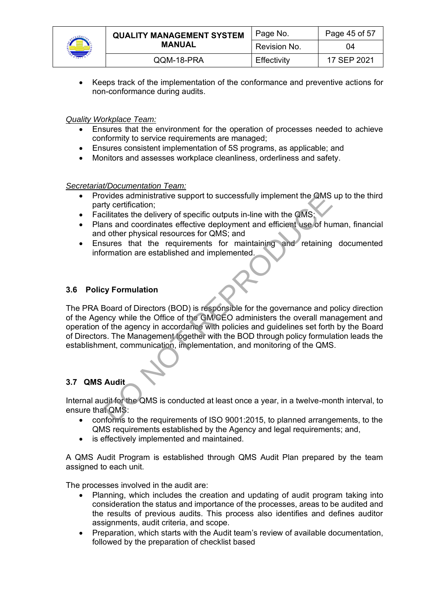

| <b>QUALITY MANAGEMENT SYSTEM</b> | Page No.     | Page 45 of 57 |
|----------------------------------|--------------|---------------|
| <b>MANUAL</b>                    | Revision No. | 04            |
| QQM-18-PRA                       | Effectivity  | 17 SEP 2021   |

• Keeps track of the implementation of the conformance and preventive actions for non-conformance during audits.

*Quality Workplace Team:*

- Ensures that the environment for the operation of processes needed to achieve conformity to service requirements are managed;
- Ensures consistent implementation of 5S programs, as applicable; and
- Monitors and assesses workplace cleanliness, orderliness and safety.

*Secretariat/Documentation Team:*

- Provides administrative support to successfully implement the QMS up to the third party certification;
- Facilitates the delivery of specific outputs in-line with the QMS:
- Plans and coordinates effective deployment and efficient use of human, financial and other physical resources for QMS; and
- Ensures that the requirements for maintaining and retaining documented information are established and implemented.

#### **3.6 Policy Formulation**

The PRA Board of Directors (BOD) is responsible for the governance and policy direction of the Agency while the Office of the GM/CEO administers the overall management and operation of the agency in accordance with policies and guidelines set forth by the Board of Directors. The Management together with the BOD through policy formulation leads the establishment, communication, implementation, and monitoring of the QMS. by certification;<br>
inty certification;<br>
dividents and elivery of specific outputs in-line with the QMS;<br>
cilitates the delivery of specific outputs in-line with the QMS;<br>
cilitates the delivery of specific outputs in-line

# **3.7 QMS Audit**

Internal audit for the QMS is conducted at least once a year, in a twelve-month interval, to ensure that QMS:

- conforms to the requirements of ISO 9001:2015, to planned arrangements, to the QMS requirements established by the Agency and legal requirements; and,
- is effectively implemented and maintained.

A QMS Audit Program is established through QMS Audit Plan prepared by the team assigned to each unit.

The processes involved in the audit are:

- Planning, which includes the creation and updating of audit program taking into consideration the status and importance of the processes, areas to be audited and the results of previous audits. This process also identifies and defines auditor assignments, audit criteria, and scope.
- Preparation, which starts with the Audit team's review of available documentation, followed by the preparation of checklist based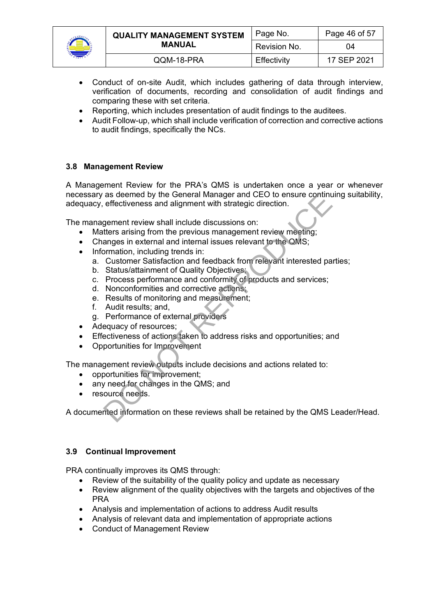

| <b>QUALITY MANAGEMENT SYSTEM</b><br><b>MANUAL</b> | Page No.     | Page 46 of 57 |
|---------------------------------------------------|--------------|---------------|
|                                                   | Revision No. | 04            |
| QQM-18-PRA                                        | Effectivity  | 17 SEP 2021   |

- Conduct of on-site Audit, which includes gathering of data through interview, verification of documents, recording and consolidation of audit findings and comparing these with set criteria.
- Reporting, which includes presentation of audit findings to the auditees.
- Audit Follow-up, which shall include verification of correction and corrective actions to audit findings, specifically the NCs.

#### **3.8 Management Review**

A Management Review for the PRA's QMS is undertaken once a year or whenever necessary as deemed by the General Manager and CEO to ensure continuing suitability, adequacy, effectiveness and alignment with strategic direction. as deemed by the General Manager and CEO to ensure continuer<br>effectiveness and alignment with strategic direction.<br>gement review shall include discussions on:<br>tters arising from the previous management review meeting;<br>ange

The management review shall include discussions on:

- Matters arising from the previous management review meeting;
- Changes in external and internal issues relevant to the QMS;
- Information, including trends in:
	- a. Customer Satisfaction and feedback from relevant interested parties;
	- b. Status/attainment of Quality Objectives;
	- c. Process performance and conformity of products and services;
	- d. Nonconformities and corrective actions;
	- e. Results of monitoring and measurement;
	- f. Audit results; and,
	- g. Performance of external providers
- Adequacy of resources;
- Effectiveness of actions taken to address risks and opportunities; and
- Opportunities for Improvement

The management review outputs include decisions and actions related to:

- opportunities for improvement;
- any need for changes in the QMS; and
- resource needs.

A documented information on these reviews shall be retained by the QMS Leader/Head.

#### **3.9 Continual Improvement**

PRA continually improves its QMS through:

- Review of the suitability of the quality policy and update as necessary
- Review alignment of the quality objectives with the targets and objectives of the PRA
- Analysis and implementation of actions to address Audit results
- Analysis of relevant data and implementation of appropriate actions
- Conduct of Management Review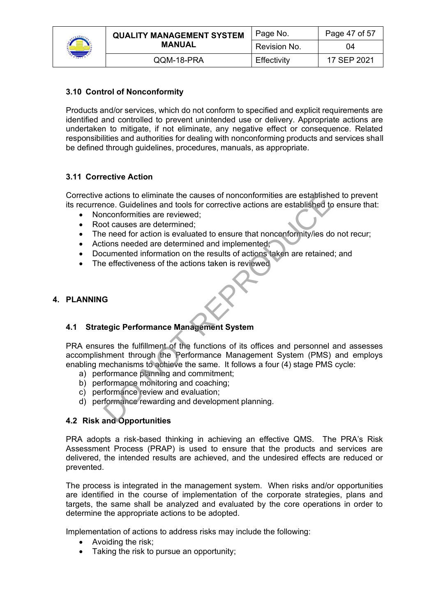

| <b>QUALITY MANAGEMENT SYSTEM</b><br><b>MANUAL</b> | Page No.     | Page 47 of 57 |
|---------------------------------------------------|--------------|---------------|
|                                                   | Revision No. | 04            |
| QQM-18-PRA                                        | Effectivity  | 17 SEP 2021   |

# **3.10 Control of Nonconformity**

Products and/or services, which do not conform to specified and explicit requirements are identified and controlled to prevent unintended use or delivery. Appropriate actions are undertaken to mitigate, if not eliminate, any negative effect or consequence. Related responsibilities and authorities for dealing with nonconforming products and services shall be defined through guidelines, procedures, manuals, as appropriate.

# **3.11 Corrective Action**

Corrective actions to eliminate the causes of nonconformities are established to prevent its recurrence. Guidelines and tools for corrective actions are established to ensure that:

- Nonconformities are reviewed:
- Root causes are determined:
- The need for action is evaluated to ensure that nonconformity/ies do not recur;
- Actions needed are determined and implemented;
- Documented information on the results of actions taken are retained; and
- The effectiveness of the actions taken is reviewed

#### **4. PLANNING**

# **4.1 Strategic Performance Management System**

PRA ensures the fulfillment of the functions of its offices and personnel and assesses accomplishment through the Performance Management System (PMS) and employs enabling mechanisms to achieve the same. It follows a four (4) stage PMS cycle: actions to eliminate the causes of nonconformities are established<br>nconformities and tools for corrective actions are established to<br>nconformities are reviewed;<br>of causes are determined;<br>to causes are determined;<br>eneed for

- a) performance planning and commitment;
- b) performance monitoring and coaching;
- c) performance review and evaluation;
- d) performance rewarding and development planning.

# **4.2 Risk and Opportunities**

PRA adopts a risk-based thinking in achieving an effective QMS. The PRA's Risk Assessment Process (PRAP) is used to ensure that the products and services are delivered, the intended results are achieved, and the undesired effects are reduced or prevented.

The process is integrated in the management system. When risks and/or opportunities are identified in the course of implementation of the corporate strategies, plans and targets, the same shall be analyzed and evaluated by the core operations in order to determine the appropriate actions to be adopted.

Implementation of actions to address risks may include the following:

- Avoiding the risk;
- Taking the risk to pursue an opportunity;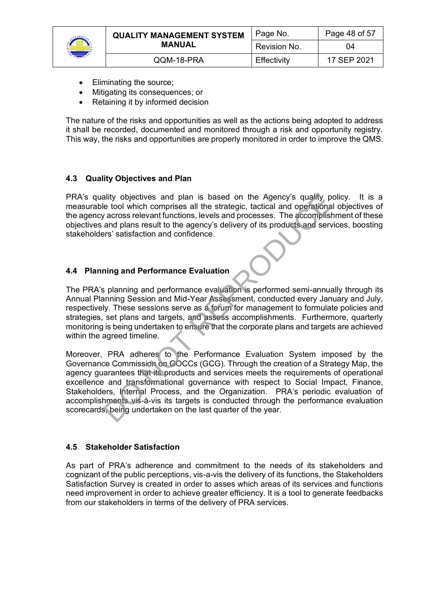

|  | <b>QUALITY MANAGEMENT SYSTEM</b><br>MANUAL | Page No.     | Page 48 of 57 |
|--|--------------------------------------------|--------------|---------------|
|  |                                            | Revision No. | 04            |
|  | QQM-18-PRA                                 | Effectivity  | 17 SEP 2021   |

- Eliminating the source;
- Mitigating its consequences; or
- Retaining it by informed decision

The nature of the risks and opportunities as well as the actions being adopted to address it shall be recorded, documented and monitored through a risk and opportunity registry. This way, the risks and opportunities are properly monitored in order to improve the QMS.

#### **4.3 Quality Objectives and Plan**

PRA's quality objectives and plan is based on the Agency's quality policy. It is a measurable tool which comprises all the strategic, tactical and operational objectives of the agency across relevant functions, levels and processes. The accomplishment of these objectives and plans result to the agency's delivery of its products and services, boosting stakeholders' satisfaction and confidence.

#### **4.4 Planning and Performance Evaluation**

The PRA's planning and performance evaluation is performed semi-annually through its Annual Planning Session and Mid-Year Assessment, conducted every January and July, respectively. These sessions serve as a forum for management to formulate policies and strategies, set plans and targets, and assess accomplishments. Furthermore, quarterly monitoring is being undertaken to ensure that the corporate plans and targets are achieved within the agreed timeline.

Moreover, PRA adheres to the Performance Evaluation System imposed by the Governance Commission on GOCCs (GCG). Through the creation of a Strategy Map, the agency guarantees that its products and services meets the requirements of operational excellence and transformational governance with respect to Social Impact, Finance, Stakeholders, Internal Process, and the Organization. PRA's periodic evaluation of accomplishments vis-à-vis its targets is conducted through the performance evaluation scorecards, being undertaken on the last quarter of the year. ality objectives and plan is based on the Agency's quality p<br>le tool which comprises all the strategic, tactical and operational<br>and plans result functions, levels and processes. The accomplist<br>and plans result to the agen

#### **4.5 Stakeholder Satisfaction**

As part of PRA's adherence and commitment to the needs of its stakeholders and cognizant of the public perceptions, vis-a-vis the delivery of its functions, the Stakeholders Satisfaction Survey is created in order to asses which areas of its services and functions need improvement in order to achieve greater efficiency. It is a tool to generate feedbacks from our stakeholders in terms of the delivery of PRA services.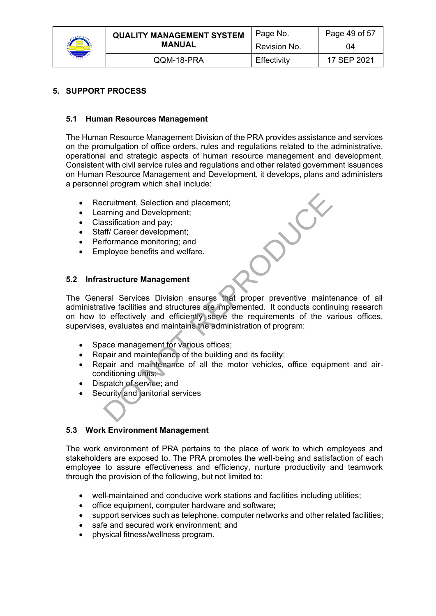

| <b>QUALITY MANAGEMENT SYSTEM</b><br><b>MANUAL</b> | Page No.     | Page 49 of 57 |
|---------------------------------------------------|--------------|---------------|
|                                                   | Revision No. | 04            |
| QQM-18-PRA                                        | Effectivity  | 17 SEP 2021   |

# **5. SUPPORT PROCESS**

# **5.1 Human Resources Management**

The Human Resource Management Division of the PRA provides assistance and services on the promulgation of office orders, rules and regulations related to the administrative, operational and strategic aspects of human resource management and development. Consistent with civil service rules and regulations and other related government issuances on Human Resource Management and Development, it develops, plans and administers a personnel program which shall include:

- Recruitment, Selection and placement;
- Learning and Development;
- Classification and pay;
- Staff/ Career development;
- Performance monitoring; and
- Employee benefits and welfare.

#### **5.2 Infrastructure Management**

The General Services Division ensures that proper preventive maintenance of all administrative facilities and structures are implemented. It conducts continuing research on how to effectively and efficiently serve the requirements of the various offices, supervises, evaluates and maintains the administration of program: cruitment, Selection and placement;<br>arning and Development;<br>assification and pay;<br>assification and pay;<br>formance monitoring; and<br>phoyee benefits and welfare.<br>**structure Management**<br>ral Services Division ensures that proper

- Space management for various offices;
- Repair and maintenance of the building and its facility;
- Repair and maintenance of all the motor vehicles, office equipment and airconditioning units;
- Dispatch of service; and
- Security and janitorial services

# **5.3 Work Environment Management**

The work environment of PRA pertains to the place of work to which employees and stakeholders are exposed to. The PRA promotes the well-being and satisfaction of each employee to assure effectiveness and efficiency, nurture productivity and teamwork through the provision of the following, but not limited to:

- well-maintained and conducive work stations and facilities including utilities;
- office equipment, computer hardware and software;
- support services such as telephone, computer networks and other related facilities;
- safe and secured work environment: and
- physical fitness/wellness program.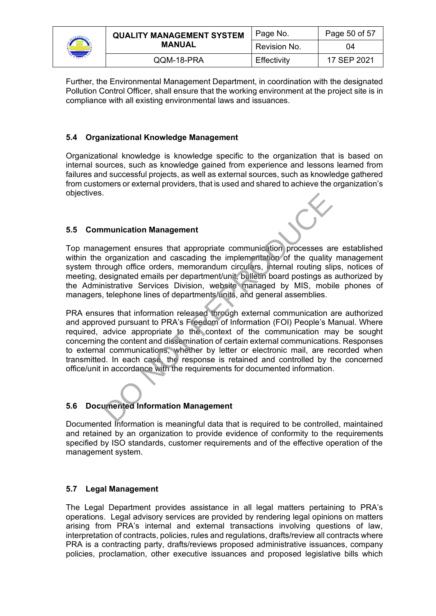| <b>QUALITY MANAGEMENT SYSTEM</b> | Page No.     | Page 50 of 57 |
|----------------------------------|--------------|---------------|
| <b>MANUAL</b>                    | Revision No. | 04            |
| QQM-18-PRA                       | Effectivity  | 17 SEP 2021   |

Further, the Environmental Management Department, in coordination with the designated Pollution Control Officer, shall ensure that the working environment at the project site is in compliance with all existing environmental laws and issuances.

# **5.4 Organizational Knowledge Management**

Organizational knowledge is knowledge specific to the organization that is based on internal sources, such as knowledge gained from experience and lessons learned from failures and successful projects, as well as external sources, such as knowledge gathered from customers or external providers, that is used and shared to achieve the organization's objectives.

# **5.5 Communication Management**

Top management ensures that appropriate communication processes are established within the organization and cascading the implementation of the quality management system through office orders, memorandum circulars, internal routing slips, notices of meeting, designated emails per department/unit, bulletin board postings as authorized by the Administrative Services Division, website managed by MIS, mobile phones of managers, telephone lines of departments/units, and general assemblies.

PRA ensures that information released through external communication are authorized and approved pursuant to PRA's Freedom of Information (FOI) People's Manual. Where required, advice appropriate to the context of the communication may be sought concerning the content and dissemination of certain external communications. Responses to external communications, whether by letter or electronic mail, are recorded when transmitted. In each case, the response is retained and controlled by the concerned office/unit in accordance with the requirements for documented information. munication Management<br>
sement ensures that appropriate communication processes and<br>
organization and cascading the implementation of the quality<br>
organization and cascading the implementation of the quality<br>
sinistrative S

# **5.6 Documented Information Management**

Documented Information is meaningful data that is required to be controlled, maintained and retained by an organization to provide evidence of conformity to the requirements specified by ISO standards, customer requirements and of the effective operation of the management system.

# **5.7 Legal Management**

The Legal Department provides assistance in all legal matters pertaining to PRA's operations. Legal advisory services are provided by rendering legal opinions on matters arising from PRA's internal and external transactions involving questions of law, interpretation of contracts, policies, rules and regulations, drafts/review all contracts where PRA is a contracting party, drafts/reviews proposed administrative issuances, company policies, proclamation, other executive issuances and proposed legislative bills which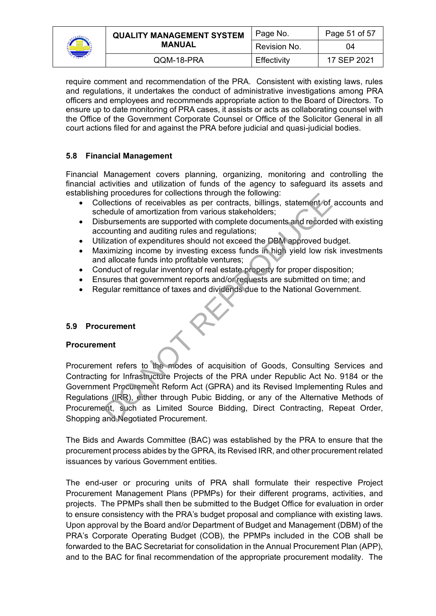| <b>QUALITY MANAGEMENT SYSTEM</b> | Page No.     | Page 51 of 57 |
|----------------------------------|--------------|---------------|
| <b>MANUAL</b>                    | Revision No. | 04            |
| QQM-18-PRA                       | Effectivity  | 17 SEP 2021   |

require comment and recommendation of the PRA. Consistent with existing laws, rules and regulations, it undertakes the conduct of administrative investigations among PRA officers and employees and recommends appropriate action to the Board of Directors. To ensure up to date monitoring of PRA cases, it assists or acts as collaborating counsel with the Office of the Government Corporate Counsel or Office of the Solicitor General in all court actions filed for and against the PRA before judicial and quasi-judicial bodies.

# **5.8 Financial Management**

Financial Management covers planning, organizing, monitoring and controlling the financial activities and utilization of funds of the agency to safeguard its assets and establishing procedures for collections through the following:

- Collections of receivables as per contracts, billings, statement of accounts and schedule of amortization from various stakeholders;
- Disbursements are supported with complete documents and recorded with existing accounting and auditing rules and regulations;
- Utilization of expenditures should not exceed the DBM approved budget.
- Maximizing income by investing excess funds in high yield low risk investments and allocate funds into profitable ventures;
- Conduct of regular inventory of real estate property for proper disposition;
- Ensures that government reports and/or requests are submitted on time; and
- Regular remittance of taxes and dividends due to the National Government.

# **5.9 Procurement**

# **Procurement**

Procurement refers to the modes of acquisition of Goods, Consulting Services and Contracting for Infrastructure Projects of the PRA under Republic Act No. 9184 or the Government Procurement Reform Act (GPRA) and its Revised Implementing Rules and Regulations (IRR), either through Pubic Bidding, or any of the Alternative Methods of Procurement, such as Limited Source Bidding, Direct Contracting, Repeat Order, Shopping and Negotiated Procurement. reflections of receivables as program uniquit including, statement of<br>elections of receivables as per contracts, billings, statement of<br>reduce of amortization from various stakeholders;<br>bursements are supported with comple

The Bids and Awards Committee (BAC) was established by the PRA to ensure that the procurement process abides by the GPRA, its Revised IRR, and other procurement related issuances by various Government entities.

The end-user or procuring units of PRA shall formulate their respective Project Procurement Management Plans (PPMPs) for their different programs, activities, and projects. The PPMPs shall then be submitted to the Budget Office for evaluation in order to ensure consistency with the PRA's budget proposal and compliance with existing laws. Upon approval by the Board and/or Department of Budget and Management (DBM) of the PRA's Corporate Operating Budget (COB), the PPMPs included in the COB shall be forwarded to the BAC Secretariat for consolidation in the Annual Procurement Plan (APP), and to the BAC for final recommendation of the appropriate procurement modality. The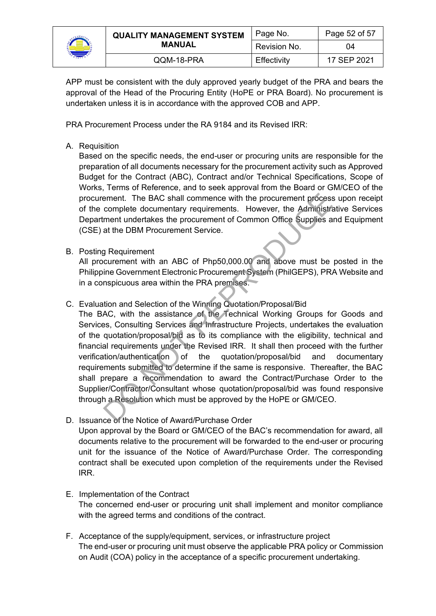

| <b>QUALITY MANAGEMENT SYSTEM</b><br><b>MANUAL</b> | Page No.     | Page 52 of 57 |
|---------------------------------------------------|--------------|---------------|
|                                                   | Revision No. | 04            |
| QQM-18-PRA                                        | Effectivity  | 17 SEP 2021   |

APP must be consistent with the duly approved yearly budget of the PRA and bears the approval of the Head of the Procuring Entity (HoPE or PRA Board). No procurement is undertaken unless it is in accordance with the approved COB and APP.

PRA Procurement Process under the RA 9184 and its Revised IRR:

# A. Requisition

Based on the specific needs, the end-user or procuring units are responsible for the preparation of all documents necessary for the procurement activity such as Approved Budget for the Contract (ABC), Contract and/or Technical Specifications, Scope of Works, Terms of Reference, and to seek approval from the Board or GM/CEO of the procurement. The BAC shall commence with the procurement process upon receipt of the complete documentary requirements. However, the Administrative Services Department undertakes the procurement of Common Office Supplies and Equipment (CSE) at the DBM Procurement Service.

B. Posting Requirement

All procurement with an ABC of Php50,000.00 and above must be posted in the Philippine Government Electronic Procurement System (PhilGEPS), PRA Website and in a conspicuous area within the PRA premises.

C. Evaluation and Selection of the Winning Quotation/Proposal/Bid

The BAC, with the assistance of the Technical Working Groups for Goods and Services, Consulting Services and Infrastructure Projects, undertakes the evaluation of the quotation/proposal/bid as to its compliance with the eligibility, technical and financial requirements under the Revised IRR. It shall then proceed with the further verification/authentication of the quotation/proposal/bid and documentary requirements submitted to determine if the same is responsive. Thereafter, the BAC shall prepare a recommendation to award the Contract/Purchase Order to the Supplier/Contractor/Consultant whose quotation/proposal/bid was found responsive through a Resolution which must be approved by the HoPE or GM/CEO. ement. The BAC shall commence with the procurement process<br>complete documentary requirements. However, the Administry<br>ment undertakes the procurement of Common Office Supplies a<br>at the DBM Procurement Service.<br>B<br>Requiremen

- D. Issuance of the Notice of Award/Purchase Order Upon approval by the Board or GM/CEO of the BAC's recommendation for award, all documents relative to the procurement will be forwarded to the end-user or procuring unit for the issuance of the Notice of Award/Purchase Order. The corresponding contract shall be executed upon completion of the requirements under the Revised IRR.
- E. Implementation of the Contract The concerned end-user or procuring unit shall implement and monitor compliance with the agreed terms and conditions of the contract.
- F. Acceptance of the supply/equipment, services, or infrastructure project The end-user or procuring unit must observe the applicable PRA policy or Commission on Audit (COA) policy in the acceptance of a specific procurement undertaking.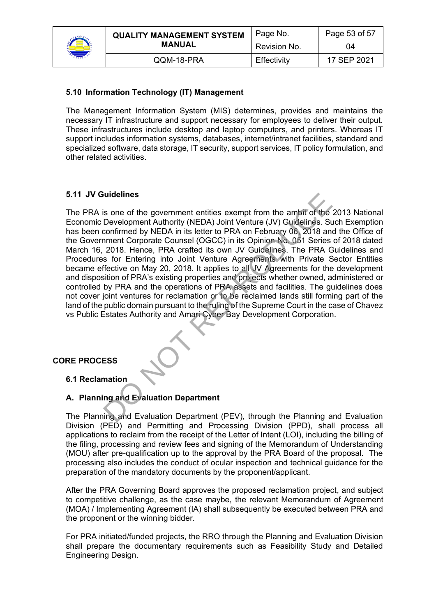

| <b>QUALITY MANAGEMENT SYSTEM</b><br><b>MANUAL</b> | Page No.     | Page 53 of 57 |
|---------------------------------------------------|--------------|---------------|
|                                                   | Revision No. | 04            |
| QQM-18-PRA                                        | Effectivity  | 17 SEP 2021   |

# **5.10 Information Technology (IT) Management**

The Management Information System (MIS) determines, provides and maintains the necessary IT infrastructure and support necessary for employees to deliver their output. These infrastructures include desktop and laptop computers, and printers. Whereas IT support includes information systems, databases, internet/intranet facilities, standard and specialized software, data storage, IT security, support services, IT policy formulation, and other related activities.

# **5.11 JV Guidelines**

The PRA is one of the government entities exempt from the ambit of the 2013 National Economic Development Authority (NEDA) Joint Venture (JV) Guidelines. Such Exemption has been confirmed by NEDA in its letter to PRA on February 06, 2018 and the Office of the Government Corporate Counsel (OGCC) in its Opinion No. 051 Series of 2018 dated March 16, 2018. Hence, PRA crafted its own JV Guidelines. The PRA Guidelines and Procedures for Entering into Joint Venture Agreements with Private Sector Entities became effective on May 20, 2018. It applies to all JV Agreements for the development and disposition of PRA's existing properties and projects whether owned, administered or controlled by PRA and the operations of PRA assets and facilities. The guidelines does not cover joint ventures for reclamation or to be reclaimed lands still forming part of the land of the public domain pursuant to the ruling of the Supreme Court in the case of Chavez vs Public Estates Authority and Amari Cyber Bay Development Corporation. is one of the government entities exempt from the ambit of the Development Authority (NEDA) Joint Venture (JV) Guidelines. St confirmed by NEDA in its letter to PRA on February 06 2018 an one conside Counsel (OGCC) in its

# **CORE PROCESS**

# **6.1 Reclamation**

# **A. Planning and Evaluation Department**

The Planning and Evaluation Department (PEV), through the Planning and Evaluation Division (PED) and Permitting and Processing Division (PPD), shall process all applications to reclaim from the receipt of the Letter of Intent (LOI), including the billing of the filing, processing and review fees and signing of the Memorandum of Understanding (MOU) after pre-qualification up to the approval by the PRA Board of the proposal. The processing also includes the conduct of ocular inspection and technical guidance for the preparation of the mandatory documents by the proponent/applicant.

After the PRA Governing Board approves the proposed reclamation project, and subject to competitive challenge, as the case maybe, the relevant Memorandum of Agreement (MOA) / Implementing Agreement (IA) shall subsequently be executed between PRA and the proponent or the winning bidder.

For PRA initiated/funded projects, the RRO through the Planning and Evaluation Division shall prepare the documentary requirements such as Feasibility Study and Detailed Engineering Design.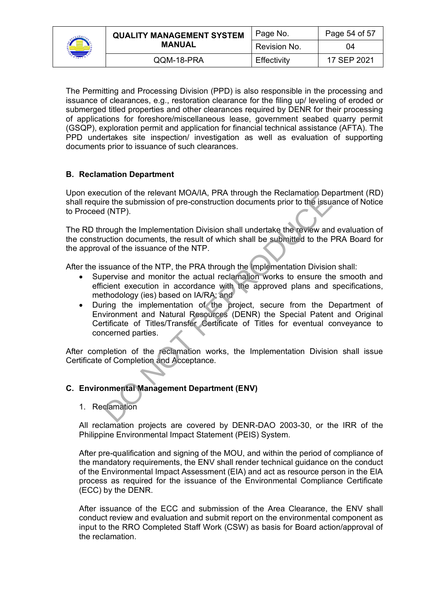

| <b>QUALITY MANAGEMENT SYSTEM</b><br><b>MANUAL</b> | Page No.     | Page 54 of 57 |
|---------------------------------------------------|--------------|---------------|
|                                                   | Revision No. | 04            |
| QQM-18-PRA                                        | Effectivity  | 17 SEP 2021   |

The Permitting and Processing Division (PPD) is also responsible in the processing and issuance of clearances, e.g., restoration clearance for the filing up/ leveling of eroded or submerged titled properties and other clearances required by DENR for their processing of applications for foreshore/miscellaneous lease, government seabed quarry permit (GSQP), exploration permit and application for financial technical assistance (AFTA). The PPD undertakes site inspection/ investigation as well as evaluation of supporting documents prior to issuance of such clearances.

# **B. Reclamation Department**

Upon execution of the relevant MOA/IA, PRA through the Reclamation Department (RD) shall require the submission of pre-construction documents prior to the issuance of Notice to Proceed (NTP).

The RD through the Implementation Division shall undertake the review and evaluation of the construction documents, the result of which shall be submitted to the PRA Board for the approval of the issuance of the NTP.

After the issuance of the NTP, the PRA through the Implementation Division shall:

- Supervise and monitor the actual reclamation works to ensure the smooth and efficient execution in accordance with the approved plans and specifications, methodology (ies) based on IA/RA; and
- During the implementation of the project, secure from the Department of Environment and Natural Resources (DENR) the Special Patent and Original Certificate of Titles/Transfer Certificate of Titles for eventual conveyance to concerned parties. Dation of the relevant MOAVIA, FRA tinough the Recitation of the issues to the sister of the sister of pre-construction documents prior to the issues of (NTP).<br>
To rugh the Implementation Division shall undertake the revie

After completion of the reclamation works, the Implementation Division shall issue Certificate of Completion and Acceptance.

#### **C. Environmental Management Department (ENV)**

1. Reclamation

All reclamation projects are covered by DENR-DAO 2003-30, or the IRR of the Philippine Environmental Impact Statement (PEIS) System.

After pre-qualification and signing of the MOU, and within the period of compliance of the mandatory requirements, the ENV shall render technical guidance on the conduct of the Environmental Impact Assessment (EIA) and act as resource person in the EIA process as required for the issuance of the Environmental Compliance Certificate (ECC) by the DENR.

After issuance of the ECC and submission of the Area Clearance, the ENV shall conduct review and evaluation and submit report on the environmental component as input to the RRO Completed Staff Work (CSW) as basis for Board action/approval of the reclamation.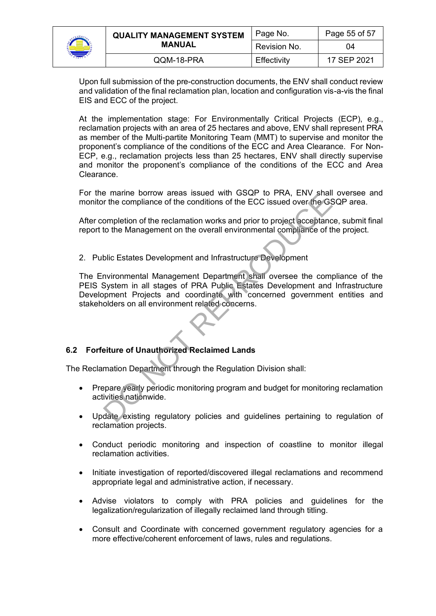

| <b>QUALITY MANAGEMENT SYSTEM</b><br><b>MANUAL</b> | Page No.     | Page 55 of 57 |
|---------------------------------------------------|--------------|---------------|
|                                                   | Revision No. | 04            |
| QQM-18-PRA                                        | Effectivity  | 17 SEP 2021   |

Upon full submission of the pre-construction documents, the ENV shall conduct review and validation of the final reclamation plan, location and configuration vis-a-vis the final EIS and ECC of the project.

At the implementation stage: For Environmentally Critical Projects (ECP), e.g., reclamation projects with an area of 25 hectares and above, ENV shall represent PRA as member of the Multi-partite Monitoring Team (MMT) to supervise and monitor the proponent's compliance of the conditions of the ECC and Area Clearance. For Non-ECP, e.g., reclamation projects less than 25 hectares, ENV shall directly supervise and monitor the proponent's compliance of the conditions of the ECC and Area Clearance.

For the marine borrow areas issued with GSQP to PRA, ENV shall oversee and monitor the compliance of the conditions of the ECC issued over the GSQP area.

After completion of the reclamation works and prior to project acceptance, submit final report to the Management on the overall environmental compliance of the project.

2. Public Estates Development and Infrastructure Development

The Environmental Management Department shall oversee the compliance of the PEIS System in all stages of PRA Public Estates Development and Infrastructure Development Projects and coordinate with concerned government entities and stakeholders on all environment related concerns. The compliance of the conditions of the ECC issued over the GS<br>ompletion of the reclamation works and prior to project acceptanc<br>to the Management on the overall environmental compliance of t<br>blic Estates Development and I

# **6.2 Forfeiture of Unauthorized Reclaimed Lands**

The Reclamation Department through the Regulation Division shall:

- Prepare yearly periodic monitoring program and budget for monitoring reclamation activities nationwide.
- Update existing regulatory policies and guidelines pertaining to regulation of reclamation projects.
- Conduct periodic monitoring and inspection of coastline to monitor illegal reclamation activities.
- Initiate investigation of reported/discovered illegal reclamations and recommend appropriate legal and administrative action, if necessary.
- Advise violators to comply with PRA policies and guidelines for the legalization/regularization of illegally reclaimed land through titling.
- Consult and Coordinate with concerned government regulatory agencies for a more effective/coherent enforcement of laws, rules and regulations.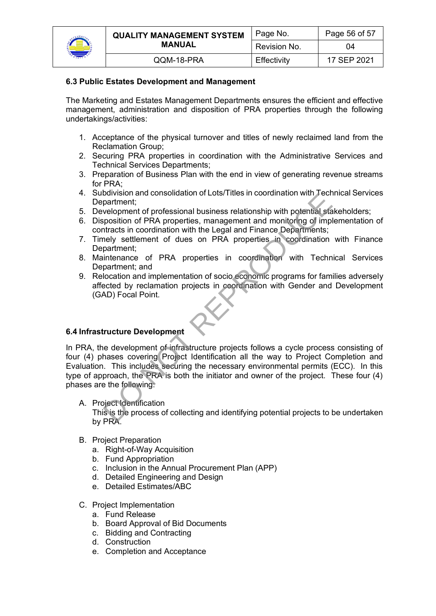

| <b>QUALITY MANAGEMENT SYSTEM</b> | Page No.     | Page 56 of 57 |
|----------------------------------|--------------|---------------|
| <b>MANUAL</b>                    | Revision No. | 04            |
| QQM-18-PRA                       | Effectivity  | 17 SEP 2021   |

#### **6.3 Public Estates Development and Management**

The Marketing and Estates Management Departments ensures the efficient and effective management, administration and disposition of PRA properties through the following undertakings/activities:

- 1. Acceptance of the physical turnover and titles of newly reclaimed land from the Reclamation Group;
- 2. Securing PRA properties in coordination with the Administrative Services and Technical Services Departments;
- 3. Preparation of Business Plan with the end in view of generating revenue streams for PRA;
- 4. Subdivision and consolidation of Lots/Titles in coordination with Technical Services Department;
- 5. Development of professional business relationship with potential stakeholders;
- 6. Disposition of PRA properties, management and monitoring of implementation of contracts in coordination with the Legal and Finance Departments;
- 7. Timely settlement of dues on PRA properties in coordination with Finance Department:
- 8. Maintenance of PRA properties in coordination with Technical Services Department; and
- 9. Relocation and implementation of socio economic programs for families adversely affected by reclamation projects in coordination with Gender and Development (GAD) Focal Point.

# **6.4 Infrastructure Development**

In PRA, the development of infrastructure projects follows a cycle process consisting of four (4) phases covering Project Identification all the way to Project Completion and Evaluation. This includes securing the necessary environmental permits (ECC). In this type of approach, the PRA is both the initiator and owner of the project. These four (4) phases are the following: Dowision and consolidation of Lots/Titles in Coolumation with reconstraint<br>partnert;<br>relogions of PRA properties, management and monitoring of implements;<br>relogion of PRA properties, management and monitoring of implementa

- A. Project Identification This is the process of collecting and identifying potential projects to be undertaken by PRA.
- B. Project Preparation
	- a. Right-of-Way Acquisition
	- b. Fund Appropriation
	- c. Inclusion in the Annual Procurement Plan (APP)
	- d. Detailed Engineering and Design
	- e. Detailed Estimates/ABC
- C. Project Implementation
	- a. Fund Release
	- b. Board Approval of Bid Documents
	- c. Bidding and Contracting
	- d. Construction
	- e. Completion and Acceptance